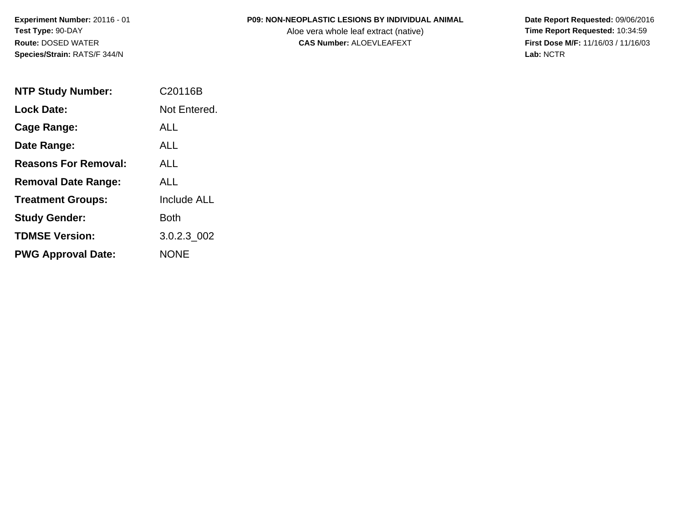## **P09: NON-NEOPLASTIC LESIONS BY INDIVIDUAL ANIMAL**

Aloe vera whole leaf extract (native)<br>**CAS Number:** ALOEVLEAFEXT

| <b>NTP Study Number:</b>    | C20116B            |
|-----------------------------|--------------------|
| <b>Lock Date:</b>           | Not Entered.       |
| <b>Cage Range:</b>          | AI I               |
| Date Range:                 | ALL                |
| <b>Reasons For Removal:</b> | AI I               |
| <b>Removal Date Range:</b>  | ALL                |
| <b>Treatment Groups:</b>    | <b>Include ALL</b> |
| <b>Study Gender:</b>        | Both               |
| <b>TDMSE Version:</b>       | 3.0.2.3_002        |
| <b>PWG Approval Date:</b>   | NONE               |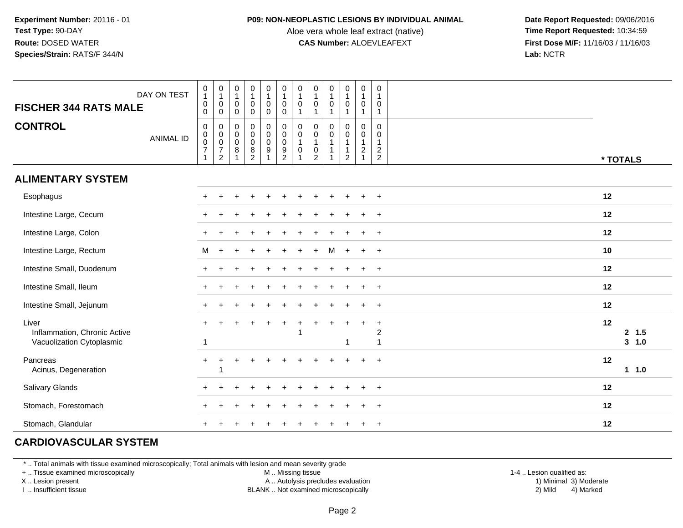#### **P09: NON-NEOPLASTIC LESIONS BY INDIVIDUAL ANIMAL**

Aloe vera whole leaf extract (native)<br>**CAS Number:** ALOEVLEAFEXT

 **Date Report Requested:** 09/06/2016 **First Dose M/F:** 11/16/03 / 11/16/03<br>**Lab:** NCTR **Lab:** NCTR

| DAY ON TEST<br><b>FISCHER 344 RATS MALE</b>                        | $\begin{smallmatrix}0\1\end{smallmatrix}$<br>$\pmb{0}$<br>$\pmb{0}$ | $\begin{smallmatrix}0\\1\end{smallmatrix}$<br>$\,0\,$<br>$\mathbf 0$     | 0<br>$\overline{1}$<br>$\pmb{0}$<br>0 | $\pmb{0}$<br>$\mathbf{1}$<br>$\mathbf 0$<br>$\pmb{0}$            | 0<br>1<br>$\mathbf 0$<br>$\mathbf 0$    | $\mathbf 0$<br>$\mathbf{1}$<br>$\mathsf{O}\xspace$<br>$\mathsf 0$ | $\pmb{0}$<br>$\overline{1}$<br>$\pmb{0}$<br>1 | $\begin{smallmatrix}0\\1\end{smallmatrix}$<br>$\pmb{0}$<br>$\overline{1}$        | $\mathbf 0$<br>$\mathbf{1}$<br>$\mathbf 0$<br>$\mathbf{1}$                     | $\boldsymbol{0}$<br>$\mathsf{O}$<br>$\mathbf{1}$      | $\boldsymbol{0}$<br>$\overline{1}$<br>$\mathbf 0$<br>$\mathbf{1}$                           | $\mathbf 0$<br>-1<br>0<br>$\mathbf{1}$                               |                           |
|--------------------------------------------------------------------|---------------------------------------------------------------------|--------------------------------------------------------------------------|---------------------------------------|------------------------------------------------------------------|-----------------------------------------|-------------------------------------------------------------------|-----------------------------------------------|----------------------------------------------------------------------------------|--------------------------------------------------------------------------------|-------------------------------------------------------|---------------------------------------------------------------------------------------------|----------------------------------------------------------------------|---------------------------|
| <b>CONTROL</b><br><b>ANIMAL ID</b>                                 | $\pmb{0}$<br>$\begin{array}{c} 0 \\ 0 \\ 7 \end{array}$             | $\pmb{0}$<br>$\begin{matrix} 0 \\ 0 \\ 7 \end{matrix}$<br>$\overline{2}$ | 0<br>$\pmb{0}$<br>$\mathbf 0$<br>8    | $\pmb{0}$<br>$\pmb{0}$<br>$\pmb{0}$<br>$\bf 8$<br>$\overline{2}$ | $\mathbf 0$<br>$\overline{0}$<br>0<br>9 | $\mathsf{O}$<br>$\overline{0}$<br>0<br>$\frac{9}{2}$              | $\pmb{0}$<br>$\overline{0}$<br>1<br>$\pmb{0}$ | $\pmb{0}$<br>$\overline{0}$<br>1<br>$\begin{smallmatrix} 0\\2 \end{smallmatrix}$ | $\mathbf 0$<br>$\begin{smallmatrix}0\\1\end{smallmatrix}$<br>$\mathbf{1}$<br>1 | 0<br>$\pmb{0}$<br>$\mathbf{1}$<br>1<br>$\overline{c}$ | $\pmb{0}$<br>$\begin{smallmatrix}0\\1\end{smallmatrix}$<br>$\boldsymbol{2}$<br>$\mathbf{1}$ | $\mathbf 0$<br>0<br>$\mathbf{1}$<br>$\overline{c}$<br>$\overline{c}$ | * TOTALS                  |
| <b>ALIMENTARY SYSTEM</b>                                           |                                                                     |                                                                          |                                       |                                                                  |                                         |                                                                   |                                               |                                                                                  |                                                                                |                                                       |                                                                                             |                                                                      |                           |
| Esophagus                                                          |                                                                     |                                                                          |                                       |                                                                  |                                         |                                                                   |                                               |                                                                                  |                                                                                |                                                       |                                                                                             | $+$                                                                  | 12                        |
| Intestine Large, Cecum                                             |                                                                     |                                                                          |                                       |                                                                  |                                         |                                                                   |                                               |                                                                                  |                                                                                |                                                       |                                                                                             | $+$                                                                  | 12                        |
| Intestine Large, Colon                                             |                                                                     |                                                                          |                                       |                                                                  |                                         |                                                                   |                                               |                                                                                  |                                                                                |                                                       |                                                                                             | $+$                                                                  | 12                        |
| Intestine Large, Rectum                                            | M                                                                   |                                                                          |                                       |                                                                  |                                         |                                                                   |                                               |                                                                                  | M                                                                              | $\ddot{}$                                             | $\ddot{}$                                                                                   | $+$                                                                  | 10                        |
| Intestine Small, Duodenum                                          | $+$                                                                 |                                                                          |                                       |                                                                  |                                         |                                                                   |                                               |                                                                                  |                                                                                |                                                       |                                                                                             | $\overline{+}$                                                       | 12                        |
| Intestine Small, Ileum                                             | $+$                                                                 |                                                                          |                                       |                                                                  |                                         |                                                                   |                                               |                                                                                  |                                                                                |                                                       |                                                                                             | $\overline{+}$                                                       | 12                        |
| Intestine Small, Jejunum                                           | $\pm$                                                               |                                                                          |                                       |                                                                  |                                         |                                                                   |                                               |                                                                                  |                                                                                |                                                       |                                                                                             | $\ddot{}$                                                            | 12                        |
| Liver<br>Inflammation, Chronic Active<br>Vacuolization Cytoplasmic | $\ddot{}$                                                           |                                                                          |                                       |                                                                  |                                         | $\ddot{}$                                                         | $\div$                                        |                                                                                  |                                                                                | ÷<br>1                                                | $\ddot{}$                                                                                   | $\ddot{}$<br>$\boldsymbol{2}$<br>$\overline{1}$                      | 12<br>2, 1.5<br>$3 - 1.0$ |
| Pancreas<br>Acinus, Degeneration                                   | $+$                                                                 |                                                                          |                                       |                                                                  |                                         |                                                                   |                                               |                                                                                  |                                                                                |                                                       |                                                                                             | $\ddot{}$                                                            | 12<br>11.0                |
| Salivary Glands                                                    |                                                                     |                                                                          |                                       |                                                                  |                                         |                                                                   |                                               |                                                                                  |                                                                                |                                                       |                                                                                             | $\ddot{}$                                                            | 12                        |
| Stomach, Forestomach                                               |                                                                     |                                                                          |                                       |                                                                  |                                         |                                                                   |                                               |                                                                                  |                                                                                |                                                       |                                                                                             | $\ddot{}$                                                            | 12                        |
| Stomach, Glandular                                                 |                                                                     |                                                                          |                                       |                                                                  |                                         |                                                                   |                                               |                                                                                  |                                                                                |                                                       |                                                                                             | $\ddot{}$                                                            | 12                        |

# **CARDIOVASCULAR SYSTEM**

\* .. Total animals with tissue examined microscopically; Total animals with lesion and mean severity grade

+ .. Tissue examined microscopically

X .. Lesion present

I .. Insufficient tissue

M .. Missing tissue

A .. Autolysis precludes evaluation

BLANK .. Not examined microscopically 2) Mild 4) Marked

1-4 .. Lesion qualified as:<br>1) Minimal 3) Moderate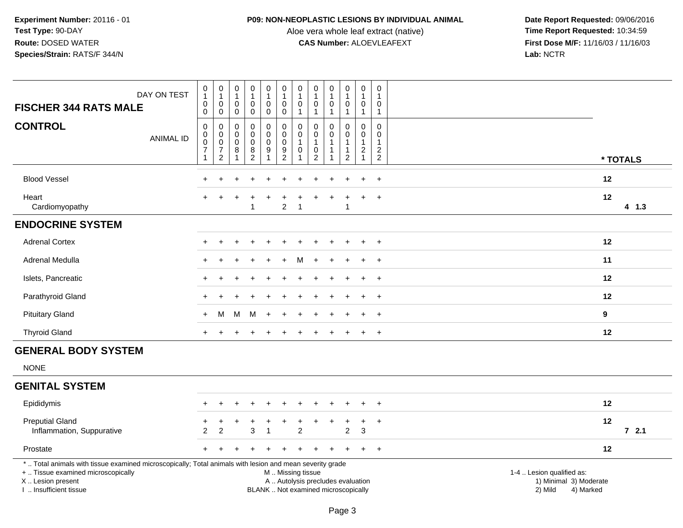## **P09: NON-NEOPLASTIC LESIONS BY INDIVIDUAL ANIMAL**

Aloe vera whole leaf extract (native)<br>**CAS Number:** ALOEVLEAFEXT

| DAY ON TEST<br><b>FISCHER 344 RATS MALE</b>                                                                                                                                                   | $\begin{smallmatrix}0\\1\end{smallmatrix}$<br>$\mathbf 0$<br>$\mathbf 0$  | $\begin{smallmatrix}0\\1\end{smallmatrix}$<br>$\pmb{0}$<br>$\mathbf 0$      | 0<br>$\overline{1}$<br>$\mathbf 0$<br>0    | $\pmb{0}$<br>$\mathbf{1}$<br>$\mathsf{O}\xspace$<br>$\mathbf 0$                   | 0<br>$\mathbf{1}$<br>$\mathbf 0$<br>0                               | 0<br>$\mathbf{1}$<br>$\mathbf 0$<br>$\mathbf 0$ | $\pmb{0}$<br>$\mathbf{1}$<br>$\mathsf{O}\xspace$<br>$\mathbf{1}$ | $\pmb{0}$<br>$\mathbf{1}$<br>$\mathbf 0$<br>$\overline{1}$               | $\pmb{0}$<br>$\mathbf{1}$<br>$\mathbf 0$<br>1 | $\pmb{0}$<br>$\mathbf{1}$<br>$\mathbf 0$<br>$\mathbf{1}$                  | $\pmb{0}$<br>$\overline{1}$<br>$\mathbf 0$<br>$\overline{1}$                | $\boldsymbol{0}$<br>$\mathbf{1}$<br>$\Omega$<br>$\mathbf{1}$              |                                      |                                     |
|-----------------------------------------------------------------------------------------------------------------------------------------------------------------------------------------------|---------------------------------------------------------------------------|-----------------------------------------------------------------------------|--------------------------------------------|-----------------------------------------------------------------------------------|---------------------------------------------------------------------|-------------------------------------------------|------------------------------------------------------------------|--------------------------------------------------------------------------|-----------------------------------------------|---------------------------------------------------------------------------|-----------------------------------------------------------------------------|---------------------------------------------------------------------------|--------------------------------------|-------------------------------------|
| <b>CONTROL</b><br><b>ANIMAL ID</b>                                                                                                                                                            | 0<br>$\mathsf{O}\xspace$<br>$\mathbf 0$<br>$\overline{7}$<br>$\mathbf{1}$ | 0<br>$\mathsf{O}\xspace$<br>$\mathbf 0$<br>$\overline{7}$<br>$\overline{c}$ | 0<br>0<br>$\mathbf 0$<br>8<br>$\mathbf{1}$ | 0<br>$\mathbf 0$<br>$\mathbf 0$<br>$\begin{smallmatrix} 8 \\ 2 \end{smallmatrix}$ | 0<br>$\mathsf 0$<br>$\mathbf 0$<br>$\boldsymbol{9}$<br>$\mathbf{1}$ | 0<br>$\pmb{0}$<br>$\mathbf 0$<br>$\frac{9}{2}$  | 0<br>$\pmb{0}$<br>$\mathbf{1}$<br>$\pmb{0}$<br>$\mathbf{1}$      | $\Omega$<br>0<br>$\mathbf{1}$<br>0<br>$\overline{2}$                     | $\Omega$<br>$\mathbf 0$                       | $\Omega$<br>$\mathbf 0$<br>$\mathbf{1}$<br>$\mathbf{1}$<br>$\overline{2}$ | $\Omega$<br>$\mathbf 0$<br>$\overline{1}$<br>$\overline{c}$<br>$\mathbf{1}$ | $\Omega$<br>$\mathbf 0$<br>$\overline{1}$<br>$\overline{c}$<br>$\sqrt{2}$ |                                      | * TOTALS                            |
| <b>Blood Vessel</b>                                                                                                                                                                           |                                                                           |                                                                             |                                            |                                                                                   |                                                                     |                                                 |                                                                  |                                                                          |                                               |                                                                           |                                                                             | $\ddot{}$                                                                 |                                      | 12                                  |
| Heart<br>Cardiomyopathy                                                                                                                                                                       |                                                                           |                                                                             |                                            | $\overline{1}$                                                                    |                                                                     | $\overline{2}$                                  | $\mathbf{1}$                                                     |                                                                          |                                               | $\mathbf{1}$                                                              | $\ddot{}$                                                                   | $\overline{+}$                                                            |                                      | 12<br>$4$ 1.3                       |
| <b>ENDOCRINE SYSTEM</b>                                                                                                                                                                       |                                                                           |                                                                             |                                            |                                                                                   |                                                                     |                                                 |                                                                  |                                                                          |                                               |                                                                           |                                                                             |                                                                           |                                      |                                     |
| <b>Adrenal Cortex</b>                                                                                                                                                                         |                                                                           |                                                                             |                                            |                                                                                   |                                                                     |                                                 |                                                                  |                                                                          |                                               |                                                                           | $\ddot{}$                                                                   | $+$                                                                       |                                      | 12                                  |
| Adrenal Medulla                                                                                                                                                                               | $+$                                                                       |                                                                             |                                            |                                                                                   |                                                                     |                                                 | м                                                                | $\ddot{}$                                                                | $\ddot{}$                                     | $\overline{+}$                                                            | $\ddot{}$                                                                   | $+$                                                                       |                                      | 11                                  |
| Islets, Pancreatic                                                                                                                                                                            |                                                                           |                                                                             |                                            |                                                                                   |                                                                     |                                                 |                                                                  |                                                                          |                                               |                                                                           | $\ddot{}$                                                                   | $+$                                                                       |                                      | 12                                  |
| Parathyroid Gland                                                                                                                                                                             |                                                                           |                                                                             |                                            |                                                                                   |                                                                     |                                                 |                                                                  |                                                                          |                                               |                                                                           |                                                                             | $\ddot{}$                                                                 |                                      | 12                                  |
| <b>Pituitary Gland</b>                                                                                                                                                                        | $+$                                                                       | М                                                                           | м                                          | M                                                                                 | $\overline{+}$                                                      |                                                 |                                                                  |                                                                          |                                               |                                                                           |                                                                             | $\ddot{}$                                                                 |                                      | $\mathbf{9}$                        |
| <b>Thyroid Gland</b>                                                                                                                                                                          | $+$                                                                       | $\ddot{}$                                                                   |                                            |                                                                                   |                                                                     |                                                 |                                                                  |                                                                          | +                                             | $\ddot{}$                                                                 | $+$                                                                         | $+$                                                                       |                                      | 12                                  |
| <b>GENERAL BODY SYSTEM</b>                                                                                                                                                                    |                                                                           |                                                                             |                                            |                                                                                   |                                                                     |                                                 |                                                                  |                                                                          |                                               |                                                                           |                                                                             |                                                                           |                                      |                                     |
| <b>NONE</b>                                                                                                                                                                                   |                                                                           |                                                                             |                                            |                                                                                   |                                                                     |                                                 |                                                                  |                                                                          |                                               |                                                                           |                                                                             |                                                                           |                                      |                                     |
| <b>GENITAL SYSTEM</b>                                                                                                                                                                         |                                                                           |                                                                             |                                            |                                                                                   |                                                                     |                                                 |                                                                  |                                                                          |                                               |                                                                           |                                                                             |                                                                           |                                      |                                     |
| Epididymis                                                                                                                                                                                    |                                                                           |                                                                             |                                            |                                                                                   |                                                                     |                                                 |                                                                  |                                                                          |                                               |                                                                           |                                                                             | $\ddot{}$                                                                 |                                      | 12                                  |
| <b>Preputial Gland</b><br>Inflammation, Suppurative                                                                                                                                           | 2                                                                         | $\ddot{}$<br>$\overline{2}$                                                 | +                                          | 3                                                                                 | $\ddot{}$                                                           |                                                 | $\overline{2}$                                                   |                                                                          | $\ddot{}$                                     | $\ddot{}$<br>$\overline{2}$                                               | $+$<br>3                                                                    | $+$                                                                       |                                      | 12<br>$72.1$                        |
| Prostate                                                                                                                                                                                      | $+$                                                                       |                                                                             |                                            |                                                                                   |                                                                     |                                                 |                                                                  |                                                                          | ÷                                             |                                                                           | $\ddot{}$                                                                   | $+$                                                                       |                                      | 12                                  |
| *  Total animals with tissue examined microscopically; Total animals with lesion and mean severity grade<br>+  Tissue examined microscopically<br>X  Lesion present<br>I  Insufficient tissue |                                                                           |                                                                             |                                            |                                                                                   |                                                                     | M  Missing tissue                               |                                                                  | A  Autolysis precludes evaluation<br>BLANK  Not examined microscopically |                                               |                                                                           |                                                                             |                                                                           | 1-4  Lesion qualified as:<br>2) Mild | 1) Minimal 3) Moderate<br>4) Marked |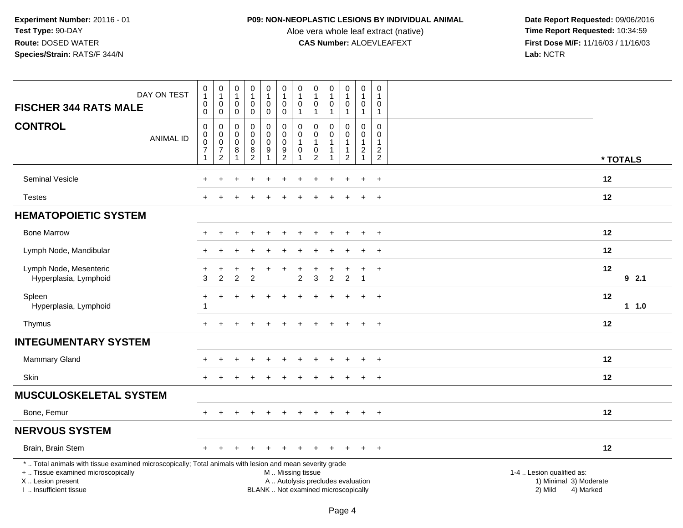## **P09: NON-NEOPLASTIC LESIONS BY INDIVIDUAL ANIMAL**

Aloe vera whole leaf extract (native)<br>**CAS Number:** ALOEVLEAFEXT

| <b>FISCHER 344 RATS MALE</b>                                                                                                                                                                  | DAY ON TEST      | $\pmb{0}$<br>$\overline{1}$<br>$\boldsymbol{0}$<br>$\mathbf 0$                     | $\pmb{0}$<br>$\mathbf{1}$<br>$\pmb{0}$<br>0                               | $\pmb{0}$<br>$\mathbf{1}$<br>$\mathbf 0$<br>$\mathbf 0$                | $\pmb{0}$<br>$\mathbf{1}$<br>$\pmb{0}$<br>$\pmb{0}$                                       | $\pmb{0}$<br>$\mathbf{1}$<br>$\pmb{0}$<br>$\pmb{0}$          | $\begin{smallmatrix}0\\1\end{smallmatrix}$<br>$\pmb{0}$<br>$\mathbf 0$                        | 0<br>1<br>0<br>$\mathbf{1}$     | $\pmb{0}$<br>$\overline{1}$<br>$\pmb{0}$<br>$\mathbf{1}$                                   | $\pmb{0}$<br>$\overline{1}$<br>0<br>$\mathbf{1}$ | 0<br>$\mathbf 1$<br>$\pmb{0}$<br>$\mathbf{1}$            | $\pmb{0}$<br>$\mathbf{1}$<br>$\pmb{0}$<br>$\overline{1}$                       | 0<br>$\overline{1}$<br>0<br>$\overline{1}$                               |                                                                             |  |
|-----------------------------------------------------------------------------------------------------------------------------------------------------------------------------------------------|------------------|------------------------------------------------------------------------------------|---------------------------------------------------------------------------|------------------------------------------------------------------------|-------------------------------------------------------------------------------------------|--------------------------------------------------------------|-----------------------------------------------------------------------------------------------|---------------------------------|--------------------------------------------------------------------------------------------|--------------------------------------------------|----------------------------------------------------------|--------------------------------------------------------------------------------|--------------------------------------------------------------------------|-----------------------------------------------------------------------------|--|
| <b>CONTROL</b>                                                                                                                                                                                | <b>ANIMAL ID</b> | $\mathbf 0$<br>$\mathbf 0$<br>$\boldsymbol{0}$<br>$\boldsymbol{7}$<br>$\mathbf{1}$ | $\mathbf 0$<br>$\pmb{0}$<br>$\pmb{0}$<br>$\overline{7}$<br>$\overline{c}$ | $\mathbf 0$<br>$\mathbf 0$<br>$\mathsf{O}\xspace$<br>8<br>$\mathbf{1}$ | $\mathbf 0$<br>$\mathbf 0$<br>$\pmb{0}$<br>$\begin{smallmatrix} 8 \\ 2 \end{smallmatrix}$ | $\mathbf 0$<br>$\pmb{0}$<br>$\pmb{0}$<br>9<br>$\overline{1}$ | $\mathbf 0$<br>$\mathbf 0$<br>$\mathbf 0$<br>$\frac{9}{2}$                                    | 0<br>$\mathbf 0$<br>1<br>0<br>1 | $\mathbf 0$<br>$\mathbf 0$<br>$\mathbf{1}$<br>$\begin{smallmatrix} 0\\2 \end{smallmatrix}$ | 0<br>0<br>$\mathbf{1}$<br>$\mathbf{1}$<br>1      | 0<br>0<br>$\mathbf{1}$<br>$\mathbf{1}$<br>$\overline{c}$ | $\mathbf 0$<br>$\mathbf 0$<br>$\mathbf{1}$<br>$\overline{c}$<br>$\overline{1}$ | $\Omega$<br>$\Omega$<br>$\mathbf{1}$<br>$\overline{c}$<br>$\overline{c}$ | * TOTALS                                                                    |  |
| Seminal Vesicle                                                                                                                                                                               |                  |                                                                                    |                                                                           |                                                                        |                                                                                           |                                                              |                                                                                               |                                 |                                                                                            |                                                  |                                                          |                                                                                | $\ddot{}$                                                                | 12                                                                          |  |
| <b>Testes</b>                                                                                                                                                                                 |                  |                                                                                    |                                                                           |                                                                        |                                                                                           |                                                              |                                                                                               |                                 |                                                                                            |                                                  |                                                          |                                                                                | $\overline{+}$                                                           | 12                                                                          |  |
| <b>HEMATOPOIETIC SYSTEM</b>                                                                                                                                                                   |                  |                                                                                    |                                                                           |                                                                        |                                                                                           |                                                              |                                                                                               |                                 |                                                                                            |                                                  |                                                          |                                                                                |                                                                          |                                                                             |  |
| <b>Bone Marrow</b>                                                                                                                                                                            |                  |                                                                                    |                                                                           |                                                                        |                                                                                           |                                                              |                                                                                               |                                 |                                                                                            |                                                  | ÷                                                        | $+$                                                                            | $+$                                                                      | 12                                                                          |  |
| Lymph Node, Mandibular                                                                                                                                                                        |                  |                                                                                    |                                                                           |                                                                        |                                                                                           |                                                              |                                                                                               |                                 |                                                                                            |                                                  |                                                          |                                                                                | $+$                                                                      | 12                                                                          |  |
| Lymph Node, Mesenteric<br>Hyperplasia, Lymphoid                                                                                                                                               |                  | 3                                                                                  | $\overline{2}$                                                            | 2                                                                      | $\overline{2}$                                                                            |                                                              |                                                                                               | $\overline{2}$                  | 3                                                                                          | $\overline{2}$                                   | $\overline{2}$                                           | $\overline{1}$                                                                 | $+$                                                                      | 12<br>92.1                                                                  |  |
| Spleen<br>Hyperplasia, Lymphoid                                                                                                                                                               |                  | $\ddot{}$<br>-1                                                                    | $\ddot{}$                                                                 |                                                                        |                                                                                           |                                                              |                                                                                               |                                 |                                                                                            |                                                  |                                                          | $\ddot{}$                                                                      | $+$                                                                      | 12<br>1 1.0                                                                 |  |
| Thymus                                                                                                                                                                                        |                  |                                                                                    |                                                                           |                                                                        |                                                                                           |                                                              |                                                                                               |                                 |                                                                                            |                                                  |                                                          |                                                                                | $+$                                                                      | 12                                                                          |  |
| <b>INTEGUMENTARY SYSTEM</b>                                                                                                                                                                   |                  |                                                                                    |                                                                           |                                                                        |                                                                                           |                                                              |                                                                                               |                                 |                                                                                            |                                                  |                                                          |                                                                                |                                                                          |                                                                             |  |
| Mammary Gland                                                                                                                                                                                 |                  |                                                                                    |                                                                           |                                                                        |                                                                                           |                                                              |                                                                                               |                                 |                                                                                            |                                                  |                                                          |                                                                                | $\ddot{}$                                                                | 12                                                                          |  |
| <b>Skin</b>                                                                                                                                                                                   |                  | $+$                                                                                |                                                                           |                                                                        |                                                                                           |                                                              |                                                                                               |                                 |                                                                                            |                                                  | $\div$                                                   | $+$                                                                            | $+$                                                                      | 12                                                                          |  |
| <b>MUSCULOSKELETAL SYSTEM</b>                                                                                                                                                                 |                  |                                                                                    |                                                                           |                                                                        |                                                                                           |                                                              |                                                                                               |                                 |                                                                                            |                                                  |                                                          |                                                                                |                                                                          |                                                                             |  |
| Bone, Femur                                                                                                                                                                                   |                  |                                                                                    |                                                                           |                                                                        |                                                                                           |                                                              |                                                                                               |                                 |                                                                                            | $\ddot{}$                                        | $\ddot{}$                                                | $\overline{+}$                                                                 | $+$                                                                      | 12                                                                          |  |
| <b>NERVOUS SYSTEM</b>                                                                                                                                                                         |                  |                                                                                    |                                                                           |                                                                        |                                                                                           |                                                              |                                                                                               |                                 |                                                                                            |                                                  |                                                          |                                                                                |                                                                          |                                                                             |  |
| Brain, Brain Stem                                                                                                                                                                             |                  |                                                                                    |                                                                           |                                                                        |                                                                                           |                                                              |                                                                                               |                                 |                                                                                            |                                                  |                                                          |                                                                                | $\overline{+}$                                                           | 12                                                                          |  |
| *  Total animals with tissue examined microscopically; Total animals with lesion and mean severity grade<br>+  Tissue examined microscopically<br>X  Lesion present<br>I. Insufficient tissue |                  |                                                                                    |                                                                           |                                                                        |                                                                                           |                                                              | M  Missing tissue<br>A  Autolysis precludes evaluation<br>BLANK  Not examined microscopically |                                 |                                                                                            |                                                  |                                                          |                                                                                |                                                                          | 1-4  Lesion qualified as:<br>1) Minimal 3) Moderate<br>2) Mild<br>4) Marked |  |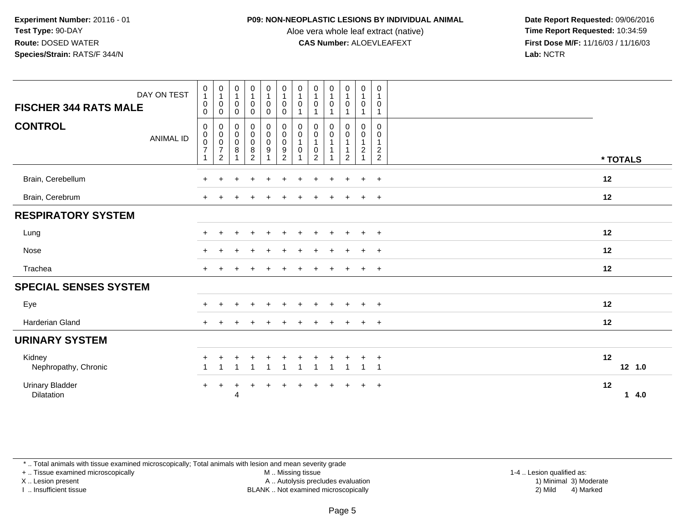#### **P09: NON-NEOPLASTIC LESIONS BY INDIVIDUAL ANIMAL**

Aloe vera whole leaf extract (native)<br>**CAS Number:** ALOEVLEAFEXT

 **Date Report Requested:** 09/06/2016 **First Dose M/F:** 11/16/03 / 11/16/03<br>**Lab:** NCTR **Lab:** NCTR

| DAY ON TEST<br><b>FISCHER 344 RATS MALE</b> | $\begin{matrix} 0 \\ 1 \end{matrix}$<br>$\mathbf 0$<br>$\mathbf 0$ | $\begin{smallmatrix}0\\1\end{smallmatrix}$<br>$\,0\,$<br>$\mathsf{O}\xspace$ | $\begin{smallmatrix}0\\1\end{smallmatrix}$<br>$\mathbf 0$<br>$\pmb{0}$ | 0<br>$\mathbf 1$<br>$\pmb{0}$<br>$\mathbf 0$                 | 0<br>$\mathbf{1}$<br>$\mathbf 0$<br>$\mathbf 0$ | $\begin{smallmatrix}0\\1\end{smallmatrix}$<br>$\mathbf 0$<br>$\mathsf 0$ | $\boldsymbol{0}$<br>$\mathbf{1}$<br>$\pmb{0}$<br>$\overline{ }$ | $\begin{smallmatrix}0\\1\end{smallmatrix}$<br>$\mathbf 0$<br>$\overline{1}$ | $\begin{smallmatrix}0\\1\end{smallmatrix}$<br>$\mathbf 0$ | $\begin{smallmatrix}0\1\end{smallmatrix}$<br>$\pmb{0}$<br>$\mathbf{1}$ | 0<br>$\mathbf{1}$<br>0<br>$\mathbf{1}$                             | $\mathbf 0$<br>$\mathbf{1}$<br>0<br>$\mathbf{1}$                  |    |          |
|---------------------------------------------|--------------------------------------------------------------------|------------------------------------------------------------------------------|------------------------------------------------------------------------|--------------------------------------------------------------|-------------------------------------------------|--------------------------------------------------------------------------|-----------------------------------------------------------------|-----------------------------------------------------------------------------|-----------------------------------------------------------|------------------------------------------------------------------------|--------------------------------------------------------------------|-------------------------------------------------------------------|----|----------|
| <b>CONTROL</b><br><b>ANIMAL ID</b>          | 0<br>$\pmb{0}$<br>$\pmb{0}$<br>$\boldsymbol{7}$                    | 000072                                                                       | 0<br>$\mathbf 0$<br>$\pmb{0}$<br>$\,8\,$<br>$\overline{A}$             | 0<br>$\pmb{0}$<br>$\pmb{0}$<br>$\,$ 8 $\,$<br>$\overline{c}$ | 0<br>$\pmb{0}$<br>$\pmb{0}$<br>9                | $\pmb{0}$<br>$\pmb{0}$<br>$\pmb{0}$<br>$\frac{9}{2}$                     | 0<br>$\overline{0}$<br>$\mathbf{1}$<br>$\pmb{0}$                | 0<br>$\mathbf 0$<br>$\overline{1}$<br>$\mathbf 0$<br>$\overline{2}$         | 0<br>$\mathbf 0$<br>$\mathbf{1}$                          | 0<br>$\mathsf{O}$<br>$\mathbf{1}$<br>1<br>$\overline{2}$               | 0<br>$\mathbf 0$<br>$\mathbf{1}$<br>$\overline{c}$<br>$\mathbf{1}$ | $\Omega$<br>0<br>$\mathbf{1}$<br>$\overline{a}$<br>$\overline{2}$ |    | * TOTALS |
| Brain, Cerebellum                           |                                                                    |                                                                              |                                                                        |                                                              |                                                 |                                                                          |                                                                 |                                                                             |                                                           |                                                                        |                                                                    | $\div$                                                            | 12 |          |
| Brain, Cerebrum                             | $+$                                                                |                                                                              |                                                                        |                                                              |                                                 |                                                                          | $\ddot{}$                                                       | $\pm$                                                                       | $\ddot{}$                                                 | $\overline{+}$                                                         | $+$                                                                | $+$                                                               | 12 |          |
| <b>RESPIRATORY SYSTEM</b>                   |                                                                    |                                                                              |                                                                        |                                                              |                                                 |                                                                          |                                                                 |                                                                             |                                                           |                                                                        |                                                                    |                                                                   |    |          |
| Lung                                        | $+$                                                                |                                                                              |                                                                        |                                                              | $\ddot{}$                                       | $+$                                                                      | $\pm$                                                           | $+$                                                                         | $\div$                                                    | $\overline{+}$                                                         | $+$                                                                | $+$                                                               | 12 |          |
| Nose                                        |                                                                    |                                                                              |                                                                        |                                                              |                                                 |                                                                          |                                                                 |                                                                             |                                                           |                                                                        | $\ddot{}$                                                          | $\overline{+}$                                                    | 12 |          |
| Trachea                                     | $\pm$                                                              |                                                                              |                                                                        |                                                              |                                                 |                                                                          |                                                                 |                                                                             |                                                           |                                                                        | $+$                                                                | $+$                                                               | 12 |          |
| <b>SPECIAL SENSES SYSTEM</b>                |                                                                    |                                                                              |                                                                        |                                                              |                                                 |                                                                          |                                                                 |                                                                             |                                                           |                                                                        |                                                                    |                                                                   |    |          |
| Eye                                         |                                                                    |                                                                              |                                                                        |                                                              | $\ddot{}$                                       | $\ddot{}$                                                                | $\div$                                                          | $+$                                                                         | $\div$                                                    | $\overline{+}$                                                         | $+$                                                                | $+$                                                               | 12 |          |
| Harderian Gland                             |                                                                    |                                                                              |                                                                        |                                                              |                                                 | $\div$                                                                   |                                                                 |                                                                             |                                                           |                                                                        | $\pm$                                                              | $+$                                                               | 12 |          |
| <b>URINARY SYSTEM</b>                       |                                                                    |                                                                              |                                                                        |                                                              |                                                 |                                                                          |                                                                 |                                                                             |                                                           |                                                                        |                                                                    |                                                                   |    |          |
| Kidney<br>Nephropathy, Chronic              |                                                                    |                                                                              |                                                                        |                                                              |                                                 |                                                                          | $\overline{ }$                                                  |                                                                             | $\overline{\mathbf{A}}$                                   | 1                                                                      | $\overline{1}$                                                     | $\cdot$<br>$\overline{1}$                                         | 12 | 12 1.0   |
| <b>Urinary Bladder</b><br><b>Dilatation</b> | $+$                                                                | $\pm$                                                                        | 4                                                                      |                                                              |                                                 |                                                                          |                                                                 |                                                                             |                                                           |                                                                        |                                                                    | $\div$                                                            | 12 | 14.0     |

\* .. Total animals with tissue examined microscopically; Total animals with lesion and mean severity grade

+ .. Tissue examined microscopically

X .. Lesion present

I .. Insufficient tissue

M .. Missing tissue

Lesion present A .. Autolysis precludes evaluation 1) Minimal 3) Moderate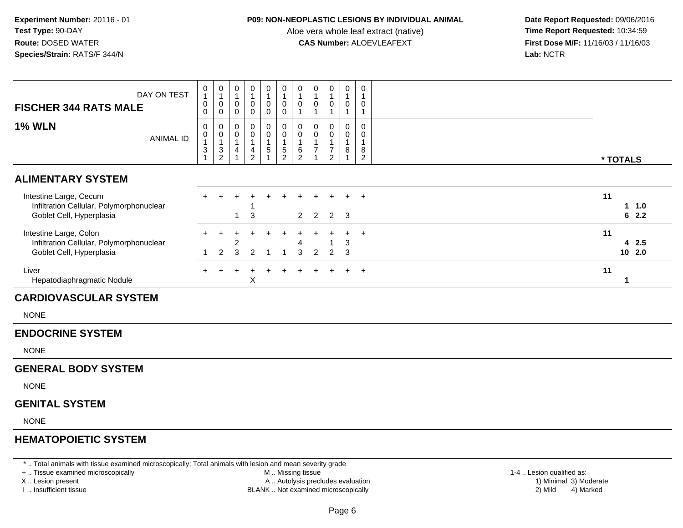## **P09: NON-NEOPLASTIC LESIONS BY INDIVIDUAL ANIMAL**

Aloe vera whole leaf extract (native)<br>**CAS Number:** ALOEVLEAFEXT

 **Date Report Requested:** 09/06/2016 **First Dose M/F:** 11/16/03 / 11/16/03<br>Lab: NCTR **Lab:** NCTR

| DAY ON TEST<br><b>FISCHER 344 RATS MALE</b>                                                                                                    | $\mathbf 0$<br>$\mathbf{1}$<br>$\pmb{0}$<br>$\pmb{0}$                               | $\mathbf 0$<br>$\mathbf{1}$<br>0<br>$\mathsf{O}$                      | $\pmb{0}$<br>$\overline{1}$<br>$\mathbf 0$<br>$\mathbf 0$                         | 0<br>$\overline{1}$<br>0<br>$\mathbf 0$                                     | $\pmb{0}$<br>$\mathbf{1}$<br>$\mathbf 0$<br>$\mathbf 0$                    | 0<br>$\mathbf{1}$<br>0<br>$\mathbf 0$             | 0<br>$\overline{1}$<br>$\mathbf 0$<br>$\mathbf{1}$                    | $\mathbf 0$<br>$\mathbf{1}$<br>$\mathbf 0$<br>$\mathbf{1}$ | $\pmb{0}$<br>$\mathbf{1}$<br>0<br>$\mathbf{1}$                                    | $\pmb{0}$<br>$\mathbf{1}$<br>$\pmb{0}$<br>$\mathbf{1}$ | $\mathbf 0$<br>$\mathbf{1}$<br>$\mathbf 0$<br>$\mathbf{1}$ |                           |
|------------------------------------------------------------------------------------------------------------------------------------------------|-------------------------------------------------------------------------------------|-----------------------------------------------------------------------|-----------------------------------------------------------------------------------|-----------------------------------------------------------------------------|----------------------------------------------------------------------------|---------------------------------------------------|-----------------------------------------------------------------------|------------------------------------------------------------|-----------------------------------------------------------------------------------|--------------------------------------------------------|------------------------------------------------------------|---------------------------|
| <b>1% WLN</b><br><b>ANIMAL ID</b>                                                                                                              | $\pmb{0}$<br>$\pmb{0}$<br>$\mathbf{1}$<br>$\ensuremath{\mathsf{3}}$<br>$\mathbf{1}$ | 0<br>0<br>$\mathbf{1}$<br>$\ensuremath{\mathsf{3}}$<br>$\overline{2}$ | $\pmb{0}$<br>$\boldsymbol{0}$<br>$\overline{1}$<br>$\overline{4}$<br>$\mathbf{1}$ | 0<br>$\mathbf 0$<br>$\overline{1}$<br>$\begin{array}{c} 4 \\ 2 \end{array}$ | $\mathbf 0$<br>$\mathbf 0$<br>$\overline{1}$<br>$\sqrt{5}$<br>$\mathbf{1}$ | 0<br>$\mathbf 0$<br>$\mathbf{1}$<br>$\frac{5}{2}$ | $\mathbf 0$<br>$\mathsf{O}\xspace$<br>$\overline{1}$<br>$\frac{6}{2}$ | $\mathbf 0$<br>$\Omega$<br>$\mathbf{1}$<br>$\overline{7}$  | $\mathbf 0$<br>$\mathbf{0}$<br>$\mathbf{1}$<br>$\boldsymbol{7}$<br>$\overline{c}$ | 0<br>0<br>$\mathbf{1}$<br>$\bf 8$<br>$\overline{1}$    | $\mathbf 0$<br>$\Omega$<br>$\mathbf{1}$<br>$\bf 8$<br>2    | * TOTALS                  |
| <b>ALIMENTARY SYSTEM</b>                                                                                                                       |                                                                                     |                                                                       |                                                                                   |                                                                             |                                                                            |                                                   |                                                                       |                                                            |                                                                                   |                                                        |                                                            |                           |
| Intestine Large, Cecum<br>Infiltration Cellular, Polymorphonuclear<br>Goblet Cell, Hyperplasia                                                 |                                                                                     |                                                                       | 1                                                                                 | 3                                                                           |                                                                            |                                                   | $2^{\circ}$                                                           | $\overline{2}$                                             | $2^{\circ}$                                                                       | 3                                                      | $\ddot{}$                                                  | 11<br>$1 1.0$<br>62.2     |
| Intestine Large, Colon<br>Infiltration Cellular, Polymorphonuclear<br>Goblet Cell, Hyperplasia                                                 | -1                                                                                  | $\overline{2}$                                                        | 2<br>3                                                                            | 2                                                                           | -1                                                                         | 1                                                 | 3                                                                     | $\overline{2}$                                             | 1<br>2                                                                            | 3<br>3                                                 | $+$                                                        | 11<br>42.5<br>10, 2.0     |
| Liver<br>Hepatodiaphragmatic Nodule                                                                                                            |                                                                                     |                                                                       |                                                                                   | Χ                                                                           |                                                                            | $\ddot{}$                                         |                                                                       |                                                            |                                                                                   |                                                        | $+$                                                        | 11<br>$\mathbf{1}$        |
| <b>CARDIOVASCULAR SYSTEM</b>                                                                                                                   |                                                                                     |                                                                       |                                                                                   |                                                                             |                                                                            |                                                   |                                                                       |                                                            |                                                                                   |                                                        |                                                            |                           |
| <b>NONE</b>                                                                                                                                    |                                                                                     |                                                                       |                                                                                   |                                                                             |                                                                            |                                                   |                                                                       |                                                            |                                                                                   |                                                        |                                                            |                           |
| <b>ENDOCRINE SYSTEM</b>                                                                                                                        |                                                                                     |                                                                       |                                                                                   |                                                                             |                                                                            |                                                   |                                                                       |                                                            |                                                                                   |                                                        |                                                            |                           |
| <b>NONE</b>                                                                                                                                    |                                                                                     |                                                                       |                                                                                   |                                                                             |                                                                            |                                                   |                                                                       |                                                            |                                                                                   |                                                        |                                                            |                           |
| <b>GENERAL BODY SYSTEM</b>                                                                                                                     |                                                                                     |                                                                       |                                                                                   |                                                                             |                                                                            |                                                   |                                                                       |                                                            |                                                                                   |                                                        |                                                            |                           |
| <b>NONE</b>                                                                                                                                    |                                                                                     |                                                                       |                                                                                   |                                                                             |                                                                            |                                                   |                                                                       |                                                            |                                                                                   |                                                        |                                                            |                           |
| <b>GENITAL SYSTEM</b>                                                                                                                          |                                                                                     |                                                                       |                                                                                   |                                                                             |                                                                            |                                                   |                                                                       |                                                            |                                                                                   |                                                        |                                                            |                           |
| <b>NONE</b>                                                                                                                                    |                                                                                     |                                                                       |                                                                                   |                                                                             |                                                                            |                                                   |                                                                       |                                                            |                                                                                   |                                                        |                                                            |                           |
| <b>HEMATOPOIETIC SYSTEM</b>                                                                                                                    |                                                                                     |                                                                       |                                                                                   |                                                                             |                                                                            |                                                   |                                                                       |                                                            |                                                                                   |                                                        |                                                            |                           |
| *  Total animals with tissue examined microscopically; Total animals with lesion and mean severity grade<br>+  Tissue examined microscopically |                                                                                     |                                                                       |                                                                                   |                                                                             |                                                                            | M  Missing tissue                                 |                                                                       |                                                            |                                                                                   |                                                        |                                                            | 1-4  Lesion qualified as: |

X .. Lesion present

I .. Insufficient tissue

- A .. Autolysis precludes evaluation 1) Minimal 3) Moderate
- BLANK .. Not examined microscopically 2) Mild 4) Marked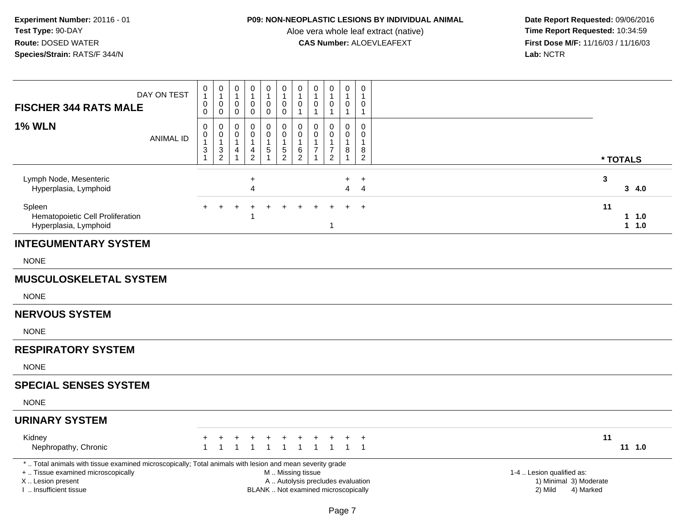## **P09: NON-NEOPLASTIC LESIONS BY INDIVIDUAL ANIMAL**

Aloe vera whole leaf extract (native)<br>**CAS Number:** ALOEVLEAFEXT

| <b>FISCHER 344 RATS MALE</b>                                                                                                                                                                  | DAY ON TEST      | 0<br>$\mathbf{1}$<br>$\pmb{0}$<br>0        | $\pmb{0}$<br>$\overline{1}$<br>$\mathbf 0$<br>$\mathbf 0$               | 0<br>1<br>0<br>$\pmb{0}$         | $\mathbf 0$<br>$\mathbf{1}$<br>$\pmb{0}$<br>$\pmb{0}$ | $\mathsf{O}\xspace$<br>$\mathbf{1}$<br>$\pmb{0}$<br>$\pmb{0}$  | 0<br>$\mathbf{1}$<br>$\pmb{0}$<br>$\mathsf{O}\xspace$                                         | $\pmb{0}$<br>$\mathbf{1}$<br>$\pmb{0}$<br>$\mathbf{1}$    | $\mathbf 0$<br>$\overline{1}$<br>0<br>$\overline{1}$ | $\boldsymbol{0}$<br>$\mathbf{1}$<br>$\pmb{0}$<br>$\mathbf{1}$               | 0<br>1<br>0<br>$\mathbf{1}$               | 0<br>$\mathbf{1}$<br>$\pmb{0}$<br>$\mathbf{1}$              |                                                                             |                      |
|-----------------------------------------------------------------------------------------------------------------------------------------------------------------------------------------------|------------------|--------------------------------------------|-------------------------------------------------------------------------|----------------------------------|-------------------------------------------------------|----------------------------------------------------------------|-----------------------------------------------------------------------------------------------|-----------------------------------------------------------|------------------------------------------------------|-----------------------------------------------------------------------------|-------------------------------------------|-------------------------------------------------------------|-----------------------------------------------------------------------------|----------------------|
| <b>1% WLN</b>                                                                                                                                                                                 | <b>ANIMAL ID</b> | $\pmb{0}$<br>0<br>$\overline{1}$<br>3<br>1 | $\boldsymbol{0}$<br>$\boldsymbol{0}$<br>$\overline{1}$<br>$\frac{3}{2}$ | 0<br>0<br>1<br>4<br>$\mathbf{1}$ | 0<br>$\mathbf 0$<br>$\mathbf{1}$<br>$\frac{4}{2}$     | 0<br>$\pmb{0}$<br>$\mathbf{1}$<br>$\sqrt{5}$<br>$\overline{1}$ | 0<br>$\mathbf 0$<br>1<br>$\frac{5}{2}$                                                        | $\pmb{0}$<br>$\pmb{0}$<br>$\overline{1}$<br>$\frac{6}{2}$ | 0<br>$\Omega$<br>7                                   | $\Omega$<br>$\mathbf 0$<br>$\mathbf{1}$<br>$\overline{7}$<br>$\overline{2}$ | 0<br>0<br>$\mathbf 1$<br>8<br>$\mathbf 1$ | $\mathbf 0$<br>$\mathbf 0$<br>$\mathbf{1}$<br>$\frac{8}{2}$ |                                                                             | * TOTALS             |
| Lymph Node, Mesenteric<br>Hyperplasia, Lymphoid                                                                                                                                               |                  |                                            |                                                                         |                                  | $\ddot{}$<br>4                                        |                                                                |                                                                                               |                                                           |                                                      |                                                                             | +<br>$\overline{\mathbf{4}}$              | $\ddot{}$<br>$\overline{4}$                                 | $\mathbf{3}$                                                                | 3, 4.0               |
| Spleen<br>Hematopoietic Cell Proliferation<br>Hyperplasia, Lymphoid                                                                                                                           |                  |                                            |                                                                         |                                  |                                                       |                                                                |                                                                                               |                                                           |                                                      | 1                                                                           |                                           | $\ddot{}$                                                   | 11                                                                          | $1 \t1.0$<br>$1 1.0$ |
| <b>INTEGUMENTARY SYSTEM</b>                                                                                                                                                                   |                  |                                            |                                                                         |                                  |                                                       |                                                                |                                                                                               |                                                           |                                                      |                                                                             |                                           |                                                             |                                                                             |                      |
| <b>NONE</b>                                                                                                                                                                                   |                  |                                            |                                                                         |                                  |                                                       |                                                                |                                                                                               |                                                           |                                                      |                                                                             |                                           |                                                             |                                                                             |                      |
| <b>MUSCULOSKELETAL SYSTEM</b>                                                                                                                                                                 |                  |                                            |                                                                         |                                  |                                                       |                                                                |                                                                                               |                                                           |                                                      |                                                                             |                                           |                                                             |                                                                             |                      |
| <b>NONE</b>                                                                                                                                                                                   |                  |                                            |                                                                         |                                  |                                                       |                                                                |                                                                                               |                                                           |                                                      |                                                                             |                                           |                                                             |                                                                             |                      |
| <b>NERVOUS SYSTEM</b>                                                                                                                                                                         |                  |                                            |                                                                         |                                  |                                                       |                                                                |                                                                                               |                                                           |                                                      |                                                                             |                                           |                                                             |                                                                             |                      |
| <b>NONE</b>                                                                                                                                                                                   |                  |                                            |                                                                         |                                  |                                                       |                                                                |                                                                                               |                                                           |                                                      |                                                                             |                                           |                                                             |                                                                             |                      |
| <b>RESPIRATORY SYSTEM</b>                                                                                                                                                                     |                  |                                            |                                                                         |                                  |                                                       |                                                                |                                                                                               |                                                           |                                                      |                                                                             |                                           |                                                             |                                                                             |                      |
| <b>NONE</b>                                                                                                                                                                                   |                  |                                            |                                                                         |                                  |                                                       |                                                                |                                                                                               |                                                           |                                                      |                                                                             |                                           |                                                             |                                                                             |                      |
| <b>SPECIAL SENSES SYSTEM</b>                                                                                                                                                                  |                  |                                            |                                                                         |                                  |                                                       |                                                                |                                                                                               |                                                           |                                                      |                                                                             |                                           |                                                             |                                                                             |                      |
| <b>NONE</b>                                                                                                                                                                                   |                  |                                            |                                                                         |                                  |                                                       |                                                                |                                                                                               |                                                           |                                                      |                                                                             |                                           |                                                             |                                                                             |                      |
| <b>URINARY SYSTEM</b>                                                                                                                                                                         |                  |                                            |                                                                         |                                  |                                                       |                                                                |                                                                                               |                                                           |                                                      |                                                                             |                                           |                                                             |                                                                             |                      |
| Kidney<br>Nephropathy, Chronic                                                                                                                                                                |                  |                                            |                                                                         |                                  |                                                       |                                                                |                                                                                               |                                                           |                                                      |                                                                             |                                           | $^{+}$                                                      | 11                                                                          | $11 \t1.0$           |
| *  Total animals with tissue examined microscopically; Total animals with lesion and mean severity grade<br>+  Tissue examined microscopically<br>X  Lesion present<br>I. Insufficient tissue |                  |                                            |                                                                         |                                  |                                                       |                                                                | M  Missing tissue<br>A  Autolysis precludes evaluation<br>BLANK  Not examined microscopically |                                                           |                                                      |                                                                             |                                           |                                                             | 1-4  Lesion qualified as:<br>1) Minimal 3) Moderate<br>2) Mild<br>4) Marked |                      |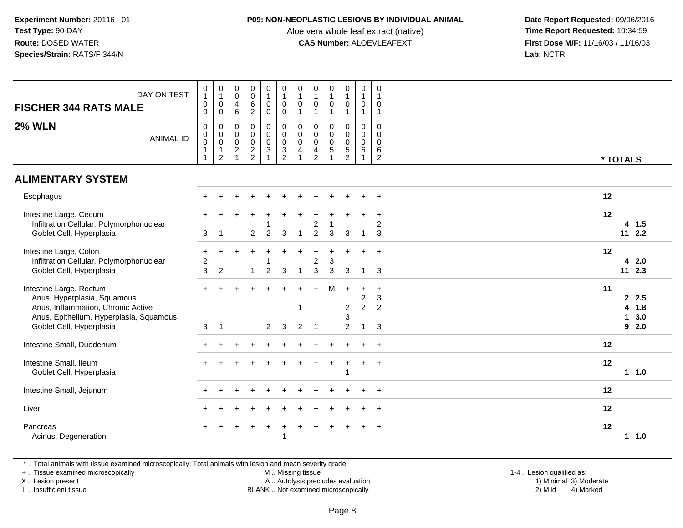#### **P09: NON-NEOPLASTIC LESIONS BY INDIVIDUAL ANIMAL**

Aloe vera whole leaf extract (native)<br>**CAS Number:** ALOEVLEAFEXT

 **Date Report Requested:** 09/06/2016 **First Dose M/F:** 11/16/03 / 11/16/03<br>Lab: NCTR **Lab:** NCTR

| DAY ON TEST<br><b>FISCHER 344 RATS MALE</b><br><b>2% WLN</b><br><b>ANIMAL ID</b>                                                                                    | 0<br>$\mathbf{1}$<br>$\mathbf 0$<br>0<br>0<br>$\mathbf 0$<br>$\mathsf{O}\xspace$<br>$\mathbf{1}$ | $\begin{smallmatrix}0\\1\end{smallmatrix}$<br>$\mathsf{O}\xspace$<br>$\mathbf 0$<br>$\begin{smallmatrix}0\\0\\0\end{smallmatrix}$<br>$\mathbf{1}$<br>$\sqrt{2}$ | $\pmb{0}$<br>$\,0\,$<br>$\overline{4}$<br>$\overline{6}$<br>0<br>$\mathbf 0$<br>$\,0\,$<br>$\sqrt{2}$<br>$\mathbf{1}$ | $_{\rm 0}^{\rm 0}$<br>$6\phantom{a}$<br>$\overline{2}$<br>$\pmb{0}$<br>$\mathbf 0$<br>$\mathbf 0$<br>$\frac{2}{2}$ | $\begin{smallmatrix}0\1\end{smallmatrix}$<br>$\mathbf 0$<br>$\mathsf{O}\xspace$<br>$\begin{smallmatrix}0\0\0\end{smallmatrix}$<br>$\mathsf{O}\xspace$<br>$\overline{3}$<br>$\mathbf{1}$ | $\begin{smallmatrix}0\1\end{smallmatrix}$<br>$\begin{smallmatrix} 0\\0 \end{smallmatrix}$<br>$\begin{smallmatrix} 0\\0 \end{smallmatrix}$<br>$\mathsf{O}\xspace$<br>$\frac{3}{2}$ | $\pmb{0}$<br>$\mathbf{1}$<br>$\mathbf 0$<br>$\overline{1}$<br>$\begin{smallmatrix} 0\\0 \end{smallmatrix}$<br>$\mathbf 0$<br>$\overline{4}$ | $\pmb{0}$<br>$\overline{1}$<br>0<br>$\overline{1}$<br>$\mathbf 0$<br>$\mathbf 0$<br>$\mathbf 0$<br>4<br>$\overline{c}$ | $\pmb{0}$<br>$\mathbf{1}$<br>$\mathbf 0$<br>$\mathbf{1}$<br>$\mathbf 0$<br>$\mathsf 0$<br>$\mathbf 0$<br>5<br>$\overline{1}$ | 0<br>$\mathbf 0$<br>$\mathbf{1}$<br>0<br>$\mathbf 0$<br>$\mathbf 0$<br>$\frac{5}{2}$ | $\pmb{0}$<br>$\mathbf{1}$<br>$\mathbf 0$<br>$\mathbf{1}$<br>$\mathbf 0$<br>$\mathbf 0$<br>$\mathbf 0$<br>$\,6\,$<br>$\overline{1}$ | $\mathbf 0$<br>$\mathbf 1$<br>0<br>$\mathbf{1}$<br>$\mathsf{O}\xspace$<br>$\mathbf 0$<br>$\mathsf{O}\xspace$<br>6<br>$\overline{2}$ | * TOTALS                                   |
|---------------------------------------------------------------------------------------------------------------------------------------------------------------------|--------------------------------------------------------------------------------------------------|-----------------------------------------------------------------------------------------------------------------------------------------------------------------|-----------------------------------------------------------------------------------------------------------------------|--------------------------------------------------------------------------------------------------------------------|-----------------------------------------------------------------------------------------------------------------------------------------------------------------------------------------|-----------------------------------------------------------------------------------------------------------------------------------------------------------------------------------|---------------------------------------------------------------------------------------------------------------------------------------------|------------------------------------------------------------------------------------------------------------------------|------------------------------------------------------------------------------------------------------------------------------|--------------------------------------------------------------------------------------|------------------------------------------------------------------------------------------------------------------------------------|-------------------------------------------------------------------------------------------------------------------------------------|--------------------------------------------|
| <b>ALIMENTARY SYSTEM</b>                                                                                                                                            |                                                                                                  |                                                                                                                                                                 |                                                                                                                       |                                                                                                                    |                                                                                                                                                                                         |                                                                                                                                                                                   |                                                                                                                                             |                                                                                                                        |                                                                                                                              |                                                                                      |                                                                                                                                    |                                                                                                                                     |                                            |
| Esophagus                                                                                                                                                           |                                                                                                  |                                                                                                                                                                 |                                                                                                                       |                                                                                                                    |                                                                                                                                                                                         |                                                                                                                                                                                   |                                                                                                                                             |                                                                                                                        |                                                                                                                              |                                                                                      |                                                                                                                                    | $\ddot{}$                                                                                                                           | 12                                         |
| Intestine Large, Cecum<br>Infiltration Cellular, Polymorphonuclear<br>Goblet Cell, Hyperplasia                                                                      | 3                                                                                                | $\overline{1}$                                                                                                                                                  |                                                                                                                       | $\overline{2}$                                                                                                     | $\overline{2}$                                                                                                                                                                          | 3                                                                                                                                                                                 | $\overline{1}$                                                                                                                              | 2<br>$\overline{2}$                                                                                                    | $\mathbf{3}$                                                                                                                 | $\mathbf{3}$                                                                         | $\overline{1}$                                                                                                                     | $\ddot{}$<br>$\overline{2}$<br>$\mathbf{3}$                                                                                         | 12<br>$4$ 1.5<br>112.2                     |
| Intestine Large, Colon<br>Infiltration Cellular, Polymorphonuclear<br>Goblet Cell, Hyperplasia                                                                      | $\ddot{}$<br>$\overline{c}$<br>3                                                                 | $\ddot{}$<br>$\overline{2}$                                                                                                                                     |                                                                                                                       | 1                                                                                                                  | $\overline{c}$                                                                                                                                                                          | $\mathbf{3}$                                                                                                                                                                      |                                                                                                                                             | $\overline{\mathbf{c}}$<br>3                                                                                           | 3<br>3                                                                                                                       | 3                                                                                    | -1                                                                                                                                 | $\ddot{}$<br>3                                                                                                                      | 12<br>42.0<br>$11$ 2.3                     |
| Intestine Large, Rectum<br>Anus, Hyperplasia, Squamous<br>Anus, Inflammation, Chronic Active<br>Anus, Epithelium, Hyperplasia, Squamous<br>Goblet Cell, Hyperplasia | $+$<br>3                                                                                         | -1                                                                                                                                                              |                                                                                                                       |                                                                                                                    | $\overline{2}$                                                                                                                                                                          | 3                                                                                                                                                                                 | -1<br>$\overline{2}$                                                                                                                        | $\ddot{}$<br>$\overline{1}$                                                                                            | M                                                                                                                            | $\ddot{}$<br>$\overline{c}$<br>3<br>$\overline{2}$                                   | $\ddot{}$<br>$\overline{\mathbf{c}}$<br>$\overline{2}$<br>1                                                                        | $+$<br>3<br>$\overline{2}$<br>3                                                                                                     | 11<br>2.5<br>1.8<br>4<br>3.0<br>-1<br>92.0 |
| Intestine Small, Duodenum                                                                                                                                           |                                                                                                  |                                                                                                                                                                 |                                                                                                                       |                                                                                                                    |                                                                                                                                                                                         |                                                                                                                                                                                   |                                                                                                                                             |                                                                                                                        |                                                                                                                              |                                                                                      |                                                                                                                                    | $\ddot{}$                                                                                                                           | 12                                         |
| Intestine Small, Ileum<br>Goblet Cell, Hyperplasia                                                                                                                  |                                                                                                  |                                                                                                                                                                 |                                                                                                                       |                                                                                                                    |                                                                                                                                                                                         |                                                                                                                                                                                   |                                                                                                                                             |                                                                                                                        |                                                                                                                              | 1                                                                                    | $+$                                                                                                                                | $+$                                                                                                                                 | 12<br>$1 1.0$                              |
| Intestine Small, Jejunum                                                                                                                                            |                                                                                                  |                                                                                                                                                                 |                                                                                                                       |                                                                                                                    |                                                                                                                                                                                         |                                                                                                                                                                                   |                                                                                                                                             |                                                                                                                        |                                                                                                                              |                                                                                      |                                                                                                                                    | $\ddot{}$                                                                                                                           | 12                                         |
| Liver                                                                                                                                                               |                                                                                                  |                                                                                                                                                                 |                                                                                                                       |                                                                                                                    |                                                                                                                                                                                         |                                                                                                                                                                                   |                                                                                                                                             |                                                                                                                        |                                                                                                                              |                                                                                      |                                                                                                                                    |                                                                                                                                     | 12                                         |
| Pancreas<br>Acinus, Degeneration                                                                                                                                    |                                                                                                  |                                                                                                                                                                 |                                                                                                                       |                                                                                                                    |                                                                                                                                                                                         |                                                                                                                                                                                   |                                                                                                                                             |                                                                                                                        |                                                                                                                              |                                                                                      |                                                                                                                                    | $\ddot{}$                                                                                                                           | 12<br>11.0                                 |

\* .. Total animals with tissue examined microscopically; Total animals with lesion and mean severity grade

+ .. Tissue examined microscopically

X .. Lesion present

I .. Insufficient tissue

M .. Missing tissue

A .. Autolysis precludes evaluation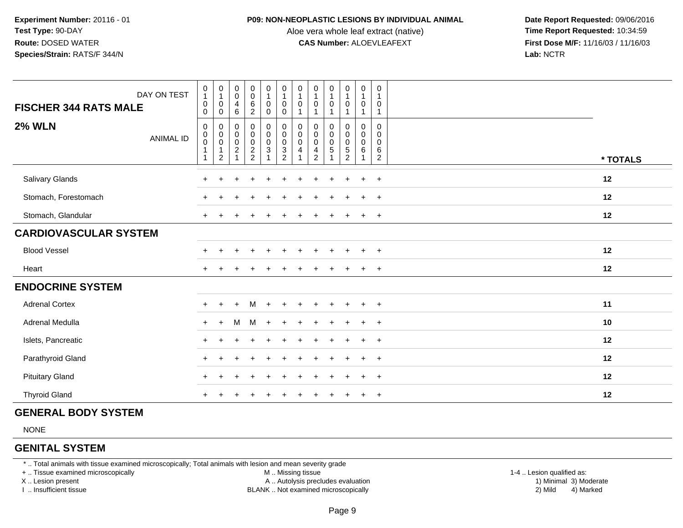#### **P09: NON-NEOPLASTIC LESIONS BY INDIVIDUAL ANIMAL**

Aloe vera whole leaf extract (native)<br>**CAS Number:** ALOEVLEAFEXT

 **Date Report Requested:** 09/06/2016 **First Dose M/F:** 11/16/03 / 11/16/03<br>**Lab:** NCTR **Lab:** NCTR

| DAY ON TEST<br><b>FISCHER 344 RATS MALE</b> | $\pmb{0}$<br>$\mathbf{1}$<br>0<br>$\Omega$             | $\begin{smallmatrix}0\\1\end{smallmatrix}$<br>$\pmb{0}$<br>$\mathbf 0$ | $\begin{smallmatrix} 0\\0 \end{smallmatrix}$<br>$\overline{4}$<br>6    | $0006$<br>2 | $\begin{smallmatrix}0\1\end{smallmatrix}$<br>$\mathbf 0$<br>0 | $\begin{smallmatrix}0\\1\end{smallmatrix}$<br>$\pmb{0}$<br>$\mathbf 0$ | $\pmb{0}$<br>$\mathbf{1}$<br>0<br>$\mathbf{1}$       | $\mathbf 0$<br>$\mathbf{1}$<br>$\pmb{0}$<br>1                                         | $\mathbf 0$<br>$\mathbf{1}$<br>0<br>$\overline{ }$ | $\begin{smallmatrix}0\\1\end{smallmatrix}$<br>$\pmb{0}$<br>$\mathbf{1}$ | $\pmb{0}$<br>$\mathbf{1}$<br>$\boldsymbol{0}$<br>$\mathbf{1}$ | 0<br>$\overline{1}$<br>0<br>$\mathbf 1$              |          |
|---------------------------------------------|--------------------------------------------------------|------------------------------------------------------------------------|------------------------------------------------------------------------|-------------|---------------------------------------------------------------|------------------------------------------------------------------------|------------------------------------------------------|---------------------------------------------------------------------------------------|----------------------------------------------------|-------------------------------------------------------------------------|---------------------------------------------------------------|------------------------------------------------------|----------|
| <b>2% WLN</b><br><b>ANIMAL ID</b>           | $\pmb{0}$<br>$_{\rm 0}^{\rm 0}$<br>$\overline{1}$<br>1 | $\pmb{0}$<br>$\overline{0}$<br>$\mathbf{1}$<br>$\overline{2}$          | $\pmb{0}$<br>$\begin{matrix} 0 \\ 0 \\ 2 \end{matrix}$<br>$\mathbf{1}$ | 0000022     | 0<br>$\begin{bmatrix} 0 \\ 0 \\ 3 \end{bmatrix}$              | 0<br>0<br>0<br>2<br>2                                                  | 0<br>$\pmb{0}$<br>$\mathbf 0$<br>$\overline{4}$<br>1 | $\pmb{0}$<br>$\pmb{0}$<br>$\overline{0}$<br>$\overline{\mathbf{4}}$<br>$\overline{2}$ | 0<br>$\pmb{0}$<br>$\ddot{\mathbf{0}}$<br>5         | 0<br>$\begin{matrix} 0 \\ 0 \\ 5 \\ 2 \end{matrix}$                     | $\pmb{0}$<br>$\overline{0}$<br>$\,6\,$<br>$\mathbf{1}$        | $\Omega$<br>0<br>$\mathbf{0}$<br>6<br>$\overline{2}$ | * TOTALS |
| Salivary Glands                             |                                                        |                                                                        |                                                                        |             |                                                               |                                                                        |                                                      |                                                                                       |                                                    |                                                                         |                                                               | $+$                                                  | 12       |
| Stomach, Forestomach                        |                                                        |                                                                        |                                                                        |             |                                                               |                                                                        |                                                      |                                                                                       |                                                    |                                                                         |                                                               | $\ddot{}$                                            | 12       |
| Stomach, Glandular                          |                                                        |                                                                        |                                                                        |             |                                                               |                                                                        |                                                      |                                                                                       |                                                    |                                                                         |                                                               | $\overline{+}$                                       | 12       |
| <b>CARDIOVASCULAR SYSTEM</b>                |                                                        |                                                                        |                                                                        |             |                                                               |                                                                        |                                                      |                                                                                       |                                                    |                                                                         |                                                               |                                                      |          |
| <b>Blood Vessel</b>                         |                                                        |                                                                        |                                                                        |             |                                                               |                                                                        |                                                      |                                                                                       |                                                    |                                                                         |                                                               | $\ddot{}$                                            | 12       |
| Heart                                       |                                                        |                                                                        |                                                                        |             |                                                               |                                                                        |                                                      |                                                                                       |                                                    |                                                                         |                                                               | $+$                                                  | 12       |
| <b>ENDOCRINE SYSTEM</b>                     |                                                        |                                                                        |                                                                        |             |                                                               |                                                                        |                                                      |                                                                                       |                                                    |                                                                         |                                                               |                                                      |          |
| <b>Adrenal Cortex</b>                       |                                                        |                                                                        |                                                                        | м           | $\ddot{}$                                                     |                                                                        |                                                      |                                                                                       |                                                    | $\div$                                                                  | $\div$                                                        | $+$                                                  | 11       |
| Adrenal Medulla                             | $\pm$                                                  | $+$                                                                    | M                                                                      | M           | $+$                                                           |                                                                        |                                                      |                                                                                       |                                                    |                                                                         | $\ddot{}$                                                     | $+$                                                  | 10       |
| Islets, Pancreatic                          |                                                        |                                                                        |                                                                        |             |                                                               |                                                                        |                                                      |                                                                                       |                                                    |                                                                         |                                                               | $+$                                                  | 12       |
| Parathyroid Gland                           |                                                        |                                                                        |                                                                        |             |                                                               |                                                                        |                                                      |                                                                                       |                                                    |                                                                         | ÷                                                             | $+$                                                  | 12       |
| <b>Pituitary Gland</b>                      |                                                        |                                                                        |                                                                        |             |                                                               |                                                                        |                                                      |                                                                                       |                                                    |                                                                         | $+$                                                           | $+$                                                  | 12       |
| <b>Thyroid Gland</b>                        |                                                        |                                                                        |                                                                        |             |                                                               |                                                                        |                                                      |                                                                                       |                                                    |                                                                         |                                                               | $+$                                                  | 12       |

## **GENERAL BODY SYSTEM**

NONE

## **GENITAL SYSTEM**

\* .. Total animals with tissue examined microscopically; Total animals with lesion and mean severity grade

+ .. Tissue examined microscopically

X .. Lesion present

I .. Insufficient tissue

M .. Missing tissue

A .. Autolysis precludes evaluation

BLANK .. Not examined microscopically 2) Mild 4) Marked

1-4 .. Lesion qualified as:<br>1) Minimal 3) Moderate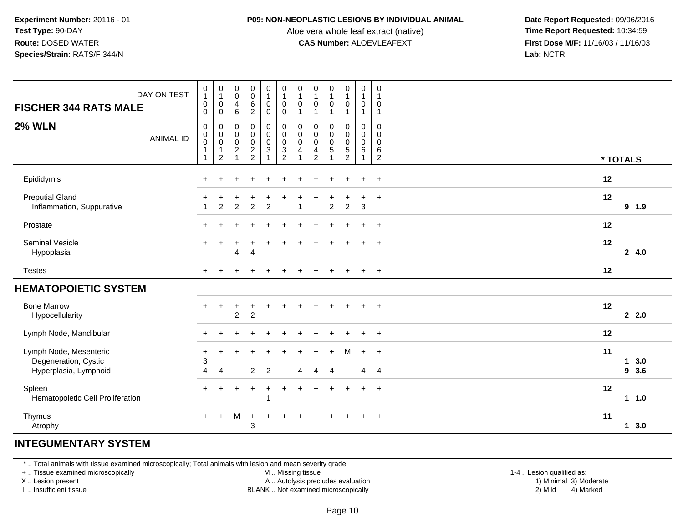#### **P09: NON-NEOPLASTIC LESIONS BY INDIVIDUAL ANIMAL**

Aloe vera whole leaf extract (native)<br>**CAS Number:** ALOEVLEAFEXT

 **Date Report Requested:** 09/06/2016 **First Dose M/F:** 11/16/03 / 11/16/03<br>**Lab:** NCTR **Lab:** NCTR

| DAY ON TEST<br><b>FISCHER 344 RATS MALE</b>                             | 0<br>$\mathbf{1}$<br>$\pmb{0}$<br>0                                                 | $\pmb{0}$<br>$\mathbf{1}$<br>$\boldsymbol{0}$<br>0        | $_{\rm 0}^{\rm 0}$<br>$\overline{\mathcal{A}}$<br>$\,6$ | $_{\rm 0}^{\rm 0}$<br>$6\phantom{a}$<br>$\overline{c}$    | $\mathbf 0$<br>$\overline{1}$<br>$\mathbf 0$<br>$\mathbf 0$ | $\begin{smallmatrix}0\\1\end{smallmatrix}$<br>$\pmb{0}$<br>$\mathbf 0$ | 0<br>$\mathbf{1}$<br>$\pmb{0}$<br>1 | $\begin{smallmatrix}0\\1\end{smallmatrix}$<br>$\pmb{0}$<br>1 | 0<br>$\mathbf{1}$<br>0<br>1 | $\mathbf 0$<br>$\overline{1}$<br>$\mathbf 0$<br>1 | $\pmb{0}$<br>$\overline{1}$<br>$\pmb{0}$<br>$\overline{1}$                     | $\mathbf 0$<br>$\mathbf{1}$<br>0<br>$\mathbf{1}$ |    |                       |
|-------------------------------------------------------------------------|-------------------------------------------------------------------------------------|-----------------------------------------------------------|---------------------------------------------------------|-----------------------------------------------------------|-------------------------------------------------------------|------------------------------------------------------------------------|-------------------------------------|--------------------------------------------------------------|-----------------------------|---------------------------------------------------|--------------------------------------------------------------------------------|--------------------------------------------------|----|-----------------------|
| <b>2% WLN</b><br><b>ANIMAL ID</b>                                       | $\mathbf 0$<br>$\mathbf 0$<br>$\ddot{\mathbf{0}}$<br>$\mathbf{1}$<br>$\overline{1}$ | 0<br>$\pmb{0}$<br>$\overline{0}$<br>1<br>$\boldsymbol{2}$ | 0<br>$\pmb{0}$<br>$\ddot{\mathbf{0}}$<br>$\frac{2}{1}$  | $\pmb{0}$<br>$\pmb{0}$<br>$\overline{0}$<br>$\frac{2}{2}$ | $\mathbf 0$<br>$\mathbf 0$<br>$\pmb{0}$<br>$\mathsf 3$      | $\pmb{0}$<br>$\mathbf 0$<br>$\pmb{0}$<br>$\frac{3}{2}$                 | 0<br>$\pmb{0}$<br>0<br>4            | $\pmb{0}$<br>$\pmb{0}$<br>$\pmb{0}$<br>4<br>$\overline{2}$   | 0<br>0<br>$\mathsf 0$<br>5  | 0<br>$\mathbf 0$<br>$\frac{0}{5}$                 | $\mathsf 0$<br>$\mathbf 0$<br>$\mathsf{O}\xspace$<br>$\,6\,$<br>$\overline{1}$ | 0<br>0<br>0<br>6<br>$\overline{c}$               |    | * TOTALS              |
| Epididymis                                                              |                                                                                     |                                                           |                                                         |                                                           |                                                             |                                                                        |                                     |                                                              |                             |                                                   |                                                                                | $\ddot{}$                                        | 12 |                       |
| <b>Preputial Gland</b><br>Inflammation, Suppurative                     |                                                                                     | $\overline{2}$                                            | 2                                                       | $\overline{2}$                                            | $\overline{2}$                                              |                                                                        | 1                                   |                                                              | $\overline{c}$              | $\overline{2}$                                    | $\mathbf{3}$                                                                   | $\ddot{}$                                        | 12 | 9 1.9                 |
| Prostate                                                                |                                                                                     |                                                           |                                                         |                                                           |                                                             |                                                                        |                                     |                                                              |                             |                                                   | ÷                                                                              | $\ddot{}$                                        | 12 |                       |
| <b>Seminal Vesicle</b><br>Hypoplasia                                    |                                                                                     |                                                           | 4                                                       | $\overline{4}$                                            |                                                             |                                                                        |                                     |                                                              |                             |                                                   |                                                                                | $\ddot{}$                                        | 12 | 24.0                  |
| <b>Testes</b>                                                           |                                                                                     |                                                           |                                                         |                                                           |                                                             |                                                                        |                                     |                                                              |                             |                                                   |                                                                                | $\ddot{}$                                        | 12 |                       |
| <b>HEMATOPOIETIC SYSTEM</b>                                             |                                                                                     |                                                           |                                                         |                                                           |                                                             |                                                                        |                                     |                                                              |                             |                                                   |                                                                                |                                                  |    |                       |
| <b>Bone Marrow</b><br>Hypocellularity                                   | $+$                                                                                 | +                                                         | $\overline{c}$                                          | $\ddot{}$<br>$\overline{2}$                               | $\ddot{}$                                                   |                                                                        |                                     |                                                              |                             |                                                   |                                                                                | $\overline{+}$                                   | 12 | 22.0                  |
| Lymph Node, Mandibular                                                  | ÷                                                                                   |                                                           |                                                         |                                                           |                                                             |                                                                        |                                     |                                                              |                             |                                                   |                                                                                | $\ddot{}$                                        | 12 |                       |
| Lymph Node, Mesenteric<br>Degeneration, Cystic<br>Hyperplasia, Lymphoid | $\ddot{}$<br>3<br>4                                                                 | ٠<br>4                                                    |                                                         | $\overline{2}$                                            | 2                                                           |                                                                        | 4                                   |                                                              | 4                           |                                                   | $\ddot{}$<br>4                                                                 | $\ddot{}$<br>-4                                  | 11 | $1 \quad 3.0$<br>93.6 |
| Spleen<br>Hematopoietic Cell Proliferation                              | $+$                                                                                 |                                                           |                                                         | $\ddot{}$                                                 | $\ddot{}$                                                   |                                                                        |                                     |                                                              |                             |                                                   | $\ddot{}$                                                                      | $+$                                              | 12 | $1 1.0$               |
| Thymus<br>Atrophy                                                       | $+$                                                                                 | $+$                                                       | м                                                       | $\overline{+}$<br>3                                       | ÷.                                                          |                                                                        |                                     |                                                              |                             |                                                   |                                                                                | $\ddot{}$                                        | 11 | 13.0                  |

# **INTEGUMENTARY SYSTEM**

\* .. Total animals with tissue examined microscopically; Total animals with lesion and mean severity grade

+ .. Tissue examined microscopically

X .. Lesion present

I .. Insufficient tissue

M .. Missing tissue

A .. Autolysis precludes evaluation

BLANK .. Not examined microscopically 2) Mild 4) Marked

1-4 .. Lesion qualified as:<br>1) Minimal 3) Moderate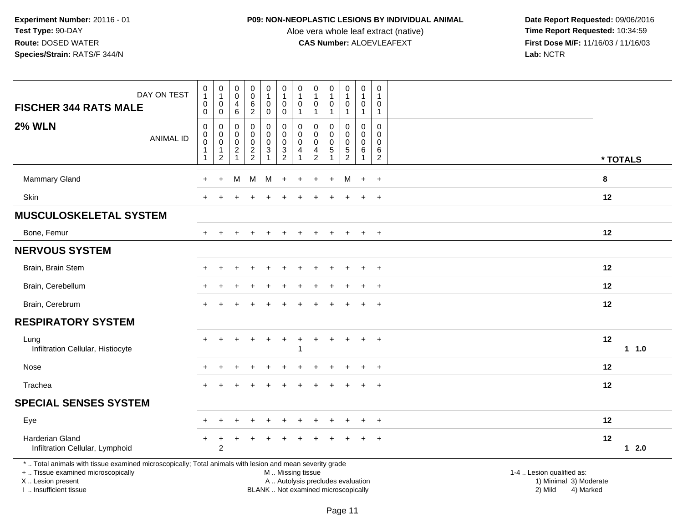## **P09: NON-NEOPLASTIC LESIONS BY INDIVIDUAL ANIMAL**

Aloe vera whole leaf extract (native)<br>**CAS Number:** ALOEVLEAFEXT

| DAY ON TEST<br><b>FISCHER 344 RATS MALE</b>                                                                                                                                                   |                  | $\begin{smallmatrix}0\\1\end{smallmatrix}$<br>$\mathbf 0$<br>$\mathbf 0$ | $\pmb{0}$<br>$\mathbf{1}$<br>$\pmb{0}$<br>$\mathbf 0$ | $\begin{smallmatrix} 0\\0 \end{smallmatrix}$<br>$\overline{\mathbf{4}}$<br>6            | $\begin{smallmatrix}0\0\0\end{smallmatrix}$<br>$6\overline{6}$<br>$\overline{2}$ | $\begin{smallmatrix}0\\1\end{smallmatrix}$<br>$\mathbf 0$<br>$\overline{0}$ | $\begin{smallmatrix}0\\1\end{smallmatrix}$<br>$\mathbf 0$<br>$\mathbf 0$                      | $\pmb{0}$<br>$\overline{1}$<br>$\mathbf 0$<br>$\mathbf{1}$ | $\pmb{0}$<br>$\mathbf 1$<br>$\Omega$<br>$\mathbf{1}$          | 0<br>$\mathbf{1}$<br>$\mathbf 0$<br>1               | $\begin{smallmatrix}0\1\end{smallmatrix}$<br>$\mathbf 0$<br>$\mathbf{1}$ | $\mathbf 0$<br>$\mathbf{1}$<br>$\mathbf 0$<br>$\mathbf{1}$           | $\mathbf 0$<br>$\overline{1}$<br>$\mathbf 0$<br>$\overline{1}$   |                                                                |           |          |
|-----------------------------------------------------------------------------------------------------------------------------------------------------------------------------------------------|------------------|--------------------------------------------------------------------------|-------------------------------------------------------|-----------------------------------------------------------------------------------------|----------------------------------------------------------------------------------|-----------------------------------------------------------------------------|-----------------------------------------------------------------------------------------------|------------------------------------------------------------|---------------------------------------------------------------|-----------------------------------------------------|--------------------------------------------------------------------------|----------------------------------------------------------------------|------------------------------------------------------------------|----------------------------------------------------------------|-----------|----------|
| <b>2% WLN</b>                                                                                                                                                                                 | <b>ANIMAL ID</b> | $\mathbf 0$<br>0<br>$\mathbf 0$<br>$\mathbf{1}$<br>$\mathbf{1}$          | 0<br>$\pmb{0}$<br>$\overline{0}$<br>1<br>$\sqrt{2}$   | $\mathbf 0$<br>$\mathsf{O}\xspace$<br>$\mathbf 0$<br>$\boldsymbol{2}$<br>$\overline{1}$ | 0<br>$\mathbf 0$<br>$\mathbf 0$<br>$\frac{2}{2}$                                 | 0<br>$\mathbf 0$<br>0<br>3                                                  | $\mathbf 0$<br>$\pmb{0}$<br>$\overline{0}$<br>$\frac{3}{2}$                                   | 0<br>$\pmb{0}$<br>$\mathbf{0}$<br>4<br>1                   | $\Omega$<br>$\mathbf 0$<br>$\mathbf 0$<br>4<br>$\overline{c}$ | 0<br>0<br>$\mathbf 0$<br>$\sqrt{5}$<br>$\mathbf{1}$ | 0<br>$\mathsf{O}$<br>$\mathbf 0$<br>$\frac{5}{2}$                        | $\mathbf 0$<br>$\mathsf 0$<br>$\mathbf 0$<br>$\,6\,$<br>$\mathbf{1}$ | $\mathbf 0$<br>$\mathbf 0$<br>$\mathbf 0$<br>6<br>$\overline{2}$ |                                                                |           | * TOTALS |
| Mammary Gland                                                                                                                                                                                 |                  |                                                                          | ÷                                                     | м                                                                                       | м                                                                                | M                                                                           | $\ddot{}$                                                                                     |                                                            |                                                               | $\div$                                              | м                                                                        | $+$                                                                  | $+$                                                              |                                                                | 8         |          |
| <b>Skin</b>                                                                                                                                                                                   |                  |                                                                          |                                                       |                                                                                         |                                                                                  |                                                                             |                                                                                               |                                                            |                                                               |                                                     |                                                                          |                                                                      | $\pm$                                                            |                                                                | $12 \,$   |          |
| <b>MUSCULOSKELETAL SYSTEM</b>                                                                                                                                                                 |                  |                                                                          |                                                       |                                                                                         |                                                                                  |                                                                             |                                                                                               |                                                            |                                                               |                                                     |                                                                          |                                                                      |                                                                  |                                                                |           |          |
| Bone, Femur                                                                                                                                                                                   |                  | $+$                                                                      |                                                       |                                                                                         |                                                                                  |                                                                             |                                                                                               |                                                            |                                                               |                                                     | $+$                                                                      | $+$                                                                  | $+$                                                              |                                                                | 12        |          |
| <b>NERVOUS SYSTEM</b>                                                                                                                                                                         |                  |                                                                          |                                                       |                                                                                         |                                                                                  |                                                                             |                                                                                               |                                                            |                                                               |                                                     |                                                                          |                                                                      |                                                                  |                                                                |           |          |
| Brain, Brain Stem                                                                                                                                                                             |                  |                                                                          |                                                       |                                                                                         |                                                                                  |                                                                             |                                                                                               |                                                            |                                                               |                                                     |                                                                          |                                                                      |                                                                  |                                                                | $12 \,$   |          |
| Brain, Cerebellum                                                                                                                                                                             |                  |                                                                          |                                                       |                                                                                         |                                                                                  |                                                                             |                                                                                               |                                                            |                                                               |                                                     |                                                                          |                                                                      |                                                                  |                                                                | 12        |          |
| Brain, Cerebrum                                                                                                                                                                               |                  | $+$                                                                      |                                                       |                                                                                         |                                                                                  |                                                                             |                                                                                               |                                                            |                                                               |                                                     |                                                                          | $\pm$                                                                | $\ddot{}$                                                        |                                                                | 12        |          |
| <b>RESPIRATORY SYSTEM</b>                                                                                                                                                                     |                  |                                                                          |                                                       |                                                                                         |                                                                                  |                                                                             |                                                                                               |                                                            |                                                               |                                                     |                                                                          |                                                                      |                                                                  |                                                                |           |          |
| Lung<br>Infiltration Cellular, Histiocyte                                                                                                                                                     |                  |                                                                          |                                                       |                                                                                         |                                                                                  |                                                                             |                                                                                               | 1                                                          |                                                               |                                                     |                                                                          | $\ddot{}$                                                            | $+$                                                              |                                                                | 12        | $1 1.0$  |
| Nose                                                                                                                                                                                          |                  |                                                                          |                                                       |                                                                                         |                                                                                  |                                                                             |                                                                                               |                                                            |                                                               |                                                     |                                                                          |                                                                      | $\pm$                                                            |                                                                | 12        |          |
| Trachea                                                                                                                                                                                       |                  |                                                                          |                                                       |                                                                                         |                                                                                  |                                                                             |                                                                                               |                                                            |                                                               |                                                     |                                                                          | $\ddot{}$                                                            | $\overline{+}$                                                   |                                                                | 12        |          |
| <b>SPECIAL SENSES SYSTEM</b>                                                                                                                                                                  |                  |                                                                          |                                                       |                                                                                         |                                                                                  |                                                                             |                                                                                               |                                                            |                                                               |                                                     |                                                                          |                                                                      |                                                                  |                                                                |           |          |
| Eye                                                                                                                                                                                           |                  |                                                                          |                                                       |                                                                                         |                                                                                  |                                                                             |                                                                                               |                                                            |                                                               |                                                     |                                                                          |                                                                      |                                                                  |                                                                | $12 \,$   |          |
| <b>Harderian Gland</b><br>Infiltration Cellular, Lymphoid                                                                                                                                     |                  |                                                                          | $\overline{2}$                                        |                                                                                         |                                                                                  |                                                                             |                                                                                               |                                                            |                                                               |                                                     |                                                                          |                                                                      | $\ddot{}$                                                        |                                                                | 12        | 12.0     |
| *  Total animals with tissue examined microscopically; Total animals with lesion and mean severity grade<br>+  Tissue examined microscopically<br>X  Lesion present<br>I  Insufficient tissue |                  |                                                                          |                                                       |                                                                                         |                                                                                  |                                                                             | M  Missing tissue<br>A  Autolysis precludes evaluation<br>BLANK  Not examined microscopically |                                                            |                                                               |                                                     |                                                                          |                                                                      |                                                                  | 1-4  Lesion qualified as:<br>1) Minimal 3) Moderate<br>2) Mild | 4) Marked |          |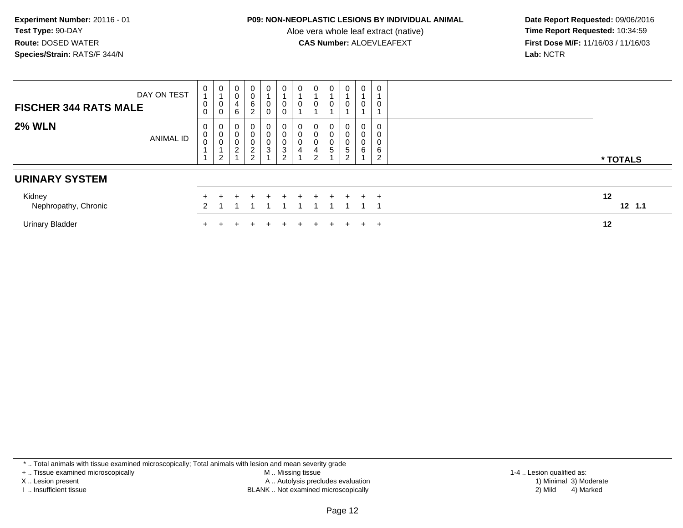#### **P09: NON-NEOPLASTIC LESIONS BY INDIVIDUAL ANIMAL**

Aloe vera whole leaf extract (native)<br>**CAS Number:** ALOEVLEAFEXT

 **Date Report Requested:** 09/06/2016 **First Dose M/F:** 11/16/03 / 11/16/03<br>Lab: NCTR **Lab:** NCTR

| <b>FISCHER 344 RATS MALE</b>   | DAY ON TEST      | 0<br>0<br>0             | 0<br>0<br>0                   | 0<br>0<br>4<br>6                                        | 0<br>0<br>6<br>2                                | 0<br>0<br>0      | 0                     | $\mathbf{0}$<br>0           |                  | 0<br>0                                                 | 0<br>0                                    | $\mathbf 0$<br>$\overline{A}$<br>0             | 0<br>0                |                |
|--------------------------------|------------------|-------------------------|-------------------------------|---------------------------------------------------------|-------------------------------------------------|------------------|-----------------------|-----------------------------|------------------|--------------------------------------------------------|-------------------------------------------|------------------------------------------------|-----------------------|----------------|
| <b>2% WLN</b>                  | <b>ANIMAL ID</b> | 0<br>$_{\rm 0}^{\rm 0}$ | 0<br>0<br>U<br>$\overline{2}$ | 0<br>$\pmb{0}$<br>0<br>$\overline{c}$<br>$\overline{ }$ | 0<br>0<br>$\pmb{0}$<br>$\overline{c}$<br>$\sim$ | 0<br>v<br>v<br>3 | 0<br>0<br>3<br>$\sim$ | $\mathbf{0}$<br>0<br>0<br>4 | J<br>4<br>ົ<br>▃ | $\overline{0}$<br>$\pmb{0}$<br>$\pmb{0}$<br>$\sqrt{5}$ | 0<br>0<br>0<br>$\sqrt{5}$<br><sup>o</sup> | 0<br>$\pmb{0}$<br>$\pmb{0}$<br>$6\phantom{1}6$ | 0<br>0<br>0<br>6<br>ົ | * TOTALS       |
| <b>URINARY SYSTEM</b>          |                  |                         |                               |                                                         |                                                 |                  |                       |                             |                  |                                                        |                                           |                                                |                       |                |
| Kidney<br>Nephropathy, Chronic |                  |                         |                               |                                                         |                                                 |                  |                       |                             | $+$              |                                                        |                                           | $+$                                            | $+$                   | 12<br>$12$ 1.1 |
| <b>Urinary Bladder</b>         |                  |                         |                               |                                                         |                                                 |                  |                       |                             |                  |                                                        |                                           | $\div$                                         | $\pm$                 | 12             |

\* .. Total animals with tissue examined microscopically; Total animals with lesion and mean severity grade

+ .. Tissue examined microscopically

X .. Lesion present

I .. Insufficient tissue

 M .. Missing tissueA .. Autolysis precludes evaluation

BLANK .. Not examined microscopically 2) Mild 4) Marked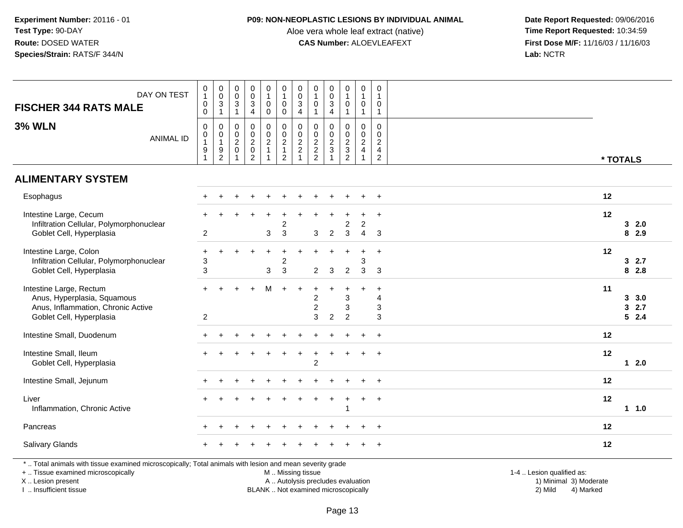## **P09: NON-NEOPLASTIC LESIONS BY INDIVIDUAL ANIMAL**

Aloe vera whole leaf extract (native)<br>**CAS Number:** ALOEVLEAFEXT

 **Date Report Requested:** 09/06/2016 **First Dose M/F:** 11/16/03 / 11/16/03<br>Lab: NCTR **Lab:** NCTR

| DAY ON TEST<br><b>FISCHER 344 RATS MALE</b>                                                                                                                         | $\begin{smallmatrix}0\\1\end{smallmatrix}$<br>$\pmb{0}$<br>$\ddot{\mathbf{0}}$ | $_{\rm 0}^{\rm 0}$<br>$\frac{3}{1}$                                              | $\pmb{0}$<br>$\boldsymbol{0}$<br>$\sqrt{3}$<br>$\mathbf{1}$ | $_{\rm 0}^{\rm 0}$<br>$\sqrt{3}$<br>$\overline{4}$                          | $\begin{smallmatrix}0\1\end{smallmatrix}$<br>0<br>$\mathbf 0$ | $\pmb{0}$<br>$\mathbf{1}$<br>$\pmb{0}$<br>$\bar{0}$                          | $_{\rm 0}^{\rm 0}$<br>$\frac{3}{4}$                       | $\pmb{0}$<br>$\mathbf{1}$<br>$\boldsymbol{0}$<br>$\overline{1}$ | $\begin{smallmatrix} 0\\0 \end{smallmatrix}$<br>$\sqrt{3}$<br>$\overline{a}$ | $\pmb{0}$<br>$\mathbf{1}$<br>$\pmb{0}$<br>$\mathbf{1}$ | $\pmb{0}$<br>$\mathbf{1}$<br>$\boldsymbol{0}$<br>$\mathbf{1}$        | 0<br>$\mathbf{1}$<br>0<br>$\mathbf{1}$                                           |                                                     |
|---------------------------------------------------------------------------------------------------------------------------------------------------------------------|--------------------------------------------------------------------------------|----------------------------------------------------------------------------------|-------------------------------------------------------------|-----------------------------------------------------------------------------|---------------------------------------------------------------|------------------------------------------------------------------------------|-----------------------------------------------------------|-----------------------------------------------------------------|------------------------------------------------------------------------------|--------------------------------------------------------|----------------------------------------------------------------------|----------------------------------------------------------------------------------|-----------------------------------------------------|
| <b>3% WLN</b><br><b>ANIMAL ID</b>                                                                                                                                   | $\pmb{0}$<br>$\mathbf 0$<br>$\mathbf{1}$<br>$\boldsymbol{9}$<br>-1             | $\mathsf 0$<br>$\mathbf 0$<br>$\mathbf{1}$<br>$\boldsymbol{9}$<br>$\overline{c}$ | 0<br>$\boldsymbol{0}$<br>$\overline{c}$<br>$\pmb{0}$<br>1   | $\mathbf 0$<br>$\mathbf 0$<br>$\overline{c}$<br>$\pmb{0}$<br>$\overline{c}$ | 0<br>$\mathbf 0$<br>$\overline{a}$<br>$\mathbf{1}$<br>1       | $\pmb{0}$<br>$\mathbf 0$<br>$\overline{2}$<br>$\mathbf{1}$<br>$\overline{c}$ | $\pmb{0}$<br>$\mathbf 0$<br>$\frac{2}{2}$<br>$\mathbf{1}$ | $\mathbf 0$<br>$\mathbf 0$<br>$\frac{2}{2}$                     | $\mathbf 0$<br>$\mathbf 0$<br>$\sqrt{2}$<br>$\mathbf{3}$<br>$\overline{1}$   | 0<br>$\mathbf 0$<br>$\frac{2}{3}$<br>$\overline{2}$    | 0<br>$\mathbf 0$<br>$\overline{2}$<br>$\overline{4}$<br>$\mathbf{1}$ | $\mathbf 0$<br>$\mathbf 0$<br>$\overline{2}$<br>$\overline{4}$<br>$\overline{2}$ | * TOTALS                                            |
| <b>ALIMENTARY SYSTEM</b>                                                                                                                                            |                                                                                |                                                                                  |                                                             |                                                                             |                                                               |                                                                              |                                                           |                                                                 |                                                                              |                                                        |                                                                      |                                                                                  |                                                     |
| Esophagus                                                                                                                                                           |                                                                                |                                                                                  |                                                             |                                                                             |                                                               |                                                                              |                                                           |                                                                 |                                                                              |                                                        |                                                                      | $+$                                                                              | 12                                                  |
| Intestine Large, Cecum<br>Infiltration Cellular, Polymorphonuclear<br>Goblet Cell, Hyperplasia                                                                      | $\overline{2}$                                                                 |                                                                                  |                                                             |                                                                             | 3                                                             | $\overline{c}$<br>3                                                          |                                                           | 3                                                               | $\overline{c}$                                                               | $\boldsymbol{2}$<br>$\mathbf{3}$                       | $\overline{2}$<br>$\overline{4}$                                     | $\ddot{}$<br>3                                                                   | 12<br>32.0<br>8 2.9                                 |
| Intestine Large, Colon<br>Infiltration Cellular, Polymorphonuclear<br>Goblet Cell, Hyperplasia                                                                      | $\ddot{}$<br>3<br>$\sqrt{3}$                                                   |                                                                                  |                                                             |                                                                             | 3                                                             | $\overline{c}$<br>3                                                          |                                                           | $\overline{2}$                                                  | $\mathbf{3}$                                                                 | $\overline{2}$                                         | 3<br>3                                                               | $\ddot{}$<br>-3                                                                  | 12<br>32.7<br>82.8                                  |
| Intestine Large, Rectum<br>Anus, Hyperplasia, Squamous<br>Anus, Inflammation, Chronic Active<br>Goblet Cell, Hyperplasia                                            | $+$<br>$\overline{c}$                                                          | ÷.                                                                               |                                                             |                                                                             | M                                                             | $\ddot{}$                                                                    | $\overline{+}$                                            | $+$<br>2<br>$\overline{c}$<br>3                                 | ÷.<br>$\overline{c}$                                                         | $\ddot{}$<br>3<br>3<br>$\overline{2}$                  | $\div$                                                               | $\ddot{}$<br>4<br>3<br>3                                                         | 11<br>3, 3.0<br>32.7<br>52.4                        |
| Intestine Small, Duodenum                                                                                                                                           |                                                                                |                                                                                  |                                                             |                                                                             |                                                               |                                                                              |                                                           |                                                                 |                                                                              |                                                        |                                                                      | $\ddot{}$                                                                        | 12                                                  |
| Intestine Small, Ileum<br>Goblet Cell, Hyperplasia                                                                                                                  |                                                                                |                                                                                  |                                                             |                                                                             |                                                               |                                                                              |                                                           | $\overline{c}$                                                  |                                                                              |                                                        |                                                                      | $\ddot{}$                                                                        | 12<br>$12.0$                                        |
| Intestine Small, Jejunum                                                                                                                                            |                                                                                |                                                                                  |                                                             |                                                                             |                                                               |                                                                              |                                                           |                                                                 |                                                                              |                                                        |                                                                      | $\ddot{}$                                                                        | 12                                                  |
| Liver<br>Inflammation, Chronic Active                                                                                                                               |                                                                                |                                                                                  |                                                             |                                                                             |                                                               |                                                                              |                                                           |                                                                 |                                                                              | 1                                                      | $+$                                                                  | $+$                                                                              | 12<br>1 1.0                                         |
| Pancreas                                                                                                                                                            |                                                                                |                                                                                  |                                                             |                                                                             |                                                               |                                                                              |                                                           |                                                                 |                                                                              |                                                        |                                                                      |                                                                                  | 12                                                  |
| <b>Salivary Glands</b>                                                                                                                                              |                                                                                |                                                                                  |                                                             |                                                                             |                                                               |                                                                              |                                                           |                                                                 |                                                                              |                                                        |                                                                      | $\ddot{}$                                                                        | 12                                                  |
| *  Total animals with tissue examined microscopically; Total animals with lesion and mean severity grade<br>+  Tissue examined microscopically<br>X  Lesion present |                                                                                |                                                                                  |                                                             |                                                                             |                                                               | M  Missing tissue                                                            |                                                           | A  Autolysis precludes evaluation                               |                                                                              |                                                        |                                                                      |                                                                                  | 1-4  Lesion qualified as:<br>1) Minimal 3) Moderate |

I .. Insufficient tissue

BLANK .. Not examined microscopically 2) Mild 4) Marked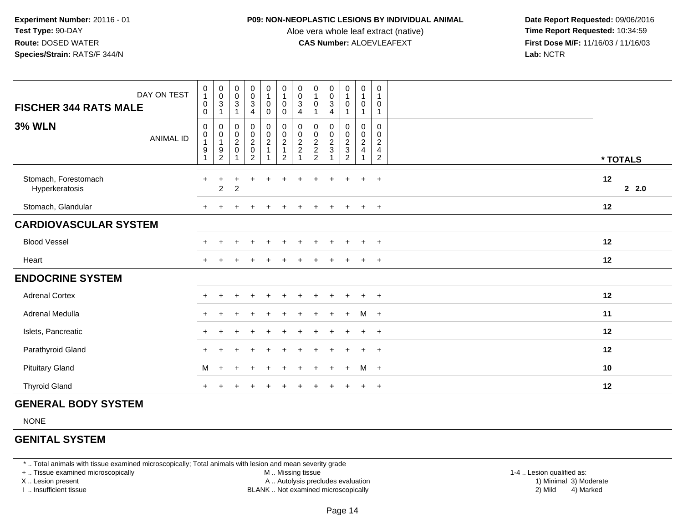#### **P09: NON-NEOPLASTIC LESIONS BY INDIVIDUAL ANIMAL**

Aloe vera whole leaf extract (native)<br>**CAS Number:** ALOEVLEAFEXT

 **Date Report Requested:** 09/06/2016 **First Dose M/F:** 11/16/03 / 11/16/03<br>**Lab:** NCTR **Lab:** NCTR

| DAY ON TEST<br><b>FISCHER 344 RATS MALE</b> | $\begin{smallmatrix}0\\1\end{smallmatrix}$<br>$\pmb{0}$<br>0            | $\pmb{0}$<br>$\mathbf 0$<br>$\ensuremath{\mathsf{3}}$<br>1      | $\pmb{0}$<br>$\mathsf 0$<br>3        | $_{\rm 0}^{\rm 0}$<br>$\sqrt{3}$<br>$\overline{4}$ | $\begin{smallmatrix}0\\1\end{smallmatrix}$<br>$\pmb{0}$<br>$\mathbf 0$ | $\begin{smallmatrix}0\\1\end{smallmatrix}$<br>$\mathbf 0$<br>0 | 0<br>$\mathsf{O}\xspace$<br>3<br>4                          | $\pmb{0}$<br>1<br>$\mathbf 0$   | $\pmb{0}$<br>$\pmb{0}$<br>$\sqrt{3}$<br>4 | $\mathbf 0$<br>$\overline{1}$<br>0                          | $\pmb{0}$<br>$\overline{1}$<br>$\mathbf 0$<br>1                                | $\mathbf 0$<br>$\overline{1}$<br>0<br>$\mathbf{1}$                               |            |
|---------------------------------------------|-------------------------------------------------------------------------|-----------------------------------------------------------------|--------------------------------------|----------------------------------------------------|------------------------------------------------------------------------|----------------------------------------------------------------|-------------------------------------------------------------|---------------------------------|-------------------------------------------|-------------------------------------------------------------|--------------------------------------------------------------------------------|----------------------------------------------------------------------------------|------------|
| <b>3% WLN</b><br><b>ANIMAL ID</b>           | $\mathbf 0$<br>$\begin{smallmatrix}0\\1\end{smallmatrix}$<br>$9\,$<br>1 | 0<br>$\mathsf{O}\xspace$<br>$\mathbf{1}$<br>9<br>$\overline{c}$ | 0<br>$\frac{0}{2}$<br>$\overline{ }$ | $\pmb{0}$<br>$\frac{0}{2}$<br>$\overline{c}$       | $\boldsymbol{0}$<br>$\frac{0}{2}$                                      | $\mathbf 0$<br>$\frac{0}{2}$<br>$\overline{2}$                 | 0<br>$\pmb{0}$<br>$\overline{\mathbf{c}}$<br>$\overline{c}$ | 0<br>$\pmb{0}$<br>$\frac{2}{2}$ | 0<br>$\pmb{0}$<br>$\frac{2}{3}$           | 0<br>$\mathsf{O}\xspace$<br>$\frac{2}{3}$<br>$\overline{c}$ | $\mathbf 0$<br>$\pmb{0}$<br>$\overline{2}$<br>$\overline{4}$<br>$\overline{1}$ | $\mathbf 0$<br>$\mathbf 0$<br>$\overline{c}$<br>$\overline{4}$<br>$\overline{2}$ | * TOTALS   |
| Stomach, Forestomach<br>Hyperkeratosis      | $+$                                                                     | $\sqrt{2}$                                                      | $\overline{c}$                       | $\ddot{}$                                          |                                                                        |                                                                |                                                             |                                 |                                           |                                                             |                                                                                | $\ddot{}$                                                                        | 12<br>22.0 |
| Stomach, Glandular                          |                                                                         |                                                                 |                                      |                                                    |                                                                        |                                                                |                                                             |                                 |                                           | $\div$                                                      | $+$                                                                            | $+$                                                                              | 12         |
| <b>CARDIOVASCULAR SYSTEM</b>                |                                                                         |                                                                 |                                      |                                                    |                                                                        |                                                                |                                                             |                                 |                                           |                                                             |                                                                                |                                                                                  |            |
| <b>Blood Vessel</b>                         |                                                                         |                                                                 |                                      | $\ddot{}$                                          | $\div$                                                                 |                                                                |                                                             |                                 | $\ddot{}$                                 | $\ddot{}$                                                   | $+$                                                                            | $+$                                                                              | 12         |
| Heart                                       |                                                                         |                                                                 |                                      |                                                    |                                                                        |                                                                |                                                             |                                 |                                           |                                                             |                                                                                | $\overline{+}$                                                                   | 12         |
| <b>ENDOCRINE SYSTEM</b>                     |                                                                         |                                                                 |                                      |                                                    |                                                                        |                                                                |                                                             |                                 |                                           |                                                             |                                                                                |                                                                                  |            |
| <b>Adrenal Cortex</b>                       |                                                                         |                                                                 |                                      |                                                    |                                                                        |                                                                |                                                             |                                 |                                           |                                                             |                                                                                | $\div$                                                                           | 12         |
| Adrenal Medulla                             | $+$                                                                     |                                                                 |                                      |                                                    |                                                                        |                                                                |                                                             |                                 |                                           | $+$                                                         | $M +$                                                                          |                                                                                  | 11         |
| Islets, Pancreatic                          | $+$                                                                     |                                                                 |                                      |                                                    |                                                                        |                                                                |                                                             |                                 |                                           | ÷                                                           | $\ddot{}$                                                                      | $+$                                                                              | 12         |
| Parathyroid Gland                           |                                                                         |                                                                 |                                      |                                                    |                                                                        |                                                                |                                                             |                                 |                                           |                                                             | $+$                                                                            | $+$                                                                              | 12         |
| <b>Pituitary Gland</b>                      | M                                                                       | ÷                                                               |                                      |                                                    |                                                                        |                                                                |                                                             |                                 | $\div$                                    | $\ddot{}$                                                   | M                                                                              | $+$                                                                              | 10         |
| <b>Thyroid Gland</b>                        |                                                                         |                                                                 |                                      |                                                    |                                                                        |                                                                |                                                             |                                 |                                           |                                                             |                                                                                | $+$                                                                              | 12         |

## **GENERAL BODY SYSTEM**

NONE

## **GENITAL SYSTEM**

\* .. Total animals with tissue examined microscopically; Total animals with lesion and mean severity grade

+ .. Tissue examined microscopically

X .. Lesion present

I .. Insufficient tissue

 M .. Missing tissueA .. Autolysis precludes evaluation

BLANK .. Not examined microscopically 2) Mild 4) Marked

1-4 .. Lesion qualified as:<br>1) Minimal 3) Moderate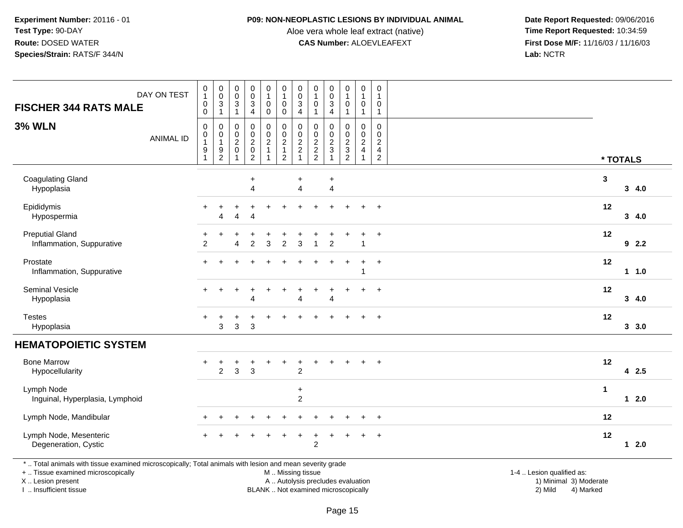#### **P09: NON-NEOPLASTIC LESIONS BY INDIVIDUAL ANIMAL**

Aloe vera whole leaf extract (native)<br>**CAS Number:** ALOEVLEAFEXT

 **Date Report Requested:** 09/06/2016 **First Dose M/F:** 11/16/03 / 11/16/03<br>Lab: NCTR **Lab:** NCTR

|                                                                                                       | DAY ON TEST      | $\begin{smallmatrix}0\\1\end{smallmatrix}$                         | $_{\rm 0}^{\rm 0}$                            | $\pmb{0}$                                             |                                                                                          | $\begin{smallmatrix}0\1\end{smallmatrix}$  | $\begin{smallmatrix}0\\1\end{smallmatrix}$                                                      | $_{\rm 0}^{\rm 0}$                                                 | $\pmb{0}$<br>$\overline{1}$                                  | $\pmb{0}$                                                | $\pmb{0}$                                                 | $\pmb{0}$<br>$\overline{1}$                                         | $\mathbf 0$                                                         |              |          |
|-------------------------------------------------------------------------------------------------------|------------------|--------------------------------------------------------------------|-----------------------------------------------|-------------------------------------------------------|------------------------------------------------------------------------------------------|--------------------------------------------|-------------------------------------------------------------------------------------------------|--------------------------------------------------------------------|--------------------------------------------------------------|----------------------------------------------------------|-----------------------------------------------------------|---------------------------------------------------------------------|---------------------------------------------------------------------|--------------|----------|
| <b>FISCHER 344 RATS MALE</b>                                                                          |                  | $\pmb{0}$<br>0                                                     | $\mathbf{3}$<br>$\mathbf{1}$                  | $\pmb{0}$<br>3<br>$\mathbf{1}$                        | $\begin{smallmatrix}0\\0\\3\end{smallmatrix}$<br>$\overline{4}$                          | 0<br>0                                     | $\pmb{0}$<br>$\mathbf 0$                                                                        | 3<br>$\overline{4}$                                                | 0                                                            | $\pmb{0}$<br>$\mathbf{3}$<br>$\overline{4}$              | $\mathbf{1}$<br>$\mathbf 0$<br>$\mathbf{1}$               | $\mathbf 0$<br>$\mathbf{1}$                                         | -1<br>0<br>1                                                        |              |          |
| <b>3% WLN</b>                                                                                         | <b>ANIMAL ID</b> | 0<br>$\pmb{0}$<br>$\mathbf{1}$<br>$\boldsymbol{9}$<br>$\mathbf{1}$ | 0<br>0<br>$\mathbf{1}$<br>9<br>$\overline{c}$ | 0<br>$\pmb{0}$<br>$\boldsymbol{2}$<br>$\pmb{0}$<br>-1 | $\pmb{0}$<br>$\begin{smallmatrix} 0\\2 \end{smallmatrix}$<br>$\pmb{0}$<br>$\overline{2}$ | 0<br>0<br>$\sqrt{2}$<br>$\mathbf{1}$<br>-1 | $\mathbf 0$<br>$\begin{smallmatrix} 0\\2 \end{smallmatrix}$<br>$\mathbf{1}$<br>$\boldsymbol{2}$ | 0<br>$\pmb{0}$<br>$\overline{c}$<br>$\overline{c}$<br>$\mathbf{1}$ | 0<br>$\pmb{0}$<br>$\sqrt{2}$<br>$\sqrt{2}$<br>$\overline{2}$ | $\mathbf 0$<br>$\pmb{0}$<br>$\overline{c}$<br>$\sqrt{3}$ | $\mathbf 0$<br>$\mathbf 0$<br>$\frac{2}{3}$<br>$\sqrt{2}$ | $\mathbf 0$<br>$\mathbf 0$<br>$\overline{c}$<br>4<br>$\overline{1}$ | $\mathbf 0$<br>$\mathbf 0$<br>$\overline{2}$<br>4<br>$\overline{c}$ |              | * TOTALS |
| <b>Coagulating Gland</b><br>Hypoplasia                                                                |                  |                                                                    |                                               |                                                       | $\ddot{}$<br>$\overline{4}$                                                              |                                            |                                                                                                 | $\ddot{}$<br>$\overline{4}$                                        |                                                              | $\ddot{}$<br>$\overline{4}$                              |                                                           |                                                                     |                                                                     | $\mathbf{3}$ | 34.0     |
| Epididymis<br>Hypospermia                                                                             |                  |                                                                    | $\boldsymbol{\Lambda}$                        | 4                                                     | $\Delta$                                                                                 |                                            |                                                                                                 |                                                                    |                                                              |                                                          |                                                           | $+$                                                                 | $\ddot{}$                                                           | 12           | 34.0     |
| <b>Preputial Gland</b><br>Inflammation, Suppurative                                                   |                  | $\overline{c}$                                                     |                                               | Δ                                                     | $\overline{2}$                                                                           | 3                                          | 2                                                                                               | 3                                                                  |                                                              | $\overline{c}$                                           |                                                           | 1                                                                   | $\ddot{}$                                                           | 12           | 92.2     |
| Prostate<br>Inflammation, Suppurative                                                                 |                  |                                                                    |                                               |                                                       |                                                                                          |                                            |                                                                                                 |                                                                    |                                                              | $\div$                                                   | $\ddot{}$                                                 | $\ddot{}$<br>-1                                                     | $+$                                                                 | 12           | 11.0     |
| Seminal Vesicle<br>Hypoplasia                                                                         |                  | $\div$                                                             |                                               |                                                       | Δ                                                                                        |                                            |                                                                                                 | $\overline{4}$                                                     |                                                              | $\Delta$                                                 |                                                           | $\ddot{}$                                                           | $\ddot{}$                                                           | 12           | 34.0     |
| <b>Testes</b><br>Hypoplasia                                                                           |                  |                                                                    | 3                                             | $\mathbf{3}$                                          | $\mathbf{3}$                                                                             |                                            |                                                                                                 |                                                                    |                                                              |                                                          |                                                           |                                                                     | $\ddot{}$                                                           | 12           | 3, 3.0   |
| <b>HEMATOPOIETIC SYSTEM</b>                                                                           |                  |                                                                    |                                               |                                                       |                                                                                          |                                            |                                                                                                 |                                                                    |                                                              |                                                          |                                                           |                                                                     |                                                                     |              |          |
| <b>Bone Marrow</b><br>Hypocellularity                                                                 |                  |                                                                    | $\overline{2}$                                | 3                                                     | 3                                                                                        |                                            |                                                                                                 | $\overline{2}$                                                     |                                                              |                                                          |                                                           | $\ddot{}$                                                           | $\overline{+}$                                                      | 12           | 4 2.5    |
| Lymph Node<br>Inguinal, Hyperplasia, Lymphoid                                                         |                  |                                                                    |                                               |                                                       |                                                                                          |                                            |                                                                                                 | $\ddot{}$<br>$\overline{c}$                                        |                                                              |                                                          |                                                           |                                                                     |                                                                     | $\mathbf{1}$ | $12.0$   |
| Lymph Node, Mandibular                                                                                |                  |                                                                    | $\ddot{}$                                     |                                                       |                                                                                          |                                            |                                                                                                 |                                                                    |                                                              |                                                          |                                                           | $\div$                                                              | $\overline{+}$                                                      | 12           |          |
| Lymph Node, Mesenteric<br>Degeneration, Cystic                                                        |                  |                                                                    |                                               |                                                       |                                                                                          |                                            |                                                                                                 | +                                                                  | +<br>$\overline{2}$                                          | $\ddot{}$                                                | $\ddot{}$                                                 | $\ddot{}$                                                           | $+$                                                                 | 12           | $12.0$   |
| Total animals with tissue examined microscopically: Total animals with lesion and mean severity grade |                  |                                                                    |                                               |                                                       |                                                                                          |                                            |                                                                                                 |                                                                    |                                                              |                                                          |                                                           |                                                                     |                                                                     |              |          |

\* .. Total animals with tissue examined microscopically; Total animals with lesion and mean severity grade

+ .. Tissue examined microscopically

X .. Lesion present

I .. Insufficient tissue

M .. Missing tissue

BLANK .. Not examined microscopically

 1-4 .. Lesion qualified as: A .. Autolysis precludes evaluation 19 and 10 minimal 3) Moderate 1 and 20 minimal 3) Moderate 19 minimal 3) Moderat<br>19 and 19 and 19 and 19 and 19 and 19 and 19 and 19 and 19 and 19 and 19 and 19 and 19 and 19 and 19 and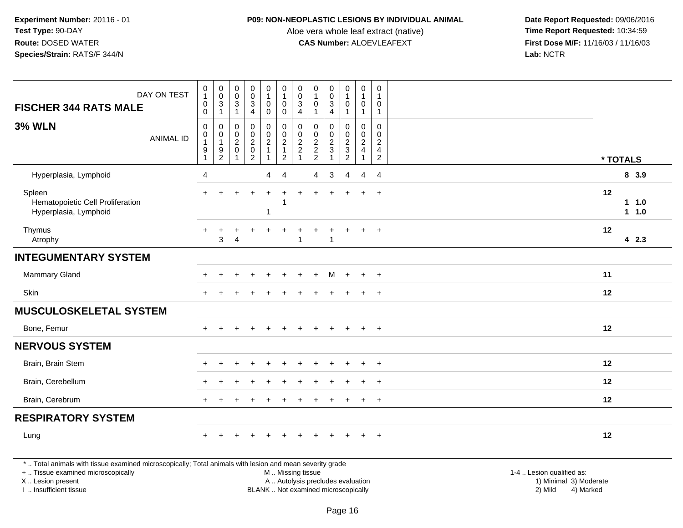## **P09: NON-NEOPLASTIC LESIONS BY INDIVIDUAL ANIMAL**

Aloe vera whole leaf extract (native)<br>**CAS Number:** ALOEVLEAFEXT

 **Date Report Requested:** 09/06/2016 **First Dose M/F:** 11/16/03 / 11/16/03<br>Lab: NCTR **Lab:** NCTR

| <b>FISCHER 344 RATS MALE</b>                                                                                                                                        | DAY ON TEST      | $\pmb{0}$<br>$\mathbf{1}$<br>$\mathsf 0$ | $\begin{matrix} 0 \\ 0 \\ 3 \\ 1 \end{matrix}$              | 0<br>$\mathsf 0$<br>$\sqrt{3}$ | 0<br>$\mathbf 0$<br>$\sqrt{3}$                                          | $\pmb{0}$<br>$\mathbf{1}$<br>$\mathbf 0$          | $\begin{smallmatrix}0\\1\end{smallmatrix}$<br>$\pmb{0}$       | $\pmb{0}$<br>$\pmb{0}$<br>$\ensuremath{\mathsf{3}}$ | 0<br>$\mathbf 0$                  | $\pmb{0}$<br>$\ddot{\mathbf{0}}$<br>$\sqrt{3}$    | 0<br>$\overline{1}$<br>$\mathbf 0$                                 | $\pmb{0}$<br>$\mathbf{1}$<br>$\mathbf 0$                                         | 0<br>0                                           |                                                     |                |
|---------------------------------------------------------------------------------------------------------------------------------------------------------------------|------------------|------------------------------------------|-------------------------------------------------------------|--------------------------------|-------------------------------------------------------------------------|---------------------------------------------------|---------------------------------------------------------------|-----------------------------------------------------|-----------------------------------|---------------------------------------------------|--------------------------------------------------------------------|----------------------------------------------------------------------------------|--------------------------------------------------|-----------------------------------------------------|----------------|
|                                                                                                                                                                     |                  | $\mathbf 0$                              |                                                             | $\overline{1}$                 | $\overline{4}$                                                          | $\mathbf 0$                                       | $\mathbf 0$                                                   | $\overline{4}$                                      |                                   | $\overline{4}$                                    | $\overline{1}$                                                     | $\mathbf{1}$                                                                     | 1                                                |                                                     |                |
| <b>3% WLN</b>                                                                                                                                                       | <b>ANIMAL ID</b> | 0<br>$\mathbf 0$<br>9                    | $\mathbf 0$<br>$\pmb{0}$<br>$\overline{1}$<br>$\frac{9}{2}$ | 0<br>0<br>$\overline{2}$<br>0  | $\mathbf 0$<br>$\mathbf 0$<br>$\sqrt{2}$<br>$\pmb{0}$<br>$\overline{2}$ | 0<br>$\mathbf 0$<br>$\overline{c}$<br>$\mathbf 1$ | $\pmb{0}$<br>$\mathbf 0$<br>$\frac{2}{1}$<br>$\boldsymbol{2}$ | $\mathbf 0$<br>$\mathbf 0$<br>$\frac{2}{2}$<br>1    | 0<br>$\mathbf 0$<br>$\frac{2}{2}$ | $\mathbf 0$<br>$\mathbf 0$<br>$\frac{2}{3}$<br>-1 | 0<br>$\mathbf 0$<br>$\sqrt{2}$<br>$\overline{3}$<br>$\overline{2}$ | $\mathbf 0$<br>$\mathbf 0$<br>$\overline{2}$<br>$\overline{4}$<br>$\overline{1}$ | $\Omega$<br>$\Omega$<br>2<br>4<br>$\overline{2}$ | * TOTALS                                            |                |
| Hyperplasia, Lymphoid                                                                                                                                               |                  | 4                                        |                                                             |                                |                                                                         | 4                                                 | $\overline{4}$                                                |                                                     | 4                                 | 3                                                 | 4                                                                  | 4                                                                                | $\overline{4}$                                   |                                                     | 8 3.9          |
| Spleen<br>Hematopoietic Cell Proliferation<br>Hyperplasia, Lymphoid                                                                                                 |                  |                                          |                                                             |                                |                                                                         | 1                                                 | -1                                                            |                                                     |                                   |                                                   |                                                                    |                                                                                  | $\ddot{}$                                        | 12                                                  | 1 1.0<br>1 1.0 |
| Thymus<br>Atrophy                                                                                                                                                   |                  | $+$                                      | $\pm$<br>3                                                  | +<br>4                         |                                                                         | ÷                                                 |                                                               | $\ddot{}$<br>$\mathbf{1}$                           | +                                 | -1                                                | $\ddot{}$                                                          | $\pm$                                                                            | $+$                                              | 12                                                  | 4 2.3          |
| <b>INTEGUMENTARY SYSTEM</b>                                                                                                                                         |                  |                                          |                                                             |                                |                                                                         |                                                   |                                                               |                                                     |                                   |                                                   |                                                                    |                                                                                  |                                                  |                                                     |                |
| Mammary Gland                                                                                                                                                       |                  |                                          |                                                             |                                |                                                                         |                                                   |                                                               |                                                     |                                   | M                                                 | $+$                                                                | $\ddot{}$                                                                        | $\overline{+}$                                   | 11                                                  |                |
| Skin                                                                                                                                                                |                  |                                          |                                                             |                                |                                                                         |                                                   |                                                               |                                                     |                                   |                                                   |                                                                    | $\pm$                                                                            | $+$                                              | 12                                                  |                |
| <b>MUSCULOSKELETAL SYSTEM</b>                                                                                                                                       |                  |                                          |                                                             |                                |                                                                         |                                                   |                                                               |                                                     |                                   |                                                   |                                                                    |                                                                                  |                                                  |                                                     |                |
| Bone, Femur                                                                                                                                                         |                  |                                          |                                                             |                                |                                                                         |                                                   |                                                               | $\div$                                              |                                   |                                                   |                                                                    | $\ddot{}$                                                                        | $+$                                              | 12                                                  |                |
| <b>NERVOUS SYSTEM</b>                                                                                                                                               |                  |                                          |                                                             |                                |                                                                         |                                                   |                                                               |                                                     |                                   |                                                   |                                                                    |                                                                                  |                                                  |                                                     |                |
| Brain, Brain Stem                                                                                                                                                   |                  | $+$                                      | $\ddot{}$                                                   | $\div$                         |                                                                         | $\div$                                            | $\pm$                                                         | $\pm$                                               | $\pm$                             | $\pm$                                             | $+$                                                                | $+$                                                                              | $^+$                                             | 12                                                  |                |
| Brain, Cerebellum                                                                                                                                                   |                  |                                          |                                                             |                                |                                                                         |                                                   |                                                               |                                                     |                                   |                                                   |                                                                    |                                                                                  | $\ddot{}$                                        | 12                                                  |                |
| Brain, Cerebrum                                                                                                                                                     |                  |                                          |                                                             |                                |                                                                         |                                                   |                                                               |                                                     |                                   |                                                   |                                                                    |                                                                                  | $\ddot{}$                                        | 12                                                  |                |
| <b>RESPIRATORY SYSTEM</b>                                                                                                                                           |                  |                                          |                                                             |                                |                                                                         |                                                   |                                                               |                                                     |                                   |                                                   |                                                                    |                                                                                  |                                                  |                                                     |                |
| Lung                                                                                                                                                                |                  | $+$                                      |                                                             |                                |                                                                         |                                                   |                                                               |                                                     |                                   |                                                   |                                                                    | $+$                                                                              | $+$                                              | 12                                                  |                |
| *  Total animals with tissue examined microscopically; Total animals with lesion and mean severity grade<br>+  Tissue examined microscopically<br>X  Lesion present |                  |                                          |                                                             |                                |                                                                         |                                                   | M  Missing tissue                                             |                                                     |                                   |                                                   |                                                                    | A  Autolysis precludes evaluation                                                |                                                  | 1-4  Lesion qualified as:<br>1) Minimal 3) Moderate |                |

I .. Insufficient tissue

BLANK .. Not examined microscopically 2) Mild 4) Marked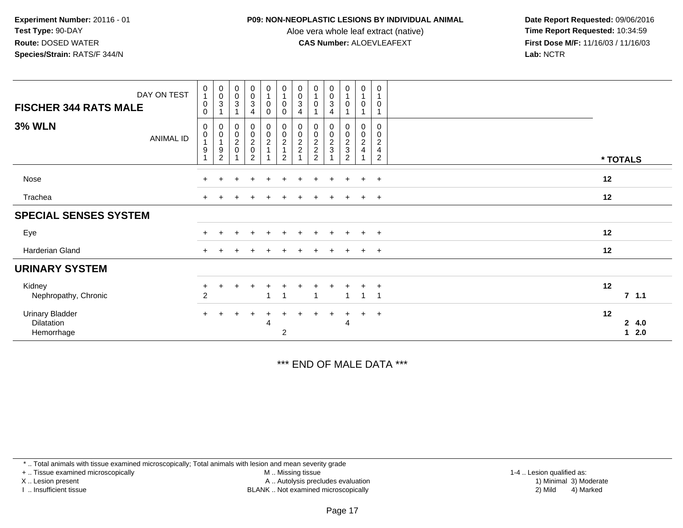#### **P09: NON-NEOPLASTIC LESIONS BY INDIVIDUAL ANIMAL**

Aloe vera whole leaf extract (native)<br>**CAS Number:** ALOEVLEAFEXT

 **Date Report Requested:** 09/06/2016 **First Dose M/F:** 11/16/03 / 11/16/03<br>**Lab:** NCTR **Lab:** NCTR

| DAY ON TEST<br><b>FISCHER 344 RATS MALE</b>        | 0<br>$\mathbf{1}$<br>$\mathbf 0$<br>$\Omega$ | $\begin{smallmatrix} 0\\0\\3 \end{smallmatrix}$                          | $\begin{smallmatrix}0\\0\\3\end{smallmatrix}$<br>$\mathbf{1}$    | $\mathbf 0$<br>$_{3}^{\rm 0}$<br>4                               | $\begin{smallmatrix}0\\1\end{smallmatrix}$<br>$\pmb{0}$<br>$\mathbf 0$ | $\mathbf 0$<br>$\mathbf{1}$<br>$\pmb{0}$<br>$\mathbf 0$ | 0<br>$\pmb{0}$<br>$\sqrt{3}$<br>$\overline{4}$ | $\boldsymbol{0}$<br>$\mathbf 0$ | 0<br>$\pmb{0}$<br>3<br>4 | $\pmb{0}$<br>$\mathbf{1}$<br>$\mathbf 0$<br>1   | 0<br>$\mathbf{1}$<br>0<br>-1                         | 0<br>0                             |                        |
|----------------------------------------------------|----------------------------------------------|--------------------------------------------------------------------------|------------------------------------------------------------------|------------------------------------------------------------------|------------------------------------------------------------------------|---------------------------------------------------------|------------------------------------------------|---------------------------------|--------------------------|-------------------------------------------------|------------------------------------------------------|------------------------------------|------------------------|
| <b>3% WLN</b><br>ANIMAL ID                         | 0<br>$\pmb{0}$<br>$\overline{ }$<br>9        | $_{\rm 0}^{\rm 0}$<br>$\mathbf{1}$<br>$\boldsymbol{9}$<br>$\overline{2}$ | $\begin{matrix} 0 \\ 0 \\ 2 \\ 0 \end{matrix}$<br>$\overline{A}$ | $\begin{matrix} 0 \\ 0 \\ 2 \\ 0 \end{matrix}$<br>$\overline{2}$ | 0<br>$\frac{0}{2}$<br>1                                                | $_{\rm 0}^{\rm 0}$<br>$\frac{2}{1}$<br>$\overline{2}$   | 0<br>0<br>$\frac{2}{2}$                        | 0<br>$\frac{0}{2}$<br>2         | 0<br>$\frac{0}{2}$       | 0<br>$\,0\,$<br>$\frac{2}{3}$<br>$\overline{c}$ | 0<br>$\mathbf 0$<br>$\overline{c}$<br>$\overline{4}$ | 0<br>0<br>$\overline{2}$<br>4<br>2 | * TOTALS               |
| Nose                                               | $+$                                          | $\pm$                                                                    | $\div$                                                           | $\ddot{}$                                                        | $\pm$                                                                  | $\pm$                                                   | ÷.                                             | $\div$                          | $\pm$                    | $\pm$                                           | $+$                                                  | $\ddot{}$                          | 12                     |
| Trachea                                            | $+$                                          |                                                                          |                                                                  |                                                                  |                                                                        |                                                         |                                                |                                 |                          |                                                 | $+$                                                  | $\ddot{}$                          | 12                     |
| <b>SPECIAL SENSES SYSTEM</b>                       |                                              |                                                                          |                                                                  |                                                                  |                                                                        |                                                         |                                                |                                 |                          |                                                 |                                                      |                                    |                        |
| Eye                                                | $\pm$                                        |                                                                          |                                                                  | $\ddot{}$                                                        |                                                                        | ÷                                                       |                                                |                                 | $\ddot{}$                |                                                 | $+$                                                  | $+$                                | 12                     |
| Harderian Gland                                    | $\pm$                                        |                                                                          |                                                                  |                                                                  |                                                                        |                                                         |                                                |                                 |                          |                                                 | $+$                                                  | $+$                                | 12                     |
| <b>URINARY SYSTEM</b>                              |                                              |                                                                          |                                                                  |                                                                  |                                                                        |                                                         |                                                |                                 |                          |                                                 |                                                      |                                    |                        |
| Kidney<br>Nephropathy, Chronic                     | $\ddot{}$<br>$\overline{2}$                  |                                                                          |                                                                  |                                                                  |                                                                        | -1                                                      |                                                | $\overline{\mathbf{1}}$         |                          | 1                                               |                                                      | $\pm$                              | 12<br>7.1.1            |
| <b>Urinary Bladder</b><br>Dilatation<br>Hemorrhage | $+$                                          |                                                                          |                                                                  | $\pm$                                                            | 4                                                                      | $\overline{2}$                                          |                                                |                                 | $\pm$                    | 4                                               | $+$                                                  | $\ddot{}$                          | 12<br>24.0<br>2.0<br>1 |

\*\*\* END OF MALE DATA \*\*\*

\* .. Total animals with tissue examined microscopically; Total animals with lesion and mean severity grade

+ .. Tissue examined microscopically

X .. Lesion present

I .. Insufficient tissue

 M .. Missing tissueA .. Autolysis precludes evaluation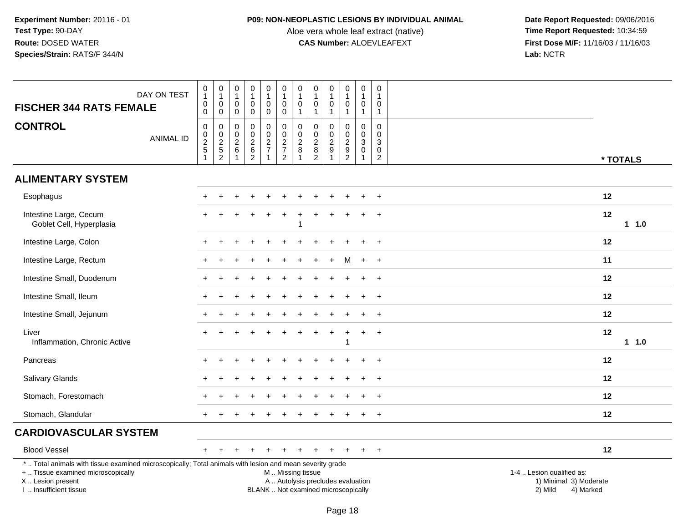## **P09: NON-NEOPLASTIC LESIONS BY INDIVIDUAL ANIMAL**

Aloe vera whole leaf extract (native)<br>**CAS Number:** ALOEVLEAFEXT

| <b>FISCHER 344 RATS FEMALE</b>                                                                                                                                                                | DAY ON TEST      | 0<br>$\mathbf{1}$<br>0<br>$\mathbf 0$        | $\pmb{0}$<br>$\mathbf{1}$<br>$\pmb{0}$<br>$\mathsf{O}\xspace$ | $\pmb{0}$<br>$\mathbf{1}$<br>0<br>$\mathbf 0$ | $\mathbf 0$<br>$\overline{1}$<br>$\mathbf 0$<br>$\mathbf 0$ | $\pmb{0}$<br>$\mathbf{1}$<br>$\mathbf 0$<br>$\mathsf 0$   | $\pmb{0}$<br>$\mathbf{1}$<br>$\mathbf 0$<br>$\pmb{0}$                                         | $\pmb{0}$<br>$\mathbf{1}$<br>$\mathbf 0$<br>$\mathbf{1}$ | 0<br>$\mathbf{1}$<br>0<br>$\mathbf{1}$                      | $\mathbf 0$<br>$\mathbf{1}$<br>0<br>$\mathbf{1}$                  | $\pmb{0}$<br>$\mathbf{1}$<br>$\mathbf 0$<br>-1 | $\mathbf 0$<br>$\mathbf{1}$<br>$\mathbf 0$<br>$\overline{1}$             | $\mathbf 0$<br>$\overline{1}$<br>$\mathbf 0$<br>$\overline{1}$ |  |                                      |                                     |    |          |
|-----------------------------------------------------------------------------------------------------------------------------------------------------------------------------------------------|------------------|----------------------------------------------|---------------------------------------------------------------|-----------------------------------------------|-------------------------------------------------------------|-----------------------------------------------------------|-----------------------------------------------------------------------------------------------|----------------------------------------------------------|-------------------------------------------------------------|-------------------------------------------------------------------|------------------------------------------------|--------------------------------------------------------------------------|----------------------------------------------------------------|--|--------------------------------------|-------------------------------------|----|----------|
| <b>CONTROL</b>                                                                                                                                                                                | <b>ANIMAL ID</b> | $\mathbf 0$<br>$\frac{0}{2}$<br>$\mathbf{1}$ | $\pmb{0}$<br>$\frac{0}{2}$<br>$\overline{2}$                  | 0<br>$\frac{0}{2}$<br>$\mathbf{1}$            | $\pmb{0}$<br>$\frac{0}{2}$ 6<br>$\overline{2}$              | $\pmb{0}$<br>$\pmb{0}$<br>$\frac{2}{7}$<br>$\overline{1}$ | 0<br>$\begin{array}{c} 0 \\ 2 \\ 7 \end{array}$<br>$\overline{2}$                             | $\mathbf 0$<br>$\frac{0}{2}$<br>$\mathbf{1}$             | 0<br>$\mathsf{O}\xspace$<br>$\frac{2}{8}$<br>$\overline{2}$ | 0<br>$\mathbf 0$<br>$\overline{2}$<br>$\mathsf g$<br>$\mathbf{1}$ | 0<br>$\frac{0}{2}$<br>2                        | $\mathbf 0$<br>$\mathbf 0$<br>$\mathsf 3$<br>$\mathbf 0$<br>$\mathbf{1}$ | $\mathbf 0$<br>$\mathbf 0$<br>3<br>$\mathbf 0$<br>2            |  |                                      |                                     |    | * TOTALS |
| <b>ALIMENTARY SYSTEM</b>                                                                                                                                                                      |                  |                                              |                                                               |                                               |                                                             |                                                           |                                                                                               |                                                          |                                                             |                                                                   |                                                |                                                                          |                                                                |  |                                      |                                     |    |          |
| Esophagus                                                                                                                                                                                     |                  |                                              |                                                               |                                               |                                                             |                                                           |                                                                                               |                                                          |                                                             |                                                                   |                                                |                                                                          | $\ddot{}$                                                      |  |                                      |                                     | 12 |          |
| Intestine Large, Cecum<br>Goblet Cell, Hyperplasia                                                                                                                                            |                  |                                              |                                                               |                                               |                                                             |                                                           |                                                                                               |                                                          |                                                             |                                                                   |                                                |                                                                          | $\ddot{}$                                                      |  |                                      |                                     | 12 | 11.0     |
| Intestine Large, Colon                                                                                                                                                                        |                  |                                              |                                                               |                                               |                                                             |                                                           |                                                                                               |                                                          |                                                             |                                                                   |                                                |                                                                          | $+$                                                            |  |                                      |                                     | 12 |          |
| Intestine Large, Rectum                                                                                                                                                                       |                  |                                              |                                                               |                                               |                                                             |                                                           |                                                                                               |                                                          |                                                             |                                                                   | M                                              | $\ddot{}$                                                                | $+$                                                            |  |                                      |                                     | 11 |          |
| Intestine Small, Duodenum                                                                                                                                                                     |                  |                                              |                                                               |                                               |                                                             |                                                           |                                                                                               |                                                          |                                                             |                                                                   |                                                |                                                                          | $+$                                                            |  |                                      |                                     | 12 |          |
| Intestine Small, Ileum                                                                                                                                                                        |                  |                                              |                                                               |                                               |                                                             |                                                           |                                                                                               |                                                          |                                                             |                                                                   |                                                |                                                                          | $+$                                                            |  |                                      |                                     | 12 |          |
| Intestine Small, Jejunum                                                                                                                                                                      |                  |                                              |                                                               |                                               |                                                             |                                                           |                                                                                               |                                                          |                                                             |                                                                   |                                                |                                                                          | $\ddot{}$                                                      |  |                                      |                                     | 12 |          |
| Liver<br>Inflammation, Chronic Active                                                                                                                                                         |                  |                                              |                                                               |                                               |                                                             |                                                           |                                                                                               |                                                          |                                                             |                                                                   | $\overline{1}$                                 | $\ddot{}$                                                                | $^{+}$                                                         |  |                                      |                                     | 12 | $1 1.0$  |
| Pancreas                                                                                                                                                                                      |                  |                                              |                                                               |                                               |                                                             |                                                           |                                                                                               |                                                          |                                                             |                                                                   |                                                |                                                                          | $\overline{ }$                                                 |  |                                      |                                     | 12 |          |
| Salivary Glands                                                                                                                                                                               |                  |                                              |                                                               |                                               |                                                             |                                                           |                                                                                               |                                                          |                                                             |                                                                   |                                                |                                                                          | $+$                                                            |  |                                      |                                     | 12 |          |
| Stomach, Forestomach                                                                                                                                                                          |                  |                                              |                                                               |                                               |                                                             |                                                           |                                                                                               |                                                          |                                                             |                                                                   |                                                |                                                                          | $\ddot{}$                                                      |  |                                      |                                     | 12 |          |
| Stomach, Glandular                                                                                                                                                                            |                  |                                              |                                                               |                                               |                                                             |                                                           |                                                                                               |                                                          |                                                             |                                                                   |                                                |                                                                          | $\ddot{}$                                                      |  |                                      |                                     | 12 |          |
| <b>CARDIOVASCULAR SYSTEM</b>                                                                                                                                                                  |                  |                                              |                                                               |                                               |                                                             |                                                           |                                                                                               |                                                          |                                                             |                                                                   |                                                |                                                                          |                                                                |  |                                      |                                     |    |          |
| <b>Blood Vessel</b>                                                                                                                                                                           |                  | $+$                                          | $+$                                                           |                                               |                                                             |                                                           |                                                                                               |                                                          |                                                             |                                                                   |                                                | $\pm$                                                                    | $+$                                                            |  |                                      |                                     | 12 |          |
| *  Total animals with tissue examined microscopically; Total animals with lesion and mean severity grade<br>+  Tissue examined microscopically<br>X  Lesion present<br>I  Insufficient tissue |                  |                                              |                                                               |                                               |                                                             |                                                           | M  Missing tissue<br>A  Autolysis precludes evaluation<br>BLANK  Not examined microscopically |                                                          |                                                             |                                                                   |                                                |                                                                          |                                                                |  | 1-4  Lesion qualified as:<br>2) Mild | 1) Minimal 3) Moderate<br>4) Marked |    |          |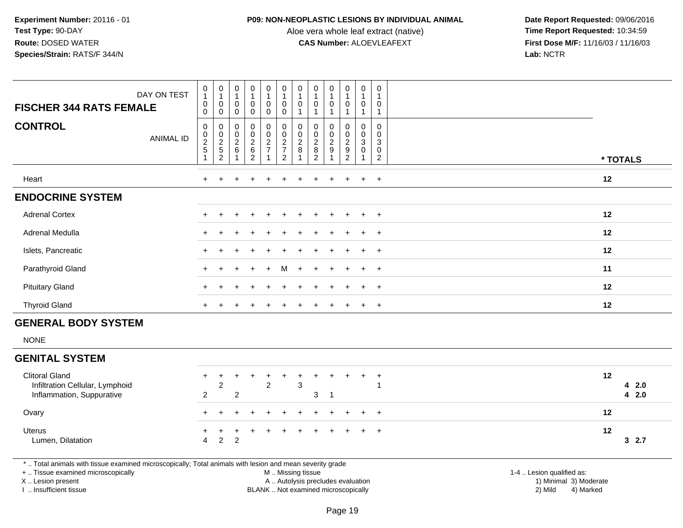#### **P09: NON-NEOPLASTIC LESIONS BY INDIVIDUAL ANIMAL**

Aloe vera whole leaf extract (native)<br>**CAS Number:** ALOEVLEAFEXT

 **Date Report Requested:** 09/06/2016 **First Dose M/F:** 11/16/03 / 11/16/03<br>**Lab:** NCTR **Lab:** NCTR

| <b>FISCHER 344 RATS FEMALE</b> | DAY ON TEST      | $\begin{smallmatrix}0\\1\end{smallmatrix}$<br>$\mathbf 0$<br>$\mathbf 0$ | $\begin{smallmatrix}0\1\end{smallmatrix}$<br>0<br>0               | $\begin{smallmatrix}0\1\end{smallmatrix}$<br>0<br>0 | 0<br>1<br>0<br>0 | $\mathbf 0$<br>$\mathbf 0$<br>$\mathbf 0$                 | $\begin{smallmatrix}0\\1\end{smallmatrix}$<br>$\pmb{0}$<br>$\mathbf 0$ | $\begin{smallmatrix}0\1\end{smallmatrix}$<br>0<br>1 | $\begin{smallmatrix}0\\1\end{smallmatrix}$<br>$\pmb{0}$<br>$\mathbf{1}$ | $\begin{smallmatrix}0\1\end{smallmatrix}$<br>0 | 0<br>0                                               | $\mathbf 0$<br>$\overline{1}$<br>0                                 | 0<br>1<br>0<br>1      |          |
|--------------------------------|------------------|--------------------------------------------------------------------------|-------------------------------------------------------------------|-----------------------------------------------------|------------------|-----------------------------------------------------------|------------------------------------------------------------------------|-----------------------------------------------------|-------------------------------------------------------------------------|------------------------------------------------|------------------------------------------------------|--------------------------------------------------------------------|-----------------------|----------|
| <b>CONTROL</b>                 | <b>ANIMAL ID</b> | $\pmb{0}$<br>$\frac{0}{2}$<br>1                                          | 0<br>$\begin{array}{c} 0 \\ 2 \\ 5 \end{array}$<br>$\overline{2}$ | 0<br>$\begin{array}{c} 0 \\ 2 \\ 6 \end{array}$     | 0<br>0262        | $\mathbf 0$<br>$\begin{array}{c} 0 \\ 2 \\ 7 \end{array}$ | $\pmb{0}$<br>$\frac{0}{2}$<br>$\overline{c}$                           | 0<br>$\begin{array}{c} 0 \\ 2 \\ 8 \end{array}$     | 0<br>0282                                                               | 0<br>$\frac{0}{2}$<br>9<br>$\overline{ }$      | 0<br>$\begin{array}{c} 0 \\ 2 \\ 9 \\ 2 \end{array}$ | 0<br>$_{3}^{\rm 0}$<br>$\boldsymbol{0}$<br>$\overline{\mathbf{A}}$ | 0<br>0<br>3<br>0<br>2 | * TOTALS |
| Heart                          |                  |                                                                          |                                                                   |                                                     |                  |                                                           |                                                                        |                                                     |                                                                         | $\ddot{}$                                      | $\ddot{}$                                            | $+$                                                                | $+$                   | 12       |
| <b>ENDOCRINE SYSTEM</b>        |                  |                                                                          |                                                                   |                                                     |                  |                                                           |                                                                        |                                                     |                                                                         |                                                |                                                      |                                                                    |                       |          |
| <b>Adrenal Cortex</b>          |                  |                                                                          |                                                                   |                                                     |                  |                                                           |                                                                        |                                                     |                                                                         |                                                | $\pm$                                                | $\pm$                                                              | $+$                   | 12       |
| Adrenal Medulla                |                  |                                                                          |                                                                   |                                                     |                  |                                                           |                                                                        |                                                     |                                                                         |                                                | $\pm$                                                |                                                                    | $+$                   | 12       |
| Islets, Pancreatic             |                  |                                                                          |                                                                   |                                                     |                  |                                                           |                                                                        |                                                     |                                                                         | $\ddot{}$                                      | $\ddot{}$                                            | $+$                                                                | $+$                   | 12       |
| Parathyroid Gland              |                  | $+$                                                                      | $\ddot{}$                                                         |                                                     | $+$              | $+$                                                       | M                                                                      | $+$                                                 | $+$                                                                     | $+$                                            | $+$                                                  | $+$                                                                | $^{+}$                | 11       |
| <b>Pituitary Gland</b>         |                  |                                                                          |                                                                   |                                                     | $\div$           | ÷                                                         | $\ddot{}$                                                              |                                                     |                                                                         | $\ddot{}$                                      | $\pm$                                                | $+$                                                                | $+$                   | 12       |
| <b>Thyroid Gland</b>           |                  | $+$                                                                      |                                                                   |                                                     |                  |                                                           |                                                                        |                                                     |                                                                         | $\pm$                                          | $\ddot{}$                                            | $+$                                                                | $+$                   | 12       |
| <b>GENERAL BODY SYSTEM</b>     |                  |                                                                          |                                                                   |                                                     |                  |                                                           |                                                                        |                                                     |                                                                         |                                                |                                                      |                                                                    |                       |          |
| <b>NONE</b>                    |                  |                                                                          |                                                                   |                                                     |                  |                                                           |                                                                        |                                                     |                                                                         |                                                |                                                      |                                                                    |                       |          |
|                                |                  |                                                                          |                                                                   |                                                     |                  |                                                           |                                                                        |                                                     |                                                                         |                                                |                                                      |                                                                    |                       |          |

## **GENITAL SYSTEM**

| <b>Clitoral Gland</b><br>Infiltration Cellular, Lymphoid<br>Inflammation, Suppurative | 2     |                         | 2 | 3 |  |  | 12 | 42.0<br>4 2.0 |
|---------------------------------------------------------------------------------------|-------|-------------------------|---|---|--|--|----|---------------|
| Ovary                                                                                 |       | + + + + + + + + + + +   |   |   |  |  |    |               |
| <b>Uterus</b><br>Lumen, Dilatation                                                    | 4 2 2 | + + + + + + + + + + + + |   |   |  |  | 12 | 32.7          |

\* .. Total animals with tissue examined microscopically; Total animals with lesion and mean severity grade

+ .. Tissue examined microscopically

X .. Lesion present

I .. Insufficient tissue

M .. Missing tissue

Lesion present A .. Autolysis precludes evaluation 1) Minimal 3) Moderate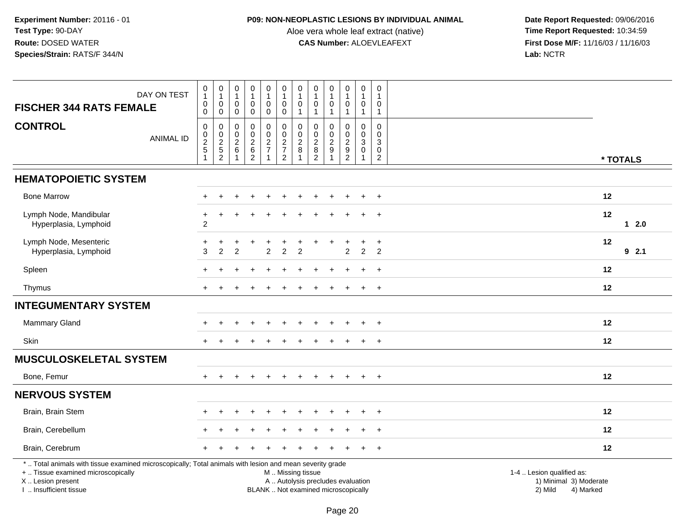## **P09: NON-NEOPLASTIC LESIONS BY INDIVIDUAL ANIMAL**

Aloe vera whole leaf extract (native)<br>**CAS Number:** ALOEVLEAFEXT

| <b>FISCHER 344 RATS FEMALE</b>                                                                                                                                                                | DAY ON TEST      | $\begin{smallmatrix}0\1\end{smallmatrix}$<br>$\pmb{0}$<br>0    | $\begin{smallmatrix}0\\1\end{smallmatrix}$<br>$\mathbf 0$<br>$\ddot{\mathbf{0}}$ | $\pmb{0}$<br>$\overline{1}$<br>$\mathsf{O}\xspace$<br>$\mathbf 0$ | $\pmb{0}$<br>$\overline{1}$<br>$\pmb{0}$<br>$\mathbf 0$ | $\pmb{0}$<br>$\overline{1}$<br>$\mathsf{O}\xspace$<br>$\ddot{\mathbf{0}}$ | $\begin{smallmatrix}0\\1\end{smallmatrix}$<br>$\mathbf 0$<br>$\boldsymbol{0}$                 | 0<br>$\mathbf{1}$<br>0<br>$\mathbf{1}$         | $\pmb{0}$<br>$\mathbf{1}$<br>$\pmb{0}$<br>$\mathbf{1}$                                 | $\pmb{0}$<br>$\mathbf{1}$<br>0<br>$\mathbf{1}$          | 0<br>$\mathbf{1}$<br>0<br>$\mathbf{1}$              | $\pmb{0}$<br>$\overline{1}$<br>$\pmb{0}$<br>$\mathbf{1}$                    | 0<br>$\overline{1}$<br>$\mathbf 0$<br>$\mathbf{1}$ |                                                                             |  |
|-----------------------------------------------------------------------------------------------------------------------------------------------------------------------------------------------|------------------|----------------------------------------------------------------|----------------------------------------------------------------------------------|-------------------------------------------------------------------|---------------------------------------------------------|---------------------------------------------------------------------------|-----------------------------------------------------------------------------------------------|------------------------------------------------|----------------------------------------------------------------------------------------|---------------------------------------------------------|-----------------------------------------------------|-----------------------------------------------------------------------------|----------------------------------------------------|-----------------------------------------------------------------------------|--|
| <b>CONTROL</b>                                                                                                                                                                                | <b>ANIMAL ID</b> | $\boldsymbol{0}$<br>0<br>$\boldsymbol{2}$<br>5<br>$\mathbf{1}$ | $\mathbf 0$<br>$_{2}^{\rm 0}$<br>$\frac{5}{2}$                                   | $\pmb{0}$<br>$\mathbf 0$<br>$\overline{c}$<br>6<br>$\mathbf{1}$   | $\pmb{0}$<br>$\pmb{0}$<br>$\sqrt{2}$<br>$\frac{6}{2}$   | $\pmb{0}$<br>$\pmb{0}$<br>$\sqrt{2}$<br>$\overline{7}$<br>$\overline{1}$  | $\mathbf 0$<br>$\frac{0}{2}$<br>$\overline{2}$                                                | 0<br>$\mathbf 0$<br>$\boldsymbol{2}$<br>8<br>1 | 0<br>$\mathbf 0$<br>$\boldsymbol{2}$<br>$\begin{smallmatrix} 8 \\ 2 \end{smallmatrix}$ | 0<br>$\mathbf 0$<br>$\overline{c}$<br>9<br>$\mathbf{1}$ | 0<br>$\mathbf 0$<br>$\overline{c}$<br>$\frac{9}{2}$ | $\mathbf 0$<br>$\mathbf 0$<br>$\mathbf{3}$<br>$\mathbf 0$<br>$\overline{1}$ | 0<br>$\mathbf{0}$<br>3<br>0<br>$\overline{2}$      | * TOTALS                                                                    |  |
| <b>HEMATOPOIETIC SYSTEM</b>                                                                                                                                                                   |                  |                                                                |                                                                                  |                                                                   |                                                         |                                                                           |                                                                                               |                                                |                                                                                        |                                                         |                                                     |                                                                             |                                                    |                                                                             |  |
| <b>Bone Marrow</b>                                                                                                                                                                            |                  |                                                                |                                                                                  |                                                                   |                                                         |                                                                           |                                                                                               |                                                |                                                                                        |                                                         |                                                     |                                                                             | $\ddot{}$                                          | 12                                                                          |  |
| Lymph Node, Mandibular<br>Hyperplasia, Lymphoid                                                                                                                                               |                  | +<br>$\sqrt{2}$                                                |                                                                                  |                                                                   |                                                         |                                                                           |                                                                                               |                                                |                                                                                        |                                                         |                                                     |                                                                             | $\ddot{}$                                          | 12<br>$12.0$                                                                |  |
| Lymph Node, Mesenteric<br>Hyperplasia, Lymphoid                                                                                                                                               |                  | 3                                                              | $\overline{2}$                                                                   | $\mathfrak{p}$                                                    |                                                         | $\overline{2}$                                                            | $\overline{2}$                                                                                | $\overline{2}$                                 |                                                                                        |                                                         | $\ddot{}$<br>$\overline{2}$                         | $\overline{2}$                                                              | $\ddot{}$<br>$\overline{2}$                        | 12<br>92.1                                                                  |  |
| Spleen                                                                                                                                                                                        |                  |                                                                |                                                                                  |                                                                   |                                                         |                                                                           |                                                                                               |                                                |                                                                                        |                                                         |                                                     |                                                                             | $\overline{ }$                                     | 12                                                                          |  |
| Thymus                                                                                                                                                                                        |                  |                                                                |                                                                                  |                                                                   |                                                         |                                                                           |                                                                                               |                                                |                                                                                        | $\ddot{}$                                               | $\ddot{}$                                           | $\ddot{}$                                                                   | $+$                                                | $12 \,$                                                                     |  |
| <b>INTEGUMENTARY SYSTEM</b>                                                                                                                                                                   |                  |                                                                |                                                                                  |                                                                   |                                                         |                                                                           |                                                                                               |                                                |                                                                                        |                                                         |                                                     |                                                                             |                                                    |                                                                             |  |
| <b>Mammary Gland</b>                                                                                                                                                                          |                  |                                                                |                                                                                  |                                                                   |                                                         |                                                                           |                                                                                               |                                                |                                                                                        |                                                         |                                                     |                                                                             | $\ddot{}$                                          | 12                                                                          |  |
| Skin                                                                                                                                                                                          |                  |                                                                |                                                                                  |                                                                   |                                                         |                                                                           |                                                                                               |                                                |                                                                                        |                                                         |                                                     |                                                                             | $\overline{+}$                                     | 12                                                                          |  |
| <b>MUSCULOSKELETAL SYSTEM</b>                                                                                                                                                                 |                  |                                                                |                                                                                  |                                                                   |                                                         |                                                                           |                                                                                               |                                                |                                                                                        |                                                         |                                                     |                                                                             |                                                    |                                                                             |  |
| Bone, Femur                                                                                                                                                                                   |                  | $+$                                                            |                                                                                  |                                                                   |                                                         | $\ddot{}$                                                                 |                                                                                               | $\div$                                         |                                                                                        | $\overline{+}$                                          | $+$                                                 | $+$                                                                         | $+$                                                | $12 \,$                                                                     |  |
| <b>NERVOUS SYSTEM</b>                                                                                                                                                                         |                  |                                                                |                                                                                  |                                                                   |                                                         |                                                                           |                                                                                               |                                                |                                                                                        |                                                         |                                                     |                                                                             |                                                    |                                                                             |  |
| Brain, Brain Stem                                                                                                                                                                             |                  |                                                                |                                                                                  |                                                                   |                                                         |                                                                           |                                                                                               |                                                |                                                                                        |                                                         |                                                     |                                                                             | $\ddot{}$                                          | 12                                                                          |  |
| Brain, Cerebellum                                                                                                                                                                             |                  |                                                                |                                                                                  |                                                                   |                                                         |                                                                           |                                                                                               |                                                |                                                                                        |                                                         |                                                     |                                                                             |                                                    | $12 \,$                                                                     |  |
| Brain, Cerebrum                                                                                                                                                                               |                  |                                                                |                                                                                  |                                                                   |                                                         |                                                                           |                                                                                               |                                                |                                                                                        |                                                         |                                                     |                                                                             | $\overline{+}$                                     | 12                                                                          |  |
| *  Total animals with tissue examined microscopically; Total animals with lesion and mean severity grade<br>+  Tissue examined microscopically<br>X  Lesion present<br>I. Insufficient tissue |                  |                                                                |                                                                                  |                                                                   |                                                         |                                                                           | M  Missing tissue<br>A  Autolysis precludes evaluation<br>BLANK  Not examined microscopically |                                                |                                                                                        |                                                         |                                                     |                                                                             |                                                    | 1-4  Lesion qualified as:<br>1) Minimal 3) Moderate<br>2) Mild<br>4) Marked |  |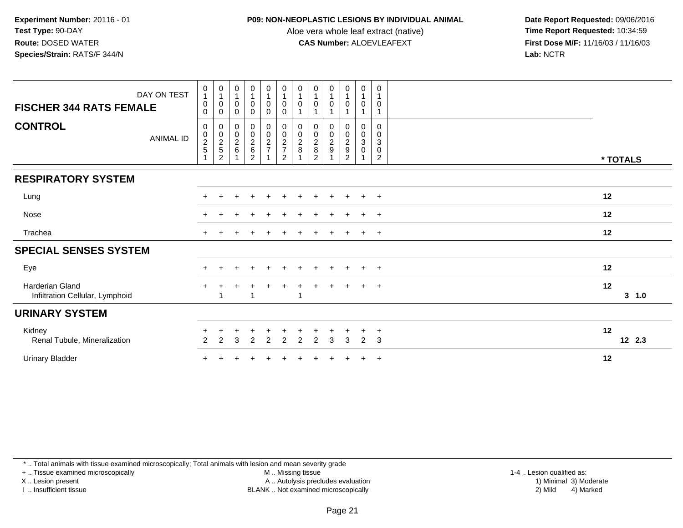#### **P09: NON-NEOPLASTIC LESIONS BY INDIVIDUAL ANIMAL**

Aloe vera whole leaf extract (native)<br>**CAS Number:** ALOEVLEAFEXT

 **Date Report Requested:** 09/06/2016 **First Dose M/F:** 11/16/03 / 11/16/03<br>Lab: NCTR **Lab:** NCTR

| DAY ON TEST<br><b>FISCHER 344 RATS FEMALE</b>      | $\begin{smallmatrix}0\\1\end{smallmatrix}$<br>$\pmb{0}$<br>0              | $\begin{smallmatrix}0\1\end{smallmatrix}$<br>0<br>0 | 0<br>$\mathbf{1}$<br>$\pmb{0}$<br>0             | $\pmb{0}$<br>$\mathbf{1}$<br>$\pmb{0}$<br>0 | $\begin{smallmatrix}0\1\end{smallmatrix}$<br>0<br>0 | $\begin{smallmatrix}0\\1\end{smallmatrix}$<br>$\pmb{0}$<br>$\pmb{0}$ | 0<br>$\mathbf{1}$<br>0 | $\begin{smallmatrix}0\1\end{smallmatrix}$<br>$\mathbf 0$               | $\pmb{0}$<br>$\mathbf 0$     | $\pmb{0}$<br>$\mathbf{1}$<br>$\mathbf 0$ | $\pmb{0}$<br>$\mathbf{1}$<br>$\mathbf 0$ | 0<br>0                |               |
|----------------------------------------------------|---------------------------------------------------------------------------|-----------------------------------------------------|-------------------------------------------------|---------------------------------------------|-----------------------------------------------------|----------------------------------------------------------------------|------------------------|------------------------------------------------------------------------|------------------------------|------------------------------------------|------------------------------------------|-----------------------|---------------|
| <b>CONTROL</b><br>ANIMAL ID                        | $\mathbf 0$<br>$\begin{array}{c} 0 \\ 2 \\ 5 \end{array}$<br>$\mathbf{1}$ | 0<br>$\frac{0}{2}$<br>$\overline{2}$                | 0<br>$\begin{array}{c} 0 \\ 2 \\ 6 \end{array}$ | 00026<br>$\overline{2}$                     | $\begin{array}{c} 0 \\ 0 \\ 2 \\ 7 \end{array}$     | $\begin{array}{c} 0 \\ 0 \\ 2 \\ 7 \end{array}$<br>$\overline{2}$    | 0<br>$\frac{0}{2}$     | 0<br>$\begin{smallmatrix} 0\\2\\8 \end{smallmatrix}$<br>$\overline{2}$ | 0<br>$_{2}^{\rm 0}$<br>$9\,$ | 0<br>$\frac{0}{2}$<br>$\overline{2}$     | 0<br>$_{3}^{\rm 0}$<br>$\mathsf 0$       | 0<br>0<br>3<br>0<br>2 | * TOTALS      |
| <b>RESPIRATORY SYSTEM</b>                          |                                                                           |                                                     |                                                 |                                             |                                                     |                                                                      |                        |                                                                        |                              |                                          |                                          |                       |               |
| Lung                                               |                                                                           |                                                     | +                                               | $\div$                                      | $\ddot{}$                                           | $\pm$                                                                | $\div$                 | $+$                                                                    | $\pm$                        | $\ddot{}$                                | $+$                                      | $+$                   | 12            |
| Nose                                               |                                                                           |                                                     |                                                 |                                             |                                                     |                                                                      |                        |                                                                        |                              |                                          |                                          | $\div$                | 12            |
| Trachea                                            | $+$                                                                       |                                                     |                                                 |                                             |                                                     |                                                                      |                        |                                                                        | $\pm$                        | $\pm$                                    | $+$                                      | $+$                   | 12            |
| <b>SPECIAL SENSES SYSTEM</b>                       |                                                                           |                                                     |                                                 |                                             |                                                     |                                                                      |                        |                                                                        |                              |                                          |                                          |                       |               |
| Eye                                                |                                                                           |                                                     |                                                 |                                             |                                                     |                                                                      |                        |                                                                        |                              |                                          | $\div$                                   | $\pm$                 | 12            |
| Harderian Gland<br>Infiltration Cellular, Lymphoid |                                                                           |                                                     |                                                 |                                             |                                                     |                                                                      | -1                     |                                                                        | $+$                          | $+$                                      | $+$                                      | $+$                   | 12<br>3, 1.0  |
| <b>URINARY SYSTEM</b>                              |                                                                           |                                                     |                                                 |                                             |                                                     |                                                                      |                        |                                                                        |                              |                                          |                                          |                       |               |
| Kidney<br>Renal Tubule, Mineralization             | 2                                                                         | $\overline{2}$                                      | 3                                               | 2                                           | $\overline{2}$                                      | $\overline{2}$                                                       | 2                      | 2                                                                      | 3                            | 3                                        | 2                                        | $\ddot{}$<br>3        | 12<br>12, 2.3 |
| <b>Urinary Bladder</b>                             |                                                                           |                                                     |                                                 |                                             |                                                     |                                                                      |                        |                                                                        |                              |                                          | $+$                                      | $+$                   | 12            |

\* .. Total animals with tissue examined microscopically; Total animals with lesion and mean severity grade

+ .. Tissue examined microscopically

X .. Lesion present

I .. Insufficient tissue

M .. Missing tissue

Lesion present A .. Autolysis precludes evaluation 1) Minimal 3) Moderate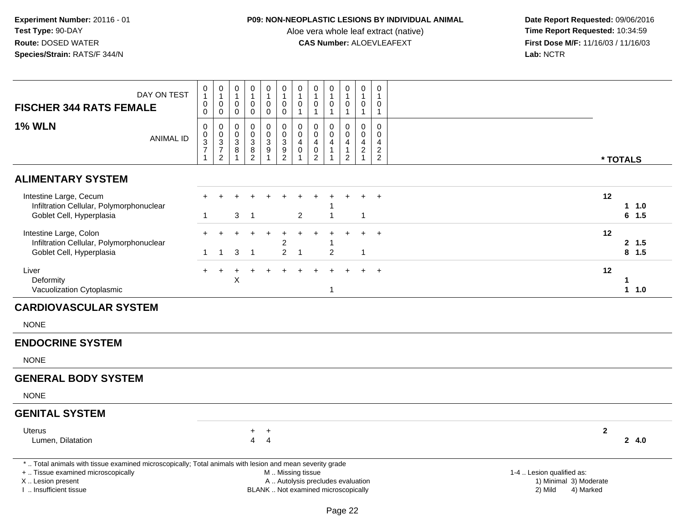## **P09: NON-NEOPLASTIC LESIONS BY INDIVIDUAL ANIMAL**

Aloe vera whole leaf extract (native)<br>**CAS Number:** ALOEVLEAFEXT

| DAY ON TEST<br><b>FISCHER 344 RATS FEMALE</b>                                                                                                                                                 | 0<br>$\mathbf{1}$<br>0<br>$\boldsymbol{0}$           | $\begin{smallmatrix}0\1\end{smallmatrix}$<br>$\pmb{0}$<br>$\pmb{0}$ | $\pmb{0}$<br>$\mathbf{1}$<br>$\pmb{0}$<br>$\mathbf 0$ | 0<br>-1<br>$\pmb{0}$<br>$\mathbf 0$    | $\mathsf 0$<br>$\overline{1}$<br>$\mathbf 0$<br>$\mathsf 0$  | $\boldsymbol{0}$<br>$\mathbf{1}$<br>$\pmb{0}$<br>$\pmb{0}$ | $\pmb{0}$<br>$\overline{1}$<br>$\pmb{0}$<br>$\mathbf{1}$                     | $\mathbf 0$<br>$\mathbf{1}$<br>$\pmb{0}$<br>$\mathbf{1}$                 | $\pmb{0}$<br>$\mathbf{1}$<br>$\mathsf{O}\xspace$<br>$\mathbf{1}$                 | $\mathbf 0$<br>$\overline{1}$<br>$\pmb{0}$<br>$\mathbf{1}$                     | $\mathbf 0$<br>$\mathbf{1}$<br>$\pmb{0}$<br>$\mathbf{1}$                       | $\mathbf 0$<br>$\overline{1}$<br>$\pmb{0}$<br>$\overline{1}$                 |                                                                             |
|-----------------------------------------------------------------------------------------------------------------------------------------------------------------------------------------------|------------------------------------------------------|---------------------------------------------------------------------|-------------------------------------------------------|----------------------------------------|--------------------------------------------------------------|------------------------------------------------------------|------------------------------------------------------------------------------|--------------------------------------------------------------------------|----------------------------------------------------------------------------------|--------------------------------------------------------------------------------|--------------------------------------------------------------------------------|------------------------------------------------------------------------------|-----------------------------------------------------------------------------|
| <b>1% WLN</b><br><b>ANIMAL ID</b>                                                                                                                                                             | 0<br>$\frac{0}{3}$<br>$\overline{7}$<br>$\mathbf{1}$ | 0<br>$\begin{array}{c} 0 \\ 3 \\ 7 \\ 2 \end{array}$                | $\pmb{0}$<br>$\frac{0}{3}$<br>$\bf 8$<br>$\mathbf{1}$ | 0<br>$\mathbf 0$<br>3<br>$\frac{8}{2}$ | $\pmb{0}$<br>$\begin{array}{c} 0 \\ 3 \\ 9 \\ 1 \end{array}$ | 0<br>$\pmb{0}$<br>3<br>$\frac{9}{2}$                       | $\mathbf 0$<br>$\overline{0}$<br>$\overline{4}$<br>$\pmb{0}$<br>$\mathbf{1}$ | 0<br>$\mathbf 0$<br>$\overline{4}$<br>$\pmb{0}$<br>$\overline{c}$        | $\mathbf 0$<br>$\mathbf 0$<br>$\overline{4}$<br>$\overline{1}$<br>$\overline{1}$ | $\mathbf 0$<br>$\mathbf 0$<br>$\overline{4}$<br>$\mathbf{1}$<br>$\overline{2}$ | $\mathbf 0$<br>$\mathbf 0$<br>$\overline{4}$<br>$\overline{c}$<br>$\mathbf{1}$ | $\mathbf 0$<br>$\mathbf 0$<br>$\overline{a}$<br>$\sqrt{2}$<br>$\overline{2}$ | * TOTALS                                                                    |
| <b>ALIMENTARY SYSTEM</b>                                                                                                                                                                      |                                                      |                                                                     |                                                       |                                        |                                                              |                                                            |                                                                              |                                                                          |                                                                                  |                                                                                |                                                                                |                                                                              |                                                                             |
| Intestine Large, Cecum<br>Infiltration Cellular, Polymorphonuclear<br>Goblet Cell, Hyperplasia                                                                                                | 1                                                    |                                                                     | 3                                                     | $\overline{1}$                         |                                                              |                                                            | $\overline{2}$                                                               |                                                                          |                                                                                  |                                                                                |                                                                                | $\overline{+}$                                                               | 12<br>$1 1.0$<br>$6$ 1.5                                                    |
| Intestine Large, Colon<br>Infiltration Cellular, Polymorphonuclear<br>Goblet Cell, Hyperplasia                                                                                                | $\mathbf 1$                                          | $\mathbf 1$                                                         | 3                                                     | $\mathbf{1}$                           | $\ddot{}$                                                    | $\ddot{}$<br>$\overline{c}$<br>$\overline{c}$              | $+$<br>$\overline{1}$                                                        | $+$                                                                      | $\ddot{}$<br>$\overline{2}$                                                      | $\ddot{}$                                                                      | $+$<br>$\overline{1}$                                                          | $+$                                                                          | 12<br>2, 1.5<br>$8$ 1.5                                                     |
| Liver<br>Deformity<br>Vacuolization Cytoplasmic                                                                                                                                               |                                                      |                                                                     | X                                                     |                                        |                                                              |                                                            |                                                                              |                                                                          | $\mathbf{1}$                                                                     |                                                                                |                                                                                |                                                                              | 12<br>-1<br>$1 1.0$                                                         |
| <b>CARDIOVASCULAR SYSTEM</b>                                                                                                                                                                  |                                                      |                                                                     |                                                       |                                        |                                                              |                                                            |                                                                              |                                                                          |                                                                                  |                                                                                |                                                                                |                                                                              |                                                                             |
| <b>NONE</b>                                                                                                                                                                                   |                                                      |                                                                     |                                                       |                                        |                                                              |                                                            |                                                                              |                                                                          |                                                                                  |                                                                                |                                                                                |                                                                              |                                                                             |
| <b>ENDOCRINE SYSTEM</b>                                                                                                                                                                       |                                                      |                                                                     |                                                       |                                        |                                                              |                                                            |                                                                              |                                                                          |                                                                                  |                                                                                |                                                                                |                                                                              |                                                                             |
| <b>NONE</b>                                                                                                                                                                                   |                                                      |                                                                     |                                                       |                                        |                                                              |                                                            |                                                                              |                                                                          |                                                                                  |                                                                                |                                                                                |                                                                              |                                                                             |
| <b>GENERAL BODY SYSTEM</b>                                                                                                                                                                    |                                                      |                                                                     |                                                       |                                        |                                                              |                                                            |                                                                              |                                                                          |                                                                                  |                                                                                |                                                                                |                                                                              |                                                                             |
| <b>NONE</b>                                                                                                                                                                                   |                                                      |                                                                     |                                                       |                                        |                                                              |                                                            |                                                                              |                                                                          |                                                                                  |                                                                                |                                                                                |                                                                              |                                                                             |
| <b>GENITAL SYSTEM</b>                                                                                                                                                                         |                                                      |                                                                     |                                                       |                                        |                                                              |                                                            |                                                                              |                                                                          |                                                                                  |                                                                                |                                                                                |                                                                              |                                                                             |
| Uterus<br>Lumen, Dilatation                                                                                                                                                                   |                                                      |                                                                     |                                                       | $+$<br>$\overline{4}$                  | $+$<br>$\overline{4}$                                        |                                                            |                                                                              |                                                                          |                                                                                  |                                                                                |                                                                                |                                                                              | $\mathbf{2}$<br>24.0                                                        |
| *  Total animals with tissue examined microscopically; Total animals with lesion and mean severity grade<br>+  Tissue examined microscopically<br>X  Lesion present<br>I. Insufficient tissue |                                                      |                                                                     |                                                       |                                        |                                                              | M  Missing tissue                                          |                                                                              | A  Autolysis precludes evaluation<br>BLANK  Not examined microscopically |                                                                                  |                                                                                |                                                                                |                                                                              | 1-4  Lesion qualified as:<br>1) Minimal 3) Moderate<br>4) Marked<br>2) Mild |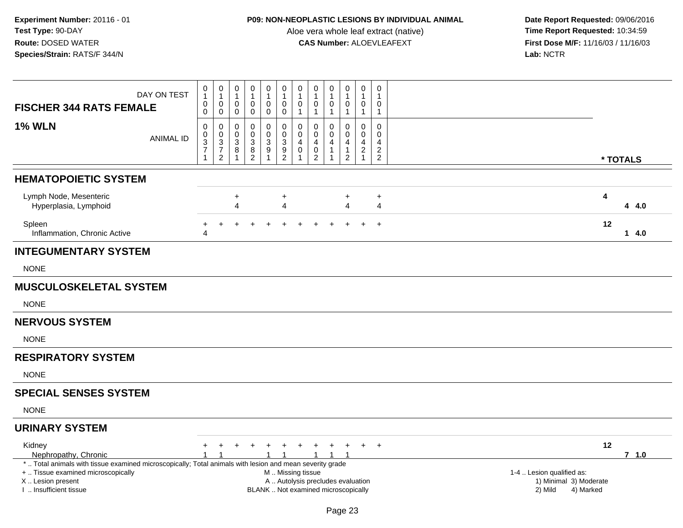## **P09: NON-NEOPLASTIC LESIONS BY INDIVIDUAL ANIMAL**

Aloe vera whole leaf extract (native)<br>**CAS Number:** ALOEVLEAFEXT

|                                                                                                                                                | DAY ON TEST      | 0<br>$\mathbf{1}$                          | $\pmb{0}$<br>$\mathbf{1}$                                                              | $\,0\,$<br>$\mathbf{1}$                                             | 0<br>$\mathbf{1}$                                               | $\mathbf 0$<br>$\mathbf{1}$                                                      | $\pmb{0}$<br>$\mathbf{1}$                            | $\pmb{0}$<br>$\mathbf{1}$                                         | 0<br>$\mathbf{1}$                                                        | 0<br>$\mathbf{1}$                                      | $\pmb{0}$<br>$\mathbf{1}$                               | 0<br>$\mathbf{1}$                                                            | $\pmb{0}$<br>$\mathbf{1}$                        |  |  |         |                           |           |    |          |
|------------------------------------------------------------------------------------------------------------------------------------------------|------------------|--------------------------------------------|----------------------------------------------------------------------------------------|---------------------------------------------------------------------|-----------------------------------------------------------------|----------------------------------------------------------------------------------|------------------------------------------------------|-------------------------------------------------------------------|--------------------------------------------------------------------------|--------------------------------------------------------|---------------------------------------------------------|------------------------------------------------------------------------------|--------------------------------------------------|--|--|---------|---------------------------|-----------|----|----------|
| <b>FISCHER 344 RATS FEMALE</b>                                                                                                                 |                  | 0<br>$\mathbf 0$                           | $\pmb{0}$<br>$\mathbf 0$                                                               | $\,0\,$<br>$\mathbf 0$                                              | $\pmb{0}$<br>$\mathbf 0$                                        | $\pmb{0}$<br>$\mathsf{O}\xspace$                                                 | $\pmb{0}$<br>$\mathbf 0$                             | $\pmb{0}$<br>$\mathbf{1}$                                         | $\pmb{0}$<br>$\mathbf{1}$                                                | $\mathsf{O}\xspace$<br>$\mathbf{1}$                    | 0<br>$\mathbf{1}$                                       | $\pmb{0}$<br>$\mathbf{1}$                                                    | $\pmb{0}$<br>$\mathbf{1}$                        |  |  |         |                           |           |    |          |
| <b>1% WLN</b>                                                                                                                                  | <b>ANIMAL ID</b> | $\pmb{0}$<br>$_3^0$<br>$\overline{7}$<br>1 | $\mathsf{O}\xspace$<br>$\pmb{0}$<br>$\overline{3}$<br>$\overline{7}$<br>$\overline{2}$ | $\,0\,$<br>$\pmb{0}$<br>$\overline{3}$<br>$\bf 8$<br>$\overline{1}$ | $\mathbf 0$<br>$\mathbf 0$<br>$\sqrt{3}$<br>8<br>$\overline{c}$ | $\pmb{0}$<br>$\mathbf 0$<br>$\ensuremath{\mathsf{3}}$<br>$9\,$<br>$\overline{1}$ | 0<br>$\overline{0}$<br>$\mathbf{3}$<br>$\frac{9}{2}$ | 0<br>$\mathbf 0$<br>$\overline{4}$<br>$\mathbf 0$<br>$\mathbf{1}$ | 0<br>$\mathbf 0$<br>4<br>0<br>$\overline{c}$                             | 0<br>$\Omega$<br>$\overline{4}$<br>1<br>$\overline{1}$ | 0<br>$\mathbf 0$<br>4<br>$\mathbf{1}$<br>$\overline{2}$ | 0<br>$\mathsf{O}\xspace$<br>$\overline{4}$<br>$\overline{c}$<br>$\mathbf{1}$ | $\mathbf 0$<br>$\mathbf 0$<br>4<br>$\frac{2}{2}$ |  |  |         |                           |           |    | * TOTALS |
| <b>HEMATOPOIETIC SYSTEM</b>                                                                                                                    |                  |                                            |                                                                                        |                                                                     |                                                                 |                                                                                  |                                                      |                                                                   |                                                                          |                                                        |                                                         |                                                                              |                                                  |  |  |         |                           |           |    |          |
| Lymph Node, Mesenteric<br>Hyperplasia, Lymphoid                                                                                                |                  |                                            |                                                                                        | $\ddot{}$<br>$\overline{A}$                                         |                                                                 |                                                                                  | $\ddot{}$<br>4                                       |                                                                   |                                                                          |                                                        | $\ddot{}$<br>$\overline{4}$                             |                                                                              | $\ddot{}$<br>$\overline{4}$                      |  |  |         |                           |           | 4  | 4 4.0    |
| Spleen<br>Inflammation, Chronic Active                                                                                                         |                  | $\overline{4}$                             |                                                                                        |                                                                     |                                                                 |                                                                                  |                                                      |                                                                   |                                                                          |                                                        |                                                         |                                                                              | $\overline{ }$                                   |  |  |         |                           |           | 12 | 14.0     |
| <b>INTEGUMENTARY SYSTEM</b>                                                                                                                    |                  |                                            |                                                                                        |                                                                     |                                                                 |                                                                                  |                                                      |                                                                   |                                                                          |                                                        |                                                         |                                                                              |                                                  |  |  |         |                           |           |    |          |
| <b>NONE</b>                                                                                                                                    |                  |                                            |                                                                                        |                                                                     |                                                                 |                                                                                  |                                                      |                                                                   |                                                                          |                                                        |                                                         |                                                                              |                                                  |  |  |         |                           |           |    |          |
| <b>MUSCULOSKELETAL SYSTEM</b>                                                                                                                  |                  |                                            |                                                                                        |                                                                     |                                                                 |                                                                                  |                                                      |                                                                   |                                                                          |                                                        |                                                         |                                                                              |                                                  |  |  |         |                           |           |    |          |
| <b>NONE</b>                                                                                                                                    |                  |                                            |                                                                                        |                                                                     |                                                                 |                                                                                  |                                                      |                                                                   |                                                                          |                                                        |                                                         |                                                                              |                                                  |  |  |         |                           |           |    |          |
| <b>NERVOUS SYSTEM</b>                                                                                                                          |                  |                                            |                                                                                        |                                                                     |                                                                 |                                                                                  |                                                      |                                                                   |                                                                          |                                                        |                                                         |                                                                              |                                                  |  |  |         |                           |           |    |          |
| <b>NONE</b>                                                                                                                                    |                  |                                            |                                                                                        |                                                                     |                                                                 |                                                                                  |                                                      |                                                                   |                                                                          |                                                        |                                                         |                                                                              |                                                  |  |  |         |                           |           |    |          |
| <b>RESPIRATORY SYSTEM</b>                                                                                                                      |                  |                                            |                                                                                        |                                                                     |                                                                 |                                                                                  |                                                      |                                                                   |                                                                          |                                                        |                                                         |                                                                              |                                                  |  |  |         |                           |           |    |          |
| <b>NONE</b>                                                                                                                                    |                  |                                            |                                                                                        |                                                                     |                                                                 |                                                                                  |                                                      |                                                                   |                                                                          |                                                        |                                                         |                                                                              |                                                  |  |  |         |                           |           |    |          |
| <b>SPECIAL SENSES SYSTEM</b>                                                                                                                   |                  |                                            |                                                                                        |                                                                     |                                                                 |                                                                                  |                                                      |                                                                   |                                                                          |                                                        |                                                         |                                                                              |                                                  |  |  |         |                           |           |    |          |
| <b>NONE</b>                                                                                                                                    |                  |                                            |                                                                                        |                                                                     |                                                                 |                                                                                  |                                                      |                                                                   |                                                                          |                                                        |                                                         |                                                                              |                                                  |  |  |         |                           |           |    |          |
| <b>URINARY SYSTEM</b>                                                                                                                          |                  |                                            |                                                                                        |                                                                     |                                                                 |                                                                                  |                                                      |                                                                   |                                                                          |                                                        |                                                         |                                                                              |                                                  |  |  |         |                           |           |    |          |
| Kidney<br>Nephropathy, Chronic                                                                                                                 |                  |                                            |                                                                                        |                                                                     |                                                                 |                                                                                  |                                                      |                                                                   |                                                                          | $+$                                                    | $\ddot{}$<br>-1                                         | $+$                                                                          | $+$                                              |  |  |         |                           |           | 12 | $7$ 1.0  |
| *  Total animals with tissue examined microscopically; Total animals with lesion and mean severity grade<br>+  Tissue examined microscopically |                  |                                            |                                                                                        |                                                                     |                                                                 |                                                                                  |                                                      |                                                                   | M  Missing tissue                                                        |                                                        |                                                         |                                                                              |                                                  |  |  |         | 1-4  Lesion qualified as: |           |    |          |
| X  Lesion present<br>I  Insufficient tissue                                                                                                    |                  |                                            |                                                                                        |                                                                     |                                                                 |                                                                                  |                                                      |                                                                   | A  Autolysis precludes evaluation<br>BLANK  Not examined microscopically |                                                        |                                                         |                                                                              |                                                  |  |  | 2) Mild | 1) Minimal 3) Moderate    | 4) Marked |    |          |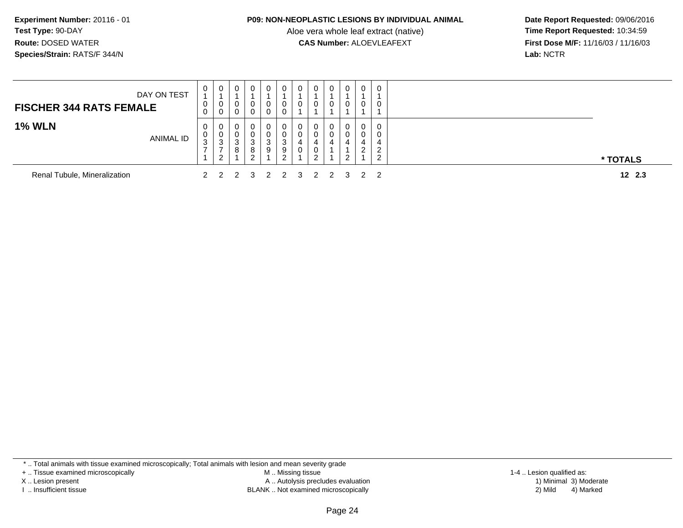#### **P09: NON-NEOPLASTIC LESIONS BY INDIVIDUAL ANIMAL**

Aloe vera whole leaf extract (native)<br>**CAS Number:** ALOEVLEAFEXT

 **Date Report Requested:** 09/06/2016 **First Dose M/F:** 11/16/03 / 11/16/03<br>Lab: NCTR **Lab:** NCTR

| DAY ON TEST<br><b>FISCHER 344 RATS FEMALE</b> | 0<br>U<br>0       | 0<br>0<br>0                    |   | 0 | 0<br>0<br>$\mathbf{0}$ | 0                | $\bf{0}$<br>0    | 0<br>U                     | 0                       | 0 | 0<br>U      |          |
|-----------------------------------------------|-------------------|--------------------------------|---|---|------------------------|------------------|------------------|----------------------------|-------------------------|---|-------------|----------|
| <b>1% WLN</b><br>ANIMAL ID                    | 0<br>U<br>ົ<br>J. | 0<br>0<br>-3<br>$\overline{2}$ | O | 3 | 0<br>0<br>3<br>9       | 3<br>9<br>ົ<br>_ | 0<br>0<br>4<br>0 | 0<br>0<br>4<br>U<br>ົ<br>∼ | 0                       | 0 | 0<br>-<br>ີ | * TOTALS |
| Renal Tubule, Mineralization                  |                   |                                |   |   |                        |                  |                  |                            | 2 2 2 3 2 2 3 2 2 3 2 2 |   |             | 12, 2.3  |

\* .. Total animals with tissue examined microscopically; Total animals with lesion and mean severity grade

+ .. Tissue examined microscopically

X .. Lesion present

I .. Insufficient tissue

 M .. Missing tissueA .. Autolysis precludes evaluation

BLANK .. Not examined microscopically 2) Mild 4) Marked

1-4 .. Lesion qualified as:<br>1) Minimal 3) Moderate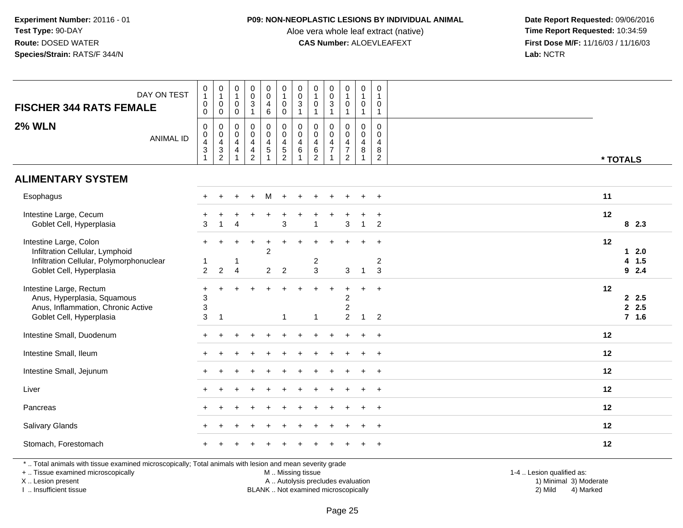## **P09: NON-NEOPLASTIC LESIONS BY INDIVIDUAL ANIMAL**

Aloe vera whole leaf extract (native)<br>**CAS Number:** ALOEVLEAFEXT

 **Date Report Requested:** 09/06/2016 **First Dose M/F:** 11/16/03 / 11/16/03<br>Lab: NCTR **Lab:** NCTR

| DAY ON TEST<br><b>FISCHER 344 RATS FEMALE</b>                                                                                                                       | 0<br>$\mathbf{1}$<br>$\pmb{0}$<br>$\pmb{0}$                                          | $\pmb{0}$<br>$\mathbf{1}$<br>$\mathbf 0$<br>$\boldsymbol{0}$                                              | $\mathsf{O}\xspace$<br>$\mathbf{1}$<br>$\pmb{0}$<br>$\mathsf 0$ | $\mathbf 0$<br>$\mathsf{O}\xspace$<br>$\ensuremath{\mathsf{3}}$<br>$\mathbf{1}$ | $_{\rm 0}^{\rm 0}$<br>$\overline{\mathbf{4}}$<br>$\,6\,$ | $\mathsf 0$<br>$\mathbf{1}$<br>$\mathsf 0$<br>$\mathsf{O}\xspace$ | $\pmb{0}$<br>$\pmb{0}$<br>$\frac{3}{1}$                                 | $\pmb{0}$<br>$\mathbf{1}$<br>$\pmb{0}$<br>$\mathbf{1}$                    | $\pmb{0}$<br>$\mathbf 0$<br>$\ensuremath{\mathsf{3}}$<br>$\mathbf{1}$ | $\boldsymbol{0}$<br>$\mathbf{1}$<br>$\mathsf{O}$<br>$\mathbf{1}$          | $\pmb{0}$<br>$\mathbf{1}$<br>$\pmb{0}$<br>$\mathbf{1}$                  | $\mathbf 0$<br>$\mathbf{1}$<br>$\mathbf 0$<br>$\mathbf{1}$          |                                                        |
|---------------------------------------------------------------------------------------------------------------------------------------------------------------------|--------------------------------------------------------------------------------------|-----------------------------------------------------------------------------------------------------------|-----------------------------------------------------------------|---------------------------------------------------------------------------------|----------------------------------------------------------|-------------------------------------------------------------------|-------------------------------------------------------------------------|---------------------------------------------------------------------------|-----------------------------------------------------------------------|---------------------------------------------------------------------------|-------------------------------------------------------------------------|---------------------------------------------------------------------|--------------------------------------------------------|
| <b>2% WLN</b><br><b>ANIMAL ID</b>                                                                                                                                   | 0<br>$\boldsymbol{0}$<br>$\overline{4}$<br>$\ensuremath{\mathsf{3}}$<br>$\mathbf{1}$ | $\mathbf 0$<br>$\boldsymbol{0}$<br>$\overline{\mathbf{4}}$<br>$\ensuremath{\mathsf{3}}$<br>$\overline{c}$ | 0<br>0<br>$\overline{4}$<br>$\overline{4}$                      | $\mathsf 0$<br>$\mathbf 0$<br>$\overline{4}$<br>$\frac{4}{2}$                   | 0<br>$\mathbf 0$<br>$\overline{4}$<br>$\overline{5}$     | $\mathbf 0$<br>$\mathbf 0$<br>$\overline{4}$<br>$\frac{5}{2}$     | $\pmb{0}$<br>$\mathbf 0$<br>$\overline{4}$<br>$\,6\,$<br>$\overline{1}$ | $\mathbf 0$<br>$\mathbf 0$<br>$\overline{4}$<br>$\,6\,$<br>$\overline{2}$ | $\mathbf 0$<br>$\mathbf 0$<br>$\overline{4}$<br>$\overline{7}$        | 0<br>$\overline{0}$<br>$\overline{4}$<br>$\overline{7}$<br>$\overline{2}$ | 0<br>$\mathsf{O}\xspace$<br>$\overline{4}$<br>$\bf 8$<br>$\overline{1}$ | $\mathbf 0$<br>$\mathbf 0$<br>$\overline{4}$<br>8<br>$\overline{2}$ | * TOTALS                                               |
| <b>ALIMENTARY SYSTEM</b>                                                                                                                                            |                                                                                      |                                                                                                           |                                                                 |                                                                                 |                                                          |                                                                   |                                                                         |                                                                           |                                                                       |                                                                           |                                                                         |                                                                     |                                                        |
| Esophagus                                                                                                                                                           |                                                                                      |                                                                                                           | $\ddot{}$                                                       | $\ddot{}$                                                                       | M                                                        | $+$                                                               | $+$                                                                     | $\ddot{}$                                                                 | ÷                                                                     | $\ddot{}$                                                                 | $\ddot{}$                                                               | $\ddot{}$                                                           | 11                                                     |
| Intestine Large, Cecum<br>Goblet Cell, Hyperplasia                                                                                                                  | 3                                                                                    | $\mathbf{1}$                                                                                              | $\boldsymbol{\Lambda}$                                          |                                                                                 |                                                          | 3                                                                 |                                                                         | $\overline{1}$                                                            |                                                                       | $\mathsf 3$                                                               | $\mathbf{1}$                                                            | $\overline{+}$<br>$\overline{2}$                                    | 12<br>82.3                                             |
| Intestine Large, Colon<br>Infiltration Cellular, Lymphoid<br>Infiltration Cellular, Polymorphonuclear<br>Goblet Cell, Hyperplasia                                   | 1<br>$\overline{2}$                                                                  | $\overline{2}$                                                                                            | -1<br>$\overline{4}$                                            |                                                                                 | $\overline{c}$<br>$\overline{2}$                         | $\overline{2}$                                                    |                                                                         | $\overline{\mathbf{c}}$<br>$\mathbf{3}$                                   |                                                                       | 3                                                                         | $\mathbf{1}$                                                            | $\overline{2}$<br>3                                                 | 12<br>$12.0$<br>$\overline{\mathbf{4}}$<br>1.5<br>92.4 |
| Intestine Large, Rectum<br>Anus, Hyperplasia, Squamous<br>Anus, Inflammation, Chronic Active<br>Goblet Cell, Hyperplasia                                            | $\ddot{}$<br>3<br>3<br>3                                                             | $\overline{1}$                                                                                            |                                                                 |                                                                                 |                                                          | 1                                                                 |                                                                         | $\mathbf{1}$                                                              |                                                                       | $\ddot{}$<br>$\overline{c}$<br>$\overline{c}$<br>$\overline{2}$           | $+$<br>$\mathbf{1}$                                                     | $\ddot{}$<br>$\overline{2}$                                         | 12<br>2.5<br>2.5<br>$7$ 1.6                            |
| Intestine Small, Duodenum                                                                                                                                           |                                                                                      |                                                                                                           |                                                                 |                                                                                 |                                                          |                                                                   |                                                                         |                                                                           |                                                                       |                                                                           |                                                                         | $\overline{ }$                                                      | 12                                                     |
| Intestine Small, Ileum                                                                                                                                              |                                                                                      |                                                                                                           |                                                                 |                                                                                 |                                                          |                                                                   |                                                                         |                                                                           |                                                                       |                                                                           |                                                                         | $\ddot{}$                                                           | 12                                                     |
| Intestine Small, Jejunum                                                                                                                                            |                                                                                      |                                                                                                           |                                                                 |                                                                                 |                                                          |                                                                   |                                                                         |                                                                           |                                                                       |                                                                           |                                                                         | $\overline{+}$                                                      | 12                                                     |
| Liver                                                                                                                                                               |                                                                                      |                                                                                                           |                                                                 |                                                                                 |                                                          |                                                                   |                                                                         |                                                                           |                                                                       |                                                                           |                                                                         |                                                                     | 12                                                     |
| Pancreas                                                                                                                                                            |                                                                                      |                                                                                                           |                                                                 |                                                                                 |                                                          |                                                                   |                                                                         |                                                                           |                                                                       |                                                                           |                                                                         | $\overline{+}$                                                      | 12                                                     |
| Salivary Glands                                                                                                                                                     |                                                                                      |                                                                                                           |                                                                 |                                                                                 |                                                          |                                                                   |                                                                         |                                                                           |                                                                       |                                                                           |                                                                         | $\div$                                                              | 12                                                     |
| Stomach, Forestomach                                                                                                                                                |                                                                                      |                                                                                                           |                                                                 |                                                                                 |                                                          |                                                                   |                                                                         |                                                                           |                                                                       |                                                                           |                                                                         | $\overline{+}$                                                      | 12                                                     |
| *  Total animals with tissue examined microscopically; Total animals with lesion and mean severity grade<br>+  Tissue examined microscopically<br>X  Lesion present |                                                                                      |                                                                                                           |                                                                 |                                                                                 |                                                          | M  Missing tissue<br>A  Autolysis precludes evaluation            |                                                                         |                                                                           |                                                                       |                                                                           |                                                                         |                                                                     | 1-4  Lesion qualified as:<br>1) Minimal 3) Moderate    |

BLANK .. Not examined microscopically 2) Mild 4) Marked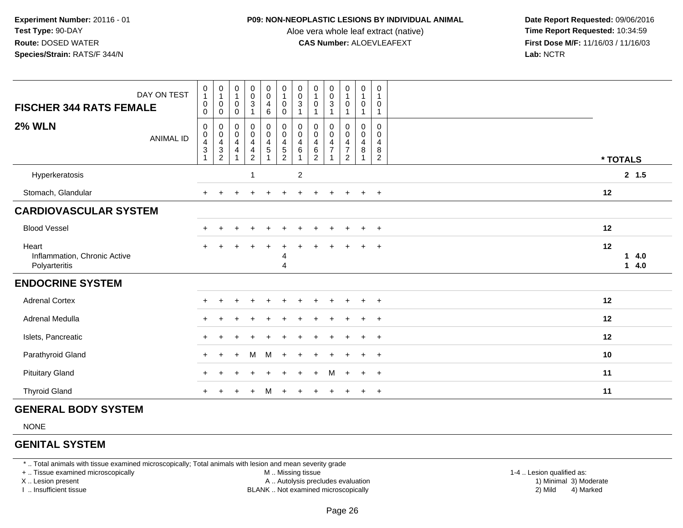#### **P09: NON-NEOPLASTIC LESIONS BY INDIVIDUAL ANIMAL**

Aloe vera whole leaf extract (native)<br>**CAS Number:** ALOEVLEAFEXT

 **Date Report Requested:** 09/06/2016 **First Dose M/F:** 11/16/03 / 11/16/03<br>**Lab:** NCTR **Lab:** NCTR

| <b>FISCHER 344 RATS FEMALE</b>                         | DAY ON TEST      | $\begin{smallmatrix}0\1\end{smallmatrix}$<br>$\pmb{0}$<br>0 | $\begin{smallmatrix}0\\1\end{smallmatrix}$<br>$\,0\,$<br>$\mathbf 0$ | 0<br>$\mathbf{1}$<br>$\boldsymbol{0}$<br>0 | $\begin{smallmatrix}0\\0\\3\end{smallmatrix}$                                                         | $\begin{smallmatrix} 0\\0 \end{smallmatrix}$<br>$\overline{\mathbf{4}}$<br>$\,6\,$ | $\begin{smallmatrix}0\1\end{smallmatrix}$<br>$\mathbf 0$<br>0 | $\begin{smallmatrix} 0\\0 \end{smallmatrix}$<br>$\ensuremath{\mathsf{3}}$ | $\begin{smallmatrix}0\1\end{smallmatrix}$<br>$\pmb{0}$                 | $\begin{smallmatrix}0\0\0\3\end{smallmatrix}$               | $\begin{smallmatrix}0\\1\end{smallmatrix}$<br>$\mathbf 0$   | $\pmb{0}$<br>$\overline{1}$<br>$\mathbf 0$<br>$\mathbf{1}$                  | 0<br>0                             |                        |
|--------------------------------------------------------|------------------|-------------------------------------------------------------|----------------------------------------------------------------------|--------------------------------------------|-------------------------------------------------------------------------------------------------------|------------------------------------------------------------------------------------|---------------------------------------------------------------|---------------------------------------------------------------------------|------------------------------------------------------------------------|-------------------------------------------------------------|-------------------------------------------------------------|-----------------------------------------------------------------------------|------------------------------------|------------------------|
| <b>2% WLN</b>                                          | <b>ANIMAL ID</b> | $\pmb{0}$<br>$\pmb{0}$<br>$\frac{4}{3}$<br>$\overline{1}$   | $\pmb{0}$<br>$\begin{array}{c} 0 \\ 4 \\ 3 \\ 2 \end{array}$         | 0<br>$\pmb{0}$<br>$\overline{4}$<br>4      | $\boldsymbol{0}$<br>$\pmb{0}$<br>$\overline{\mathbf{4}}$<br>$\overline{\mathbf{4}}$<br>$\overline{2}$ | $\mathbf 0$<br>$\mathbf 0$<br>$\frac{4}{5}$<br>$\mathbf{1}$                        | 0<br>$\mathsf 0$<br>$\frac{4}{5}$                             | 0<br>$\mathbf 0$<br>$\overline{4}$<br>6                                   | 0<br>$\pmb{0}$<br>$\overline{\mathbf{4}}$<br>$\,6\,$<br>$\overline{2}$ | 0<br>$\pmb{0}$<br>$\overline{\mathbf{4}}$<br>$\overline{7}$ | 0<br>$\mathsf{O}\xspace$<br>$\frac{4}{7}$<br>$\overline{2}$ | 0<br>$\boldsymbol{0}$<br>$\overline{\mathbf{4}}$<br>$\,8\,$<br>$\mathbf{1}$ | 0<br>0<br>4<br>8<br>$\overline{c}$ | * TOTALS               |
| Hyperkeratosis                                         |                  |                                                             |                                                                      |                                            | $\overline{1}$                                                                                        |                                                                                    |                                                               | $\overline{2}$                                                            |                                                                        |                                                             |                                                             |                                                                             |                                    | 2, 1.5                 |
| Stomach, Glandular                                     |                  | $+$                                                         |                                                                      |                                            |                                                                                                       |                                                                                    |                                                               |                                                                           | $\pm$                                                                  | $\pm$                                                       | $+$                                                         | $+$                                                                         | $+$                                | 12                     |
| <b>CARDIOVASCULAR SYSTEM</b>                           |                  |                                                             |                                                                      |                                            |                                                                                                       |                                                                                    |                                                               |                                                                           |                                                                        |                                                             |                                                             |                                                                             |                                    |                        |
| <b>Blood Vessel</b>                                    |                  |                                                             |                                                                      |                                            |                                                                                                       | $\ddot{}$                                                                          |                                                               |                                                                           |                                                                        | $\ddot{}$                                                   | $\overline{+}$                                              | $\ddot{}$                                                                   | $^{+}$                             | 12                     |
| Heart<br>Inflammation, Chronic Active<br>Polyarteritis |                  |                                                             |                                                                      |                                            |                                                                                                       |                                                                                    | 4<br>4                                                        |                                                                           |                                                                        |                                                             |                                                             | $\div$                                                                      | $^{+}$                             | 12<br>4.0<br>1<br>14.0 |
| <b>ENDOCRINE SYSTEM</b>                                |                  |                                                             |                                                                      |                                            |                                                                                                       |                                                                                    |                                                               |                                                                           |                                                                        |                                                             |                                                             |                                                                             |                                    |                        |
| <b>Adrenal Cortex</b>                                  |                  |                                                             |                                                                      |                                            |                                                                                                       |                                                                                    |                                                               |                                                                           |                                                                        |                                                             |                                                             |                                                                             | $\overline{ }$                     | 12                     |
| Adrenal Medulla                                        |                  | $+$                                                         |                                                                      |                                            |                                                                                                       |                                                                                    |                                                               |                                                                           |                                                                        |                                                             |                                                             |                                                                             | $+$                                | 12                     |
| Islets, Pancreatic                                     |                  | $\pm$                                                       |                                                                      |                                            |                                                                                                       |                                                                                    |                                                               |                                                                           |                                                                        |                                                             |                                                             | $\ddot{}$                                                                   | $^{+}$                             | 12                     |
| Parathyroid Gland                                      |                  | $+$                                                         | $+$                                                                  | $+$                                        | M                                                                                                     | M                                                                                  | $+$                                                           | $+$                                                                       | $\pm$                                                                  | $+$                                                         | $+$                                                         | $+$                                                                         | $+$                                | 10                     |
| <b>Pituitary Gland</b>                                 |                  |                                                             |                                                                      |                                            |                                                                                                       |                                                                                    |                                                               |                                                                           | $+$                                                                    | M                                                           | $+$                                                         | $+$                                                                         | $+$                                | 11                     |
| <b>Thyroid Gland</b>                                   |                  |                                                             |                                                                      |                                            | $\ddot{}$                                                                                             | M                                                                                  | $+$                                                           |                                                                           | $\pm$                                                                  | $\pm$                                                       |                                                             | $+$                                                                         | $+$                                | 11                     |

## **GENERAL BODY SYSTEM**

NONE

## **GENITAL SYSTEM**

\* .. Total animals with tissue examined microscopically; Total animals with lesion and mean severity grade

+ .. Tissue examined microscopically

X .. Lesion present

I .. Insufficient tissue

M .. Missing tissue

A .. Autolysis precludes evaluation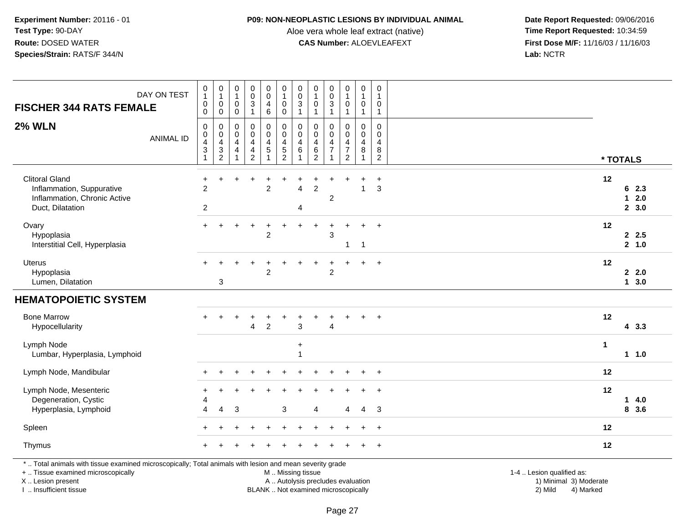## **P09: NON-NEOPLASTIC LESIONS BY INDIVIDUAL ANIMAL**

Aloe vera whole leaf extract (native)<br>**CAS Number:** ALOEVLEAFEXT

 **Date Report Requested:** 09/06/2016 **First Dose M/F:** 11/16/03 / 11/16/03<br>Lab: NCTR **Lab:** NCTR

| <b>FISCHER 344 RATS FEMALE</b>                                                                                                                                      | DAY ON TEST      | $\pmb{0}$<br>$\mathbf{1}$<br>$\mathbf 0$<br>0 | $\pmb{0}$<br>$\mathbf{1}$<br>0<br>$\mathbf 0$                        | $\pmb{0}$<br>$\mathbf{1}$<br>$\mathbf 0$<br>$\mathbf 0$ | $_{\rm 0}^{\rm 0}$<br>$\overline{3}$<br>$\mathbf{1}$   | $\begin{smallmatrix}0\0\0\end{smallmatrix}$<br>$\begin{array}{c} 4 \\ 6 \end{array}$ | $\begin{smallmatrix}0\\1\end{smallmatrix}$<br>$\pmb{0}$<br>$\mathbf 0$ | $\pmb{0}$<br>$\mathsf 0$<br>3<br>1    | $\pmb{0}$<br>$\overline{1}$<br>0<br>$\overline{1}$ | $\pmb{0}$<br>$\overline{0}$<br>$\overline{3}$<br>$\mathbf{1}$ | $\boldsymbol{0}$<br>$\mathbf 0$<br>$\overline{1}$            | $\boldsymbol{0}$<br>$\overline{1}$<br>$\pmb{0}$<br>$\mathbf{1}$                 | $\mathbf 0$<br>$\overline{1}$<br>0<br>$\mathbf{1}$ |                                                     |
|---------------------------------------------------------------------------------------------------------------------------------------------------------------------|------------------|-----------------------------------------------|----------------------------------------------------------------------|---------------------------------------------------------|--------------------------------------------------------|--------------------------------------------------------------------------------------|------------------------------------------------------------------------|---------------------------------------|----------------------------------------------------|---------------------------------------------------------------|--------------------------------------------------------------|---------------------------------------------------------------------------------|----------------------------------------------------|-----------------------------------------------------|
| <b>2% WLN</b>                                                                                                                                                       | <b>ANIMAL ID</b> | 0<br>0<br>4<br>$\ensuremath{\mathsf{3}}$<br>1 | 0<br>$\mathsf{O}\xspace$<br>$\overline{\mathbf{4}}$<br>$\frac{3}{2}$ | 0<br>0<br>$\overline{4}$<br>4<br>$\overline{1}$         | $\pmb{0}$<br>$\mathsf{O}\xspace$<br>4<br>$\frac{4}{2}$ | 0<br>$\pmb{0}$<br>$\overline{4}$<br>$\sqrt{5}$<br>$\overline{1}$                     | $\pmb{0}$<br>$\pmb{0}$<br>$\overline{4}$<br>$\frac{5}{2}$              | 0<br>$\mathbf 0$<br>4<br>6            | 0<br>0<br>4<br>$\frac{6}{2}$                       | 0<br>0<br>$\overline{4}$<br>$\overline{7}$                    | 0<br>0<br>$\overline{4}$<br>$\overline{7}$<br>$\overline{2}$ | $\mathbf 0$<br>$\mathsf{O}\xspace$<br>$\overline{4}$<br>$\bf 8$<br>$\mathbf{1}$ | 0<br>$\mathbf 0$<br>$\overline{4}$<br>8<br>2       | * TOTALS                                            |
| <b>Clitoral Gland</b><br>Inflammation, Suppurative<br>Inflammation, Chronic Active<br>Duct, Dilatation                                                              |                  | $\ddot{}$<br>$\overline{c}$<br>$\overline{c}$ | $\ddot{}$                                                            | ÷                                                       | $\overline{1}$                                         | $\ddot{}$<br>$\overline{c}$                                                          | $\ddot{}$                                                              | ÷<br>$\overline{4}$<br>$\overline{4}$ | $\ddot{}$<br>$\boldsymbol{2}$                      | $\ddot{}$<br>$\overline{2}$                                   | ÷                                                            | $\ddot{}$<br>$\overline{1}$                                                     | $\ddot{}$<br>3                                     | 12<br>62.3<br>2.0<br>$\mathbf 1$<br>2, 3.0          |
| Ovary<br>Hypoplasia<br>Interstitial Cell, Hyperplasia                                                                                                               |                  |                                               |                                                                      |                                                         |                                                        | $\overline{2}$                                                                       |                                                                        |                                       |                                                    | $\mathbf{3}$                                                  | 1                                                            | $\overline{1}$                                                                  | $+$                                                | 12<br>2.5<br>2, 1.0                                 |
| Uterus<br>Hypoplasia<br>Lumen, Dilatation                                                                                                                           |                  |                                               | 3                                                                    |                                                         |                                                        | $\overline{2}$                                                                       |                                                                        |                                       |                                                    | $\overline{c}$                                                |                                                              | $+$                                                                             | $+$                                                | 12<br>2.0<br>13.0                                   |
| <b>HEMATOPOIETIC SYSTEM</b>                                                                                                                                         |                  |                                               |                                                                      |                                                         |                                                        |                                                                                      |                                                                        |                                       |                                                    |                                                               |                                                              |                                                                                 |                                                    |                                                     |
| <b>Bone Marrow</b><br>Hypocellularity                                                                                                                               |                  |                                               |                                                                      |                                                         | $\overline{4}$                                         | $\boldsymbol{2}$                                                                     |                                                                        | $\ensuremath{\mathsf{3}}$             |                                                    | $\overline{4}$                                                |                                                              |                                                                                 | $+$                                                | 12<br>43.3                                          |
| Lymph Node<br>Lumbar, Hyperplasia, Lymphoid                                                                                                                         |                  |                                               |                                                                      |                                                         |                                                        |                                                                                      |                                                                        | $\ddot{}$<br>$\mathbf{1}$             |                                                    |                                                               |                                                              |                                                                                 |                                                    | $\mathbf{1}$<br>$1 1.0$                             |
| Lymph Node, Mandibular                                                                                                                                              |                  |                                               |                                                                      |                                                         |                                                        |                                                                                      |                                                                        |                                       |                                                    |                                                               |                                                              |                                                                                 | $\ddot{}$                                          | 12                                                  |
| Lymph Node, Mesenteric<br>Degeneration, Cystic<br>Hyperplasia, Lymphoid                                                                                             |                  | $\div$<br>4<br>4                              | $\div$<br>$\overline{4}$                                             | 3                                                       |                                                        |                                                                                      | 3                                                                      |                                       | $\boldsymbol{\Lambda}$                             |                                                               | 4                                                            | 4                                                                               | 3                                                  | 12<br>4.0<br>$\mathbf 1$<br>8 3.6                   |
| Spleen                                                                                                                                                              |                  |                                               |                                                                      |                                                         |                                                        |                                                                                      |                                                                        |                                       |                                                    |                                                               |                                                              |                                                                                 | $\ddot{}$                                          | 12                                                  |
| Thymus                                                                                                                                                              |                  |                                               |                                                                      |                                                         |                                                        |                                                                                      |                                                                        |                                       |                                                    |                                                               |                                                              |                                                                                 | $\ddot{}$                                          | 12                                                  |
| *  Total animals with tissue examined microscopically; Total animals with lesion and mean severity grade<br>+  Tissue examined microscopically<br>X  Lesion present |                  |                                               |                                                                      |                                                         |                                                        |                                                                                      | M  Missing tissue<br>A  Autolysis precludes evaluation                 |                                       |                                                    |                                                               |                                                              |                                                                                 |                                                    | 1-4  Lesion qualified as:<br>1) Minimal 3) Moderate |

X .. Lesion present I .. Insufficient tissue

BLANK .. Not examined microscopically 2) Mild 4) Marked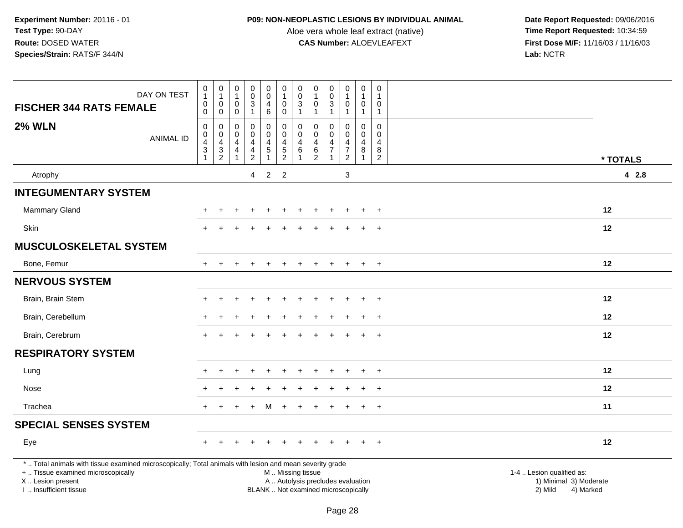## **P09: NON-NEOPLASTIC LESIONS BY INDIVIDUAL ANIMAL**

Aloe vera whole leaf extract (native)<br>**CAS Number:** ALOEVLEAFEXT

| DAY ON TEST<br><b>FISCHER 344 RATS FEMALE</b>                                                                                                                                                 | $\begin{smallmatrix}0\\1\end{smallmatrix}$<br>$\mathbf 0$<br>$\mathbf 0$ | $\begin{smallmatrix}0\\1\end{smallmatrix}$<br>$\mathbf 0$<br>$\mathsf{O}\xspace$ | $\begin{smallmatrix}0\\1\end{smallmatrix}$<br>0<br>$\mathbf 0$         | $\pmb{0}$<br>$\mathbf 0$<br>$\overline{3}$<br>$\mathbf{1}$                                | 0<br>$\overline{0}$<br>4<br>6 | $\begin{smallmatrix}0\\1\end{smallmatrix}$<br>$\mathsf{O}\xspace$<br>$\mathbf 0$ | $\begin{smallmatrix}0\\0\\3\end{smallmatrix}$<br>$\mathbf{1}$ | $\pmb{0}$<br>$\mathbf 0$<br>$\mathbf{1}$ | $\pmb{0}$<br>$\frac{0}{3}$<br>$\mathbf{1}$                               | 0<br>$\mathbf{1}$<br>0<br>$\overline{1}$              | $\pmb{0}$<br>$\overline{1}$<br>$\mathbf 0$<br>$\mathbf{1}$              | 0<br>0<br>$\mathbf{1}$                       |                                                                             |       |
|-----------------------------------------------------------------------------------------------------------------------------------------------------------------------------------------------|--------------------------------------------------------------------------|----------------------------------------------------------------------------------|------------------------------------------------------------------------|-------------------------------------------------------------------------------------------|-------------------------------|----------------------------------------------------------------------------------|---------------------------------------------------------------|------------------------------------------|--------------------------------------------------------------------------|-------------------------------------------------------|-------------------------------------------------------------------------|----------------------------------------------|-----------------------------------------------------------------------------|-------|
| <b>2% WLN</b><br><b>ANIMAL ID</b>                                                                                                                                                             | $\pmb{0}$<br>$\begin{array}{c} 0 \\ 4 \\ 3 \\ 1 \end{array}$             | $\pmb{0}$<br>$\frac{0}{4}$<br>$\frac{3}{2}$                                      | 0<br>$\mathsf 0$<br>$\overline{4}$<br>$\overline{4}$<br>$\overline{1}$ | $\mathbf 0$<br>$\mathbf 0$<br>$\overline{a}$<br>$\overline{\mathbf{4}}$<br>$\overline{2}$ | 0<br>$\mathbf 0$<br>4<br>5    | $\mathbf 0$<br>$\mathbf 0$<br>$\frac{4}{5}$                                      | $\mathbf 0$<br>$\mathbf 0$<br>$\overline{4}$<br>6             | 0<br>0<br>4<br>$\frac{6}{2}$             | $\mathbf 0$<br>$\mathbf 0$<br>4<br>$\overline{7}$<br>$\overline{1}$      | 0<br>$\mathbf 0$<br>4<br>$\overline{7}$<br>$\sqrt{2}$ | $\mathbf 0$<br>$\mathbf 0$<br>$\overline{4}$<br>$\,8\,$<br>$\mathbf{1}$ | $\mathbf 0$<br>0<br>4<br>8<br>$\overline{c}$ | * TOTALS                                                                    |       |
| Atrophy                                                                                                                                                                                       |                                                                          |                                                                                  |                                                                        | 4                                                                                         | $\overline{2}$                | $\overline{2}$                                                                   |                                                               |                                          |                                                                          | 3                                                     |                                                                         |                                              |                                                                             | 4 2.8 |
| <b>INTEGUMENTARY SYSTEM</b>                                                                                                                                                                   |                                                                          |                                                                                  |                                                                        |                                                                                           |                               |                                                                                  |                                                               |                                          |                                                                          |                                                       |                                                                         |                                              |                                                                             |       |
| <b>Mammary Gland</b>                                                                                                                                                                          |                                                                          |                                                                                  |                                                                        |                                                                                           |                               |                                                                                  |                                                               |                                          |                                                                          |                                                       |                                                                         | $\overline{+}$                               | 12                                                                          |       |
| Skin                                                                                                                                                                                          |                                                                          |                                                                                  |                                                                        |                                                                                           |                               |                                                                                  |                                                               |                                          |                                                                          |                                                       | $\ddot{}$                                                               | $\ddot{}$                                    | 12                                                                          |       |
| <b>MUSCULOSKELETAL SYSTEM</b>                                                                                                                                                                 |                                                                          |                                                                                  |                                                                        |                                                                                           |                               |                                                                                  |                                                               |                                          |                                                                          |                                                       |                                                                         |                                              |                                                                             |       |
| Bone, Femur                                                                                                                                                                                   |                                                                          |                                                                                  |                                                                        |                                                                                           |                               |                                                                                  |                                                               |                                          |                                                                          |                                                       |                                                                         | $+$                                          | 12                                                                          |       |
| <b>NERVOUS SYSTEM</b>                                                                                                                                                                         |                                                                          |                                                                                  |                                                                        |                                                                                           |                               |                                                                                  |                                                               |                                          |                                                                          |                                                       |                                                                         |                                              |                                                                             |       |
| Brain, Brain Stem                                                                                                                                                                             |                                                                          |                                                                                  |                                                                        |                                                                                           |                               |                                                                                  |                                                               |                                          |                                                                          |                                                       |                                                                         | $\ddot{}$                                    | $12 \,$                                                                     |       |
| Brain, Cerebellum                                                                                                                                                                             |                                                                          |                                                                                  |                                                                        |                                                                                           |                               |                                                                                  |                                                               |                                          |                                                                          |                                                       |                                                                         | $\ddot{}$                                    | 12                                                                          |       |
| Brain, Cerebrum                                                                                                                                                                               |                                                                          |                                                                                  |                                                                        |                                                                                           |                               |                                                                                  |                                                               |                                          |                                                                          |                                                       |                                                                         | $\ddot{}$                                    | 12                                                                          |       |
| <b>RESPIRATORY SYSTEM</b>                                                                                                                                                                     |                                                                          |                                                                                  |                                                                        |                                                                                           |                               |                                                                                  |                                                               |                                          |                                                                          |                                                       |                                                                         |                                              |                                                                             |       |
| Lung                                                                                                                                                                                          |                                                                          |                                                                                  |                                                                        |                                                                                           |                               |                                                                                  |                                                               |                                          |                                                                          |                                                       |                                                                         | $\ddot{}$                                    | 12                                                                          |       |
| Nose                                                                                                                                                                                          |                                                                          |                                                                                  |                                                                        |                                                                                           |                               |                                                                                  |                                                               |                                          |                                                                          |                                                       |                                                                         | $\ddot{}$                                    | 12                                                                          |       |
| Trachea                                                                                                                                                                                       |                                                                          |                                                                                  |                                                                        | $\ddot{}$                                                                                 | М                             | $\ddot{}$                                                                        | $\pm$                                                         |                                          |                                                                          |                                                       | $\ddot{}$                                                               | $+$                                          | 11                                                                          |       |
| <b>SPECIAL SENSES SYSTEM</b>                                                                                                                                                                  |                                                                          |                                                                                  |                                                                        |                                                                                           |                               |                                                                                  |                                                               |                                          |                                                                          |                                                       |                                                                         |                                              |                                                                             |       |
| Eye                                                                                                                                                                                           |                                                                          |                                                                                  |                                                                        |                                                                                           |                               |                                                                                  |                                                               |                                          |                                                                          |                                                       |                                                                         | $\overline{+}$                               | 12                                                                          |       |
| *  Total animals with tissue examined microscopically; Total animals with lesion and mean severity grade<br>+  Tissue examined microscopically<br>X  Lesion present<br>I. Insufficient tissue |                                                                          |                                                                                  |                                                                        |                                                                                           |                               | M  Missing tissue                                                                |                                                               |                                          | A  Autolysis precludes evaluation<br>BLANK  Not examined microscopically |                                                       |                                                                         |                                              | 1-4  Lesion qualified as:<br>1) Minimal 3) Moderate<br>2) Mild<br>4) Marked |       |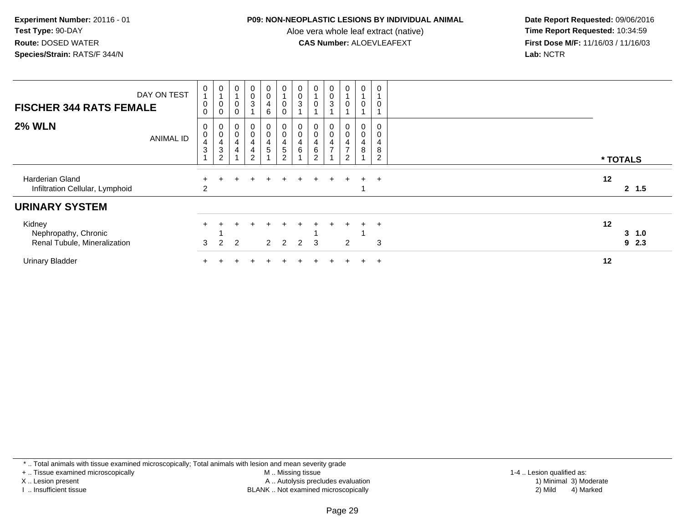#### **P09: NON-NEOPLASTIC LESIONS BY INDIVIDUAL ANIMAL**

Aloe vera whole leaf extract (native)<br>**CAS Number:** ALOEVLEAFEXT

 **Date Report Requested:** 09/06/2016 **First Dose M/F:** 11/16/03 / 11/16/03<br>Lab: NCTR **Lab:** NCTR

| <b>FISCHER 344 RATS FEMALE</b>                                 | DAY ON TEST      | 0<br>$\pmb{0}$<br>$\mathbf 0$                               | $\frac{0}{1}$<br>$\pmb{0}$<br>0                                                   | $\pmb{0}$<br>$\overline{A}$<br>$\pmb{0}$<br>0                                             | $_{\rm 0}^{\rm 0}$<br>$\mathbf{3}$                                            | $_0^0$<br>4<br>6        | $\mathbf 0$<br>$\boldsymbol{0}$                                                | $\begin{smallmatrix} 0\\0\\3 \end{smallmatrix}$                                    | $\pmb{0}$<br>$\pmb{0}$                                                     | $\begin{smallmatrix} 0\\0 \end{smallmatrix}$<br>$\sqrt{3}$        | 0<br>$\mathbf 0$                           | $\pmb{0}$<br>$\overline{A}$<br>$\pmb{0}$             | $\mathbf 0$<br>0                   |    |                |
|----------------------------------------------------------------|------------------|-------------------------------------------------------------|-----------------------------------------------------------------------------------|-------------------------------------------------------------------------------------------|-------------------------------------------------------------------------------|-------------------------|--------------------------------------------------------------------------------|------------------------------------------------------------------------------------|----------------------------------------------------------------------------|-------------------------------------------------------------------|--------------------------------------------|------------------------------------------------------|------------------------------------|----|----------------|
| <b>2% WLN</b>                                                  | <b>ANIMAL ID</b> | 0<br>$\pmb{0}$<br>$\overline{\mathbf{4}}$<br>$\mathfrak{S}$ | $\begin{smallmatrix} 0\\0\\4 \end{smallmatrix}$<br>$\mathbf{3}$<br>$\overline{2}$ | $\begin{smallmatrix} 0\\0 \end{smallmatrix}$<br>$\overline{\mathbf{4}}$<br>$\overline{4}$ | $\begin{smallmatrix}0\\0\end{smallmatrix}$<br>$\frac{4}{4}$<br>$\overline{2}$ | $_0^0$<br>$\frac{4}{5}$ | $\begin{smallmatrix}0\0\0\end{smallmatrix}$<br>$\frac{4}{5}$<br>$\overline{2}$ | $\begin{smallmatrix} 0\\0 \end{smallmatrix}$<br>$\overline{\mathbf{4}}$<br>$\,6\,$ | $_{\rm 0}^{\rm 0}$<br>$\overline{\mathbf{4}}$<br>$\,6\,$<br>$\overline{c}$ | $\begin{smallmatrix}0\\0\end{smallmatrix}$<br>4<br>$\overline{ }$ | 0<br>$\mbox{O}$<br>4<br>$\rightarrow$<br>2 | $\begin{smallmatrix}0\\0\end{smallmatrix}$<br>4<br>8 | 0<br>0<br>4<br>8<br>$\overline{2}$ |    | * TOTALS       |
| Harderian Gland<br>Infiltration Cellular, Lymphoid             |                  | 2                                                           |                                                                                   |                                                                                           |                                                                               |                         |                                                                                |                                                                                    | ÷.                                                                         | $\div$                                                            |                                            | $+$                                                  | $+$                                | 12 | 2, 1.5         |
| <b>URINARY SYSTEM</b>                                          |                  |                                                             |                                                                                   |                                                                                           |                                                                               |                         |                                                                                |                                                                                    |                                                                            |                                                                   |                                            |                                                      |                                    |    |                |
| Kidney<br>Nephropathy, Chronic<br>Renal Tubule, Mineralization |                  | 3                                                           | $\mathcal{P}$                                                                     | 2                                                                                         |                                                                               | $\overline{2}$          | 2                                                                              | 2                                                                                  | 3                                                                          |                                                                   | 2                                          | $+$                                                  | $+$<br>3                           | 12 | 3, 1.0<br>92.3 |
| <b>Urinary Bladder</b>                                         |                  |                                                             |                                                                                   |                                                                                           |                                                                               |                         |                                                                                |                                                                                    |                                                                            |                                                                   |                                            | $+$                                                  | $\overline{+}$                     | 12 |                |

\* .. Total animals with tissue examined microscopically; Total animals with lesion and mean severity grade

+ .. Tissue examined microscopically

X .. Lesion present

I .. Insufficient tissue

 M .. Missing tissueA .. Autolysis precludes evaluation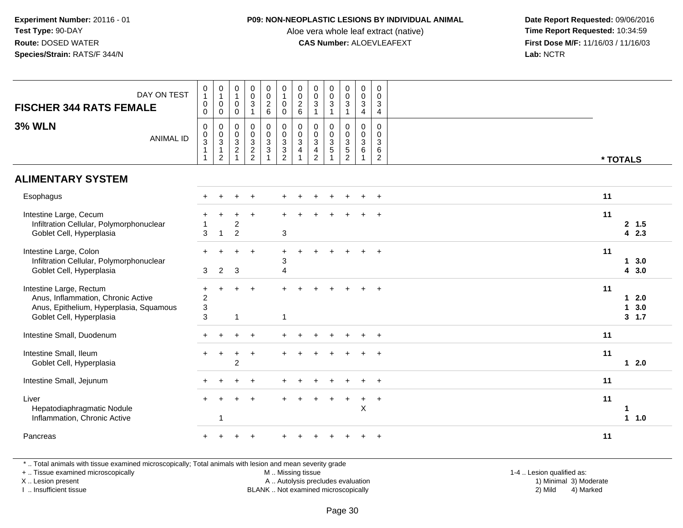#### **P09: NON-NEOPLASTIC LESIONS BY INDIVIDUAL ANIMAL**

Aloe vera whole leaf extract (native)<br>**CAS Number:** ALOEVLEAFEXT

 **Date Report Requested:** 09/06/2016 **First Dose M/F:** 11/16/03 / 11/16/03<br>Lab: NCTR **Lab:** NCTR

| DAY ON TEST<br><b>FISCHER 344 RATS FEMALE</b>                                                                                        | $\begin{smallmatrix}0\\1\end{smallmatrix}$<br>$\pmb{0}$<br>$\mathsf{O}\xspace$ | $\begin{smallmatrix}0\\1\end{smallmatrix}$<br>$\mathbf 0$<br>$\mathbf 0$ | $\mathbf 0$<br>$\mathbf{1}$<br>$\mathbf 0$<br>$\mathbf 0$ | $\begin{matrix} 0 \\ 0 \\ 3 \end{matrix}$<br>$\mathbf{1}$      | $\begin{array}{c} 0 \\ 0 \\ 2 \\ 6 \end{array}$ | $\begin{smallmatrix}0\1\end{smallmatrix}$<br>$\mathbf 0$<br>$\mathbf 0$ | $\begin{array}{c} 0 \\ 0 \\ 2 \\ 6 \end{array}$                 | $\begin{smallmatrix} 0\\0 \end{smallmatrix}$<br>$\mathbf{3}$<br>$\overline{1}$ | $\begin{smallmatrix} 0\\0 \end{smallmatrix}$<br>$\overline{3}$<br>$\mathbf{1}$ | $\begin{smallmatrix} 0\\0 \end{smallmatrix}$<br>$\overline{3}$<br>$\mathbf{1}$ | $\begin{matrix} 0 \\ 0 \\ 3 \\ 4 \end{matrix}$                     | $\pmb{0}$<br>$\mathbf 0$<br>3<br>4                   |                                                  |  |
|--------------------------------------------------------------------------------------------------------------------------------------|--------------------------------------------------------------------------------|--------------------------------------------------------------------------|-----------------------------------------------------------|----------------------------------------------------------------|-------------------------------------------------|-------------------------------------------------------------------------|-----------------------------------------------------------------|--------------------------------------------------------------------------------|--------------------------------------------------------------------------------|--------------------------------------------------------------------------------|--------------------------------------------------------------------|------------------------------------------------------|--------------------------------------------------|--|
| <b>3% WLN</b><br><b>ANIMAL ID</b>                                                                                                    | $\mathbf 0$<br>$_{3}^{\rm 0}$<br>$\overline{1}$                                | $\pmb{0}$<br>$\overline{0}$<br>3<br>$\mathbf{1}$<br>$\sqrt{2}$           | $\mathbf 0$<br>$\mathbf 0$<br>$\mathsf 3$<br>$\sqrt{2}$   | $\mathbf 0$<br>$\begin{array}{c} 0 \\ 3 \\ 2 \\ 2 \end{array}$ | $\begin{matrix} 0 \\ 0 \\ 3 \\ 3 \end{matrix}$  | $\begin{smallmatrix} 0\\0\\3 \end{smallmatrix}$<br>$\frac{3}{2}$        | $\begin{smallmatrix}0\\0\\3\end{smallmatrix}$<br>$\overline{4}$ | 0<br>$\mathbf 0$<br>$\mathbf{3}$<br>4<br>$\overline{2}$                        | $\mathbf 0$<br>$\mathbf 0$<br>$\mathbf{3}$<br>5<br>$\overline{1}$              | 0<br>$\mathbf 0$<br>$\mathbf{3}$<br>$\overline{5}$<br>$\overline{2}$           | $\begin{smallmatrix}0\0\0\3\end{smallmatrix}$<br>6<br>$\mathbf{1}$ | $\pmb{0}$<br>$\mathbf 0$<br>3<br>6<br>$\overline{2}$ | * TOTALS                                         |  |
| <b>ALIMENTARY SYSTEM</b>                                                                                                             |                                                                                |                                                                          |                                                           |                                                                |                                                 |                                                                         |                                                                 |                                                                                |                                                                                |                                                                                |                                                                    |                                                      |                                                  |  |
| Esophagus                                                                                                                            |                                                                                |                                                                          |                                                           |                                                                |                                                 |                                                                         |                                                                 |                                                                                |                                                                                |                                                                                |                                                                    | $\ddot{}$                                            | 11                                               |  |
| Intestine Large, Cecum<br>Infiltration Cellular, Polymorphonuclear<br>Goblet Cell, Hyperplasia                                       | 3                                                                              | 1                                                                        | ÷<br>$\overline{c}$<br>$\overline{2}$                     | ÷.                                                             |                                                 | 3                                                                       |                                                                 |                                                                                |                                                                                |                                                                                |                                                                    |                                                      | 11<br>2, 1.5<br>42.3                             |  |
| Intestine Large, Colon<br>Infiltration Cellular, Polymorphonuclear<br>Goblet Cell, Hyperplasia                                       | $+$<br>3                                                                       | $\overline{2}$                                                           | $\sqrt{3}$                                                | $\ddot{}$                                                      |                                                 | $\pm$<br>3<br>$\overline{4}$                                            |                                                                 |                                                                                |                                                                                |                                                                                |                                                                    | $\ddot{}$                                            | 11<br>13.0<br>43.0                               |  |
| Intestine Large, Rectum<br>Anus, Inflammation, Chronic Active<br>Anus, Epithelium, Hyperplasia, Squamous<br>Goblet Cell, Hyperplasia | $\pm$<br>$\overline{c}$<br>$\mathbf{3}$<br>3                                   |                                                                          | $\mathbf{1}$                                              |                                                                |                                                 | $\mathbf{1}$                                                            |                                                                 |                                                                                |                                                                                |                                                                                |                                                                    |                                                      | 11<br>$12.0$<br>$\mathbf{1}$<br>3.0<br>$3 \t1.7$ |  |
| Intestine Small, Duodenum                                                                                                            | $+$                                                                            |                                                                          | $+$                                                       | $\ddot{}$                                                      |                                                 |                                                                         |                                                                 |                                                                                |                                                                                |                                                                                |                                                                    | $+$                                                  | 11                                               |  |
| Intestine Small, Ileum<br>Goblet Cell, Hyperplasia                                                                                   | $+$                                                                            | $+$                                                                      | $+$<br>$\overline{2}$                                     | $\ddot{}$                                                      |                                                 |                                                                         |                                                                 |                                                                                |                                                                                |                                                                                |                                                                    |                                                      | 11<br>$12.0$                                     |  |
| Intestine Small, Jejunum                                                                                                             |                                                                                |                                                                          |                                                           |                                                                |                                                 |                                                                         |                                                                 |                                                                                |                                                                                |                                                                                |                                                                    | $\ddot{}$                                            | 11                                               |  |
| Liver<br>Hepatodiaphragmatic Nodule<br>Inflammation, Chronic Active                                                                  |                                                                                | 1                                                                        |                                                           |                                                                |                                                 |                                                                         |                                                                 |                                                                                |                                                                                |                                                                                | +<br>$\pmb{\times}$                                                | $\overline{+}$                                       | 11<br>-1<br>11.0                                 |  |
| Pancreas                                                                                                                             |                                                                                |                                                                          |                                                           |                                                                |                                                 |                                                                         |                                                                 |                                                                                |                                                                                |                                                                                |                                                                    |                                                      | 11                                               |  |
|                                                                                                                                      |                                                                                |                                                                          |                                                           |                                                                |                                                 |                                                                         |                                                                 |                                                                                |                                                                                |                                                                                |                                                                    |                                                      |                                                  |  |

\* .. Total animals with tissue examined microscopically; Total animals with lesion and mean severity grade

+ .. Tissue examined microscopically

X .. Lesion present

I .. Insufficient tissue

M .. Missing tissue

A .. Autolysis precludes evaluation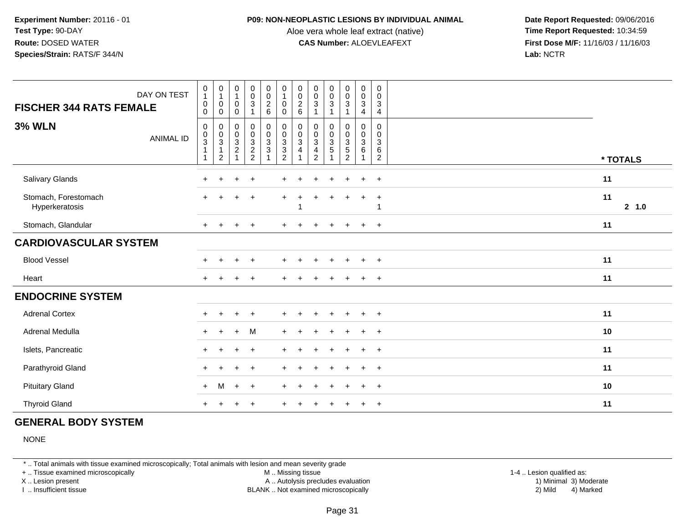#### **P09: NON-NEOPLASTIC LESIONS BY INDIVIDUAL ANIMAL**

Aloe vera whole leaf extract (native)<br>**CAS Number:** ALOEVLEAFEXT

 **Date Report Requested:** 09/06/2016 **First Dose M/F:** 11/16/03 / 11/16/03<br>**Lab:** NCTR **Lab:** NCTR

| <b>FISCHER 344 RATS FEMALE</b>         | DAY ON TEST | $\pmb{0}$<br>$\mathbf{1}$<br>$\mathbf 0$<br>0                                        | $\pmb{0}$<br>$\mathbf{1}$<br>$\mathsf{O}$<br>0             | $\pmb{0}$<br>$\mathbf{1}$<br>$\pmb{0}$<br>$\pmb{0}$                                    | $\begin{smallmatrix}0\0\0\3\end{smallmatrix}$ | $\begin{array}{c} 0 \\ 0 \\ 2 \\ 6 \end{array}$                                | $\begin{smallmatrix}0\\1\end{smallmatrix}$<br>$\ddot{\mathbf{0}}$<br>$\mathbf 0$ | $\begin{matrix} 0 \\ 0 \\ 2 \\ 6 \end{matrix}$ | $\pmb{0}$<br>$\pmb{0}$<br>3                                                 | $\pmb{0}$<br>$\pmb{0}$<br>$\mathsf 3$                    | $\pmb{0}$<br>$\pmb{0}$<br>$\mathbf{3}$<br>$\overline{1}$                              | 0<br>$\mathbf 0$<br>$\sqrt{3}$<br>4                        | 0<br>$\mathbf 0$<br>3<br>4                   |              |
|----------------------------------------|-------------|--------------------------------------------------------------------------------------|------------------------------------------------------------|----------------------------------------------------------------------------------------|-----------------------------------------------|--------------------------------------------------------------------------------|----------------------------------------------------------------------------------|------------------------------------------------|-----------------------------------------------------------------------------|----------------------------------------------------------|---------------------------------------------------------------------------------------|------------------------------------------------------------|----------------------------------------------|--------------|
| <b>3% WLN</b>                          | ANIMAL ID   | 0<br>$\boldsymbol{0}$<br>$\ensuremath{\mathsf{3}}$<br>$\overline{1}$<br>$\mathbf{1}$ | 0<br>$\boldsymbol{0}$<br>$\sqrt{3}$<br>1<br>$\overline{c}$ | 0<br>$\boldsymbol{0}$<br>$\ensuremath{\mathsf{3}}$<br>$\overline{c}$<br>$\overline{1}$ | $\pmb{0}$<br>$\pmb{0}$<br>$\frac{3}{2}$       | $\begin{smallmatrix}0\0\0\end{smallmatrix}$<br>$\frac{3}{3}$<br>$\overline{ }$ | $\pmb{0}$<br>$\mathbf 0$<br>$\mathbf{3}$<br>$\sqrt{3}$<br>$\overline{2}$         | 0<br>$\mathbf 0$<br>3<br>4                     | $\Omega$<br>$\mathbf 0$<br>$\ensuremath{\mathsf{3}}$<br>4<br>$\overline{c}$ | $\Omega$<br>0<br>$\ensuremath{\mathsf{3}}$<br>$\sqrt{5}$ | 0<br>$\mathsf{O}\xspace$<br>$\ensuremath{\mathsf{3}}$<br>$\sqrt{5}$<br>$\overline{2}$ | $\mathbf 0$<br>$\mathbf 0$<br>$\mathbf{3}$<br>$\,6\,$<br>1 | $\mathbf 0$<br>0<br>3<br>6<br>$\overline{2}$ | * TOTALS     |
| Salivary Glands                        |             |                                                                                      |                                                            | ╇                                                                                      | $\overline{1}$                                |                                                                                |                                                                                  |                                                |                                                                             | ÷                                                        | $\div$                                                                                | $\ddot{}$                                                  | $+$                                          | 11           |
| Stomach, Forestomach<br>Hyperkeratosis |             |                                                                                      |                                                            |                                                                                        | $\overline{+}$                                |                                                                                |                                                                                  |                                                |                                                                             |                                                          |                                                                                       |                                                            | $\ddot{}$                                    | 11<br>2, 1.0 |
| Stomach, Glandular                     |             |                                                                                      |                                                            |                                                                                        | $\overline{1}$                                |                                                                                |                                                                                  |                                                |                                                                             | ÷                                                        | $\pm$                                                                                 | $\ddot{}$                                                  | $+$                                          | 11           |
| <b>CARDIOVASCULAR SYSTEM</b>           |             |                                                                                      |                                                            |                                                                                        |                                               |                                                                                |                                                                                  |                                                |                                                                             |                                                          |                                                                                       |                                                            |                                              |              |
| <b>Blood Vessel</b>                    |             |                                                                                      |                                                            |                                                                                        | $\overline{1}$                                |                                                                                |                                                                                  |                                                |                                                                             | ÷                                                        | $\ddot{}$                                                                             | $\ddot{}$                                                  | $\overline{+}$                               | 11           |
| Heart                                  |             |                                                                                      |                                                            |                                                                                        |                                               |                                                                                |                                                                                  |                                                |                                                                             |                                                          |                                                                                       |                                                            | $\overline{ }$                               | 11           |
| <b>ENDOCRINE SYSTEM</b>                |             |                                                                                      |                                                            |                                                                                        |                                               |                                                                                |                                                                                  |                                                |                                                                             |                                                          |                                                                                       |                                                            |                                              |              |
| <b>Adrenal Cortex</b>                  |             |                                                                                      |                                                            | ÷.                                                                                     | $\overline{+}$                                |                                                                                |                                                                                  |                                                |                                                                             |                                                          |                                                                                       |                                                            | $\overline{ }$                               | 11           |
| Adrenal Medulla                        |             |                                                                                      | $\div$                                                     | $+$                                                                                    | M                                             |                                                                                |                                                                                  |                                                |                                                                             |                                                          |                                                                                       |                                                            | $\overline{ }$                               | 10           |
| Islets, Pancreatic                     |             |                                                                                      |                                                            |                                                                                        | $\overline{1}$                                |                                                                                |                                                                                  |                                                |                                                                             |                                                          |                                                                                       |                                                            | $\ddot{}$                                    | 11           |
| Parathyroid Gland                      |             |                                                                                      |                                                            |                                                                                        |                                               |                                                                                |                                                                                  |                                                |                                                                             |                                                          |                                                                                       |                                                            | $\div$                                       | 11           |
| <b>Pituitary Gland</b>                 |             | $+$                                                                                  | M                                                          | $+$                                                                                    | $^{+}$                                        |                                                                                |                                                                                  |                                                |                                                                             |                                                          |                                                                                       |                                                            | $\overline{ }$                               | 10           |
| <b>Thyroid Gland</b>                   |             |                                                                                      |                                                            |                                                                                        |                                               |                                                                                |                                                                                  |                                                |                                                                             |                                                          |                                                                                       |                                                            | $\overline{+}$                               | 11           |

# **GENERAL BODY SYSTEM**

NONE

\* .. Total animals with tissue examined microscopically; Total animals with lesion and mean severity grade

+ .. Tissue examined microscopically

X .. Lesion present

I .. Insufficient tissue

 M .. Missing tissueA .. Autolysis precludes evaluation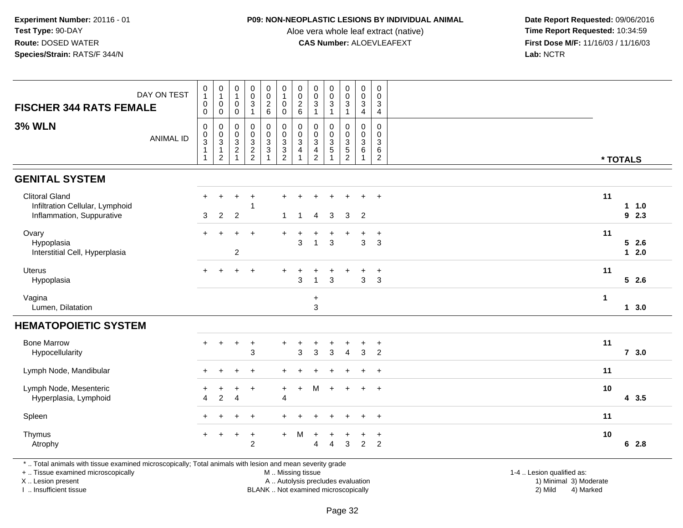#### **P09: NON-NEOPLASTIC LESIONS BY INDIVIDUAL ANIMAL**

Aloe vera whole leaf extract (native)<br>**CAS Number:** ALOEVLEAFEXT

 **Date Report Requested:** 09/06/2016 **First Dose M/F:** 11/16/03 / 11/16/03<br>**Lab:** NCTR **Lab:** NCTR

| DAY ON TEST<br><b>FISCHER 344 RATS FEMALE</b>                                         | $\begin{smallmatrix}0\1\end{smallmatrix}$<br>$\pmb{0}$<br>$\pmb{0}$ | $\begin{smallmatrix}0\\1\end{smallmatrix}$<br>$\pmb{0}$<br>$\pmb{0}$ | $\begin{smallmatrix}0\\1\end{smallmatrix}$<br>$\boldsymbol{0}$<br>$\mathbf 0$ | $_{\rm 0}^{\rm 0}$<br>$\ensuremath{\mathsf{3}}$<br>$\mathbf{1}$ | $_{\rm 0}^{\rm 0}$<br>$\overline{2}$<br>6          | $\begin{smallmatrix} 0\\ 1 \end{smallmatrix}$<br>$\pmb{0}$<br>$\pmb{0}$ | $_{\rm 0}^{\rm 0}$<br>$\frac{2}{6}$                              | $\pmb{0}$<br>$\mathbf 0$<br>$\ensuremath{\mathsf{3}}$<br>$\overline{1}$    | $_{\rm 0}^{\rm 0}$<br>$\sqrt{3}$<br>1                                | 0<br>$\mathsf 0$<br>$\sqrt{3}$<br>$\mathbf{1}$                       | $\pmb{0}$<br>$\pmb{0}$<br>$\mathbf{3}$<br>4                        | $\pmb{0}$<br>$\mathbf 0$<br>$\mathbf{3}$<br>4                   |                      |                         |
|---------------------------------------------------------------------------------------|---------------------------------------------------------------------|----------------------------------------------------------------------|-------------------------------------------------------------------------------|-----------------------------------------------------------------|----------------------------------------------------|-------------------------------------------------------------------------|------------------------------------------------------------------|----------------------------------------------------------------------------|----------------------------------------------------------------------|----------------------------------------------------------------------|--------------------------------------------------------------------|-----------------------------------------------------------------|----------------------|-------------------------|
| <b>3% WLN</b><br><b>ANIMAL ID</b>                                                     | 0<br>$_{3}^{\rm 0}$<br>$\overline{1}$<br>$\mathbf{1}$               | 0<br>$\frac{0}{3}$<br>$\sqrt{2}$                                     | $\mathbf 0$<br>$\begin{array}{c} 0 \\ 3 \\ 2 \\ 1 \end{array}$                | $\mathbf 0$<br>$\mathsf{O}\xspace$<br>$\frac{3}{2}$             | 0<br>$\pmb{0}$<br>$\overline{3}$<br>$\overline{3}$ | $\mathbf 0$<br>$\begin{array}{c} 0 \\ 3 \\ 2 \end{array}$               | $\pmb{0}$<br>$\overline{0}$<br>3<br>$\overline{\mathbf{4}}$<br>1 | $\mathbf 0$<br>$\pmb{0}$<br>$\overline{3}$<br>$\overline{4}$<br>$\sqrt{2}$ | $\mathbf 0$<br>$\mathbf 0$<br>$\overline{3}$<br>$\overline{5}$<br>-1 | 0<br>$\pmb{0}$<br>$\overline{3}$<br>$\overline{5}$<br>$\overline{c}$ | $\Omega$<br>$\pmb{0}$<br>$\overline{3}$<br>$\,6\,$<br>$\mathbf{1}$ | $\Omega$<br>0<br>$\ensuremath{\mathsf{3}}$<br>6<br>$\mathbf{2}$ |                      | * TOTALS                |
| <b>GENITAL SYSTEM</b>                                                                 |                                                                     |                                                                      |                                                                               |                                                                 |                                                    |                                                                         |                                                                  |                                                                            |                                                                      |                                                                      |                                                                    |                                                                 |                      |                         |
| <b>Clitoral Gland</b><br>Infiltration Cellular, Lymphoid<br>Inflammation, Suppurative | $+$<br>3                                                            | ÷<br>$\overline{2}$                                                  | $\overline{2}$                                                                | 1                                                               |                                                    | $\mathbf{1}$                                                            | $\mathbf{1}$                                                     | $\overline{4}$                                                             | 3                                                                    | 3                                                                    | $\overline{2}$                                                     | $\ddot{}$                                                       | 11                   | 1 1.0<br>92.3           |
| Ovary<br>Hypoplasia<br>Interstitial Cell, Hyperplasia                                 | $+$                                                                 |                                                                      | $\ddot{}$<br>$\overline{c}$                                                   | $\ddot{}$                                                       |                                                    |                                                                         | +<br>3                                                           |                                                                            | 3                                                                    | $\ddot{}$                                                            | 3                                                                  | $\ddot{}$<br>$\mathbf{3}$                                       | 11                   | $5 \quad 2.6$<br>$12.0$ |
| <b>Uterus</b><br>Hypoplasia                                                           | $+$                                                                 | $\ddot{}$                                                            | $+$                                                                           | $^{+}$                                                          |                                                    | $+$                                                                     | $\ddot{}$<br>3                                                   | ┿                                                                          | $\mathbf{3}$                                                         | $\ddot{}$                                                            | $\div$<br>3                                                        | $\overline{+}$<br>$\mathbf{3}$                                  | 11                   | 52.6                    |
| Vagina<br>Lumen, Dilatation                                                           |                                                                     |                                                                      |                                                                               |                                                                 |                                                    |                                                                         |                                                                  | $\ddot{}$<br>$\mathbf{3}$                                                  |                                                                      |                                                                      |                                                                    |                                                                 | $\blacktriangleleft$ | 13.0                    |
| <b>HEMATOPOIETIC SYSTEM</b>                                                           |                                                                     |                                                                      |                                                                               |                                                                 |                                                    |                                                                         |                                                                  |                                                                            |                                                                      |                                                                      |                                                                    |                                                                 |                      |                         |
| <b>Bone Marrow</b><br>Hypocellularity                                                 | $+$                                                                 | $+$                                                                  | $\ddot{}$                                                                     | $\ddot{}$<br>3                                                  |                                                    |                                                                         | $\ddot{}$<br>3                                                   | $\ddot{}$<br>3                                                             | $\mathbf{3}$                                                         | +<br>$\overline{4}$                                                  | ٠<br>3                                                             | $\ddot{}$<br>$\overline{2}$                                     | 11                   | $7 \quad 3.0$           |
| Lymph Node, Mandibular                                                                | $+$                                                                 | $\overline{ }$                                                       | ÷                                                                             | $\ddot{}$                                                       |                                                    |                                                                         |                                                                  |                                                                            |                                                                      |                                                                      |                                                                    | $\ddot{}$                                                       | 11                   |                         |
| Lymph Node, Mesenteric<br>Hyperplasia, Lymphoid                                       | $\pm$<br>$\overline{4}$                                             | $\ddot{}$<br>$\overline{2}$                                          | $\ddot{}$<br>$\overline{4}$                                                   | $\ddot{}$                                                       |                                                    | $+$<br>4                                                                | $+$                                                              | M                                                                          | $\div$                                                               | $+$                                                                  | $\ddot{}$                                                          | $+$                                                             | 10                   | 43.5                    |
| Spleen                                                                                | $+$                                                                 | $\overline{ }$                                                       | $+$                                                                           | $\ddot{}$                                                       |                                                    |                                                                         |                                                                  |                                                                            |                                                                      | $\ddot{}$                                                            | $\ddot{}$                                                          | $\overline{+}$                                                  | 11                   |                         |
| Thymus<br>Atrophy                                                                     | $+$                                                                 | $\ddot{}$                                                            | $\ddot{}$                                                                     | $\ddot{}$<br>$\overline{2}$                                     |                                                    | $+$                                                                     | M                                                                | $\ddot{}$<br>Δ                                                             | $\Delta$                                                             | $\ddot{}$<br>3                                                       | +<br>$\overline{2}$                                                | $\overline{1}$<br>$\overline{2}$                                | 10                   | 62.8                    |

\* .. Total animals with tissue examined microscopically; Total animals with lesion and mean severity grade

+ .. Tissue examined microscopically

X .. Lesion present

I .. Insufficient tissue

 M .. Missing tissueA .. Autolysis precludes evaluation

 1-4 .. Lesion qualified as: BLANK .. Not examined microscopically 2) Mild 4) Marked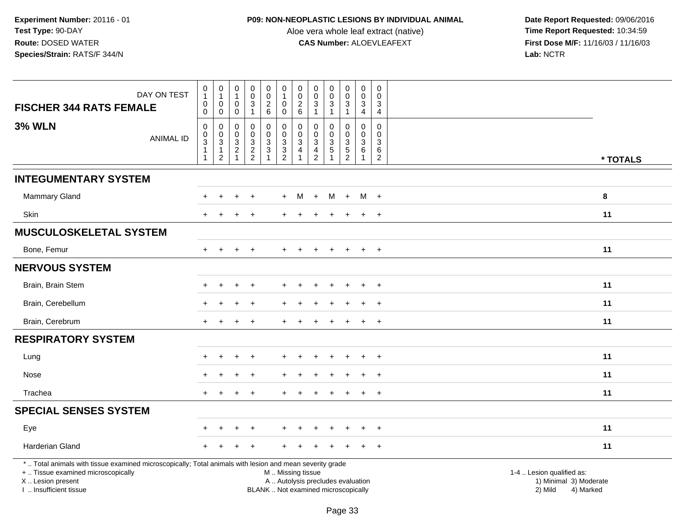## **P09: NON-NEOPLASTIC LESIONS BY INDIVIDUAL ANIMAL**

Aloe vera whole leaf extract (native)<br>**CAS Number:** ALOEVLEAFEXT

|                                                                                                                                                | DAY ON TEST      | $\pmb{0}$                                         | $\pmb{0}$                   | $\mathbf 0$                        | $\pmb{0}$                                    | $\mathbf 0$                         | $\pmb{0}$                                    | $\pmb{0}$                                                    | $\pmb{0}$                                     | $\begin{smallmatrix}0\0\0\end{smallmatrix}$ | $\begin{smallmatrix}0\0\0\end{smallmatrix}$ | $\mathsf 0$                                                   | $\mathbf 0$                        |                           |
|------------------------------------------------------------------------------------------------------------------------------------------------|------------------|---------------------------------------------------|-----------------------------|------------------------------------|----------------------------------------------|-------------------------------------|----------------------------------------------|--------------------------------------------------------------|-----------------------------------------------|---------------------------------------------|---------------------------------------------|---------------------------------------------------------------|------------------------------------|---------------------------|
| <b>FISCHER 344 RATS FEMALE</b>                                                                                                                 |                  | $\overline{1}$<br>$\boldsymbol{0}$<br>$\mathbf 0$ | $\mathbf{1}$<br>0<br>0      | $\mathbf{1}$<br>$\mathbf 0$<br>0   | $\overline{0}$<br>$\sqrt{3}$<br>$\mathbf{1}$ | $\overline{0}$<br>$\frac{2}{6}$     | $\overline{1}$<br>$\mathbf 0$<br>$\mathbf 0$ | $\ddot{\mathbf{0}}$<br>$\begin{array}{c} 2 \\ 6 \end{array}$ | $\overline{0}$<br>$\mathbf 3$<br>$\mathbf{1}$ | 3<br>$\mathbf{1}$                           | $\sqrt{3}$<br>$\mathbf{1}$                  | $\overline{0}$<br>$\ensuremath{\mathsf{3}}$<br>$\overline{4}$ | $\mathbf 0$<br>3<br>$\overline{4}$ |                           |
| <b>3% WLN</b>                                                                                                                                  |                  | $\boldsymbol{0}$                                  | $\mathbf 0$                 | 0                                  | $\mathbf 0$                                  | $\pmb{0}$                           | $\pmb{0}$                                    | $\mathbf 0$                                                  | $\mathbf 0$                                   | 0                                           | $\mathbf 0$                                 | $\mathbf 0$                                                   | $\mathbf 0$                        |                           |
|                                                                                                                                                | <b>ANIMAL ID</b> | $\mathbf 0$<br>$\overline{3}$                     | $\pmb{0}$<br>$\mathfrak{S}$ | 0<br>$\mathbf{3}$                  | $\pmb{0}$<br>$\sqrt{3}$                      | $\overline{0}$<br>$\mathbf{3}$      | $\mathbf 0$                                  | $\mathbf 0$<br>3                                             | $\mathbf 0$<br>$\mathsf 3$                    | $\mathbf 0$<br>$\mathbf{3}$                 | $\mathsf{O}\xspace$<br>$\overline{3}$       | $\pmb{0}$<br>$\overline{3}$                                   | $\mathbf 0$<br>$\mathbf{3}$        |                           |
|                                                                                                                                                |                  | $\mathbf{1}$<br>$\mathbf{1}$                      | 1<br>2                      | $\boldsymbol{2}$<br>$\overline{1}$ | $\frac{2}{2}$                                | 3                                   | $\frac{3}{2}$                                | $\overline{4}$                                               | $\frac{4}{2}$                                 | $\sqrt{5}$                                  | $\frac{5}{2}$                               | $\,6\,$                                                       | $\,6\,$<br>2                       | * TOTALS                  |
| <b>INTEGUMENTARY SYSTEM</b>                                                                                                                    |                  |                                                   |                             |                                    |                                              |                                     |                                              |                                                              |                                               |                                             |                                             |                                                               |                                    |                           |
| Mammary Gland                                                                                                                                  |                  |                                                   |                             |                                    |                                              |                                     | $+$                                          | M                                                            | $\ddot{}$                                     | M                                           | $+$                                         | $M +$                                                         |                                    | 8                         |
| Skin                                                                                                                                           |                  | $+$                                               | $+$                         | $+$                                | $+$                                          |                                     |                                              | $\div$                                                       |                                               |                                             | $+$                                         | $+$                                                           | $+$                                | 11                        |
| <b>MUSCULOSKELETAL SYSTEM</b>                                                                                                                  |                  |                                                   |                             |                                    |                                              |                                     |                                              |                                                              |                                               |                                             |                                             |                                                               |                                    |                           |
| Bone, Femur                                                                                                                                    |                  | $+$                                               | $\ddot{}$                   | $+$                                | $+$                                          |                                     |                                              |                                                              |                                               | $\pm$                                       | $+$                                         | $+$                                                           | $+$                                | 11                        |
| <b>NERVOUS SYSTEM</b>                                                                                                                          |                  |                                                   |                             |                                    |                                              |                                     |                                              |                                                              |                                               |                                             |                                             |                                                               |                                    |                           |
| Brain, Brain Stem                                                                                                                              |                  |                                                   |                             |                                    |                                              |                                     |                                              |                                                              |                                               |                                             |                                             |                                                               | $\ddot{}$                          | 11                        |
| Brain, Cerebellum                                                                                                                              |                  |                                                   |                             | $\pm$                              | $\overline{+}$                               |                                     |                                              |                                                              |                                               |                                             | ÷                                           | $\ddot{}$                                                     | $\ddot{}$                          | 11                        |
| Brain, Cerebrum                                                                                                                                |                  | $+$                                               | $+$                         | $+$                                | $\ddot{}$                                    |                                     |                                              |                                                              |                                               |                                             | $+$                                         | $+$                                                           | $+$                                | 11                        |
| <b>RESPIRATORY SYSTEM</b>                                                                                                                      |                  |                                                   |                             |                                    |                                              |                                     |                                              |                                                              |                                               |                                             |                                             |                                                               |                                    |                           |
| Lung                                                                                                                                           |                  |                                                   |                             |                                    |                                              |                                     |                                              |                                                              |                                               |                                             |                                             |                                                               | $\div$                             | 11                        |
| Nose                                                                                                                                           |                  |                                                   |                             |                                    |                                              |                                     |                                              |                                                              |                                               |                                             |                                             |                                                               |                                    | 11                        |
| Trachea                                                                                                                                        |                  | $+$                                               | $\ddot{}$                   | $+$                                | $\overline{+}$                               |                                     |                                              |                                                              |                                               | $\pm$                                       | $+$                                         | $\ddot{}$                                                     | $+$                                | 11                        |
| <b>SPECIAL SENSES SYSTEM</b>                                                                                                                   |                  |                                                   |                             |                                    |                                              |                                     |                                              |                                                              |                                               |                                             |                                             |                                                               |                                    |                           |
| Eye                                                                                                                                            |                  |                                                   |                             |                                    |                                              |                                     |                                              |                                                              |                                               |                                             |                                             |                                                               |                                    | 11                        |
| Harderian Gland                                                                                                                                |                  |                                                   |                             |                                    |                                              |                                     |                                              |                                                              |                                               |                                             |                                             |                                                               | $\ddot{}$                          | 11                        |
| *  Total animals with tissue examined microscopically; Total animals with lesion and mean severity grade<br>+  Tissue examined microscopically |                  |                                                   |                             |                                    |                                              |                                     | M  Missing tissue                            |                                                              |                                               |                                             |                                             |                                                               |                                    | 1-4  Lesion qualified as: |
| X  Lesion present                                                                                                                              |                  |                                                   |                             |                                    |                                              |                                     | A  Autolysis precludes evaluation            |                                                              |                                               |                                             |                                             |                                                               |                                    | 1) Minimal 3) Moderate    |
| I  Insufficient tissue                                                                                                                         |                  |                                                   |                             |                                    |                                              | BLANK  Not examined microscopically |                                              |                                                              |                                               |                                             |                                             |                                                               |                                    | 2) Mild<br>4) Marked      |